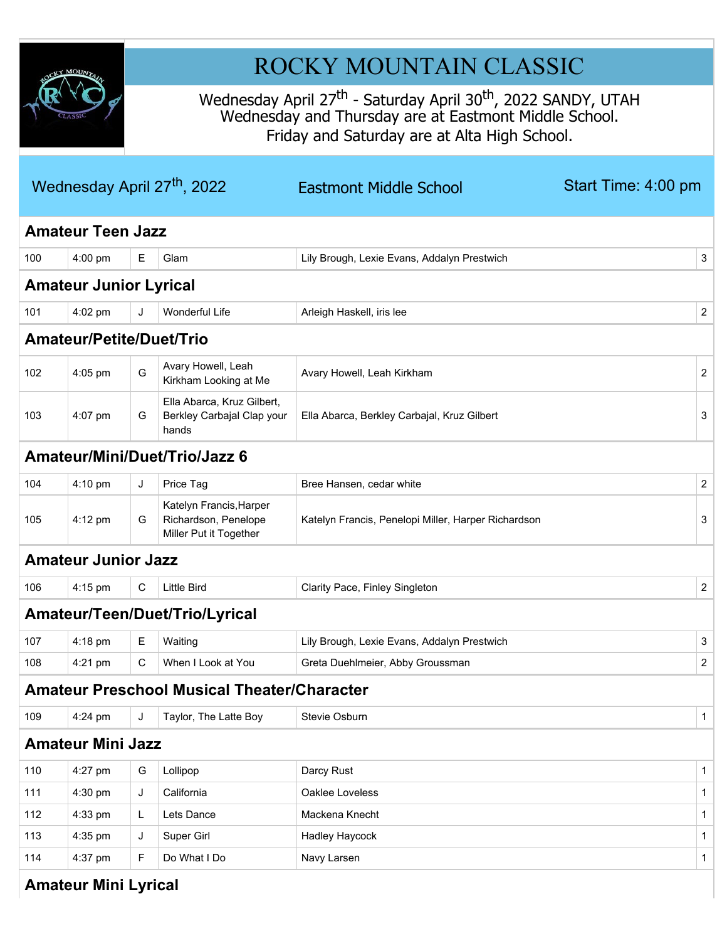

# ROCKY MOUNTAIN CLASSIC

Wednesday April 27<sup>th</sup> - Saturday April 30<sup>th</sup>, 2022 SANDY, UTAH Wednesday and Thursday are at Eastmont Middle School. Friday and Saturday are at Alta High School.

|     |                                 |   | Wednesday April 27 <sup>th</sup> , 2022                                   | <b>Eastmont Middle School</b>                       | Start Time: 4:00 pm |                |
|-----|---------------------------------|---|---------------------------------------------------------------------------|-----------------------------------------------------|---------------------|----------------|
|     | <b>Amateur Teen Jazz</b>        |   |                                                                           |                                                     |                     |                |
| 100 | 4:00 pm                         | Е | Glam                                                                      | Lily Brough, Lexie Evans, Addalyn Prestwich         |                     | 3              |
|     | <b>Amateur Junior Lyrical</b>   |   |                                                                           |                                                     |                     |                |
| 101 | 4:02 pm                         | J | <b>Wonderful Life</b>                                                     | Arleigh Haskell, iris lee                           |                     | $\overline{2}$ |
|     | <b>Amateur/Petite/Duet/Trio</b> |   |                                                                           |                                                     |                     |                |
| 102 | 4:05 pm                         | G | Avary Howell, Leah<br>Kirkham Looking at Me                               | Avary Howell, Leah Kirkham                          |                     | $\overline{2}$ |
| 103 | 4:07 pm                         | G | Ella Abarca, Kruz Gilbert,<br>Berkley Carbajal Clap your<br>hands         | Ella Abarca, Berkley Carbajal, Kruz Gilbert         |                     | 3              |
|     |                                 |   | Amateur/Mini/Duet/Trio/Jazz 6                                             |                                                     |                     |                |
| 104 | $4:10 \text{ pm}$               | J | Price Tag                                                                 | Bree Hansen, cedar white                            |                     | $\overline{2}$ |
| 105 | 4:12 pm                         | G | Katelyn Francis, Harper<br>Richardson, Penelope<br>Miller Put it Together | Katelyn Francis, Penelopi Miller, Harper Richardson |                     | 3              |
|     | <b>Amateur Junior Jazz</b>      |   |                                                                           |                                                     |                     |                |
| 106 | 4:15 pm                         | С | <b>Little Bird</b>                                                        | Clarity Pace, Finley Singleton                      |                     | $\overline{2}$ |
|     |                                 |   | Amateur/Teen/Duet/Trio/Lyrical                                            |                                                     |                     |                |
| 107 | $4:18$ pm                       | Е | Waiting                                                                   | Lily Brough, Lexie Evans, Addalyn Prestwich         |                     | 3              |
| 108 | 4:21 pm                         | C | When I Look at You                                                        | Greta Duehlmeier, Abby Groussman                    |                     | $\overline{2}$ |
|     |                                 |   | <b>Amateur Preschool Musical Theater/Character</b>                        |                                                     |                     |                |
| 109 | 4:24 pm                         | J | Taylor, The Latte Boy                                                     | Stevie Osburn                                       |                     | $\mathbf{1}$   |
|     | <b>Amateur Mini Jazz</b>        |   |                                                                           |                                                     |                     |                |
| 110 | 4:27 pm                         | G | Lollipop                                                                  | Darcy Rust                                          |                     | $\mathbf{1}$   |
| 111 | 4:30 pm                         | J | California                                                                | Oaklee Loveless                                     |                     | $\mathbf{1}$   |
| 112 | 4:33 pm                         | L | Lets Dance                                                                | Mackena Knecht                                      |                     | $\mathbf{1}$   |
| 113 | 4:35 pm                         | J | Super Girl                                                                | Hadley Haycock                                      |                     | $\mathbf{1}$   |
| 114 | 4:37 pm                         | F | Do What I Do                                                              | Navy Larsen                                         |                     | $\mathbf{1}$   |
|     | <b>Amateur Mini Lyrical</b>     |   |                                                                           |                                                     |                     |                |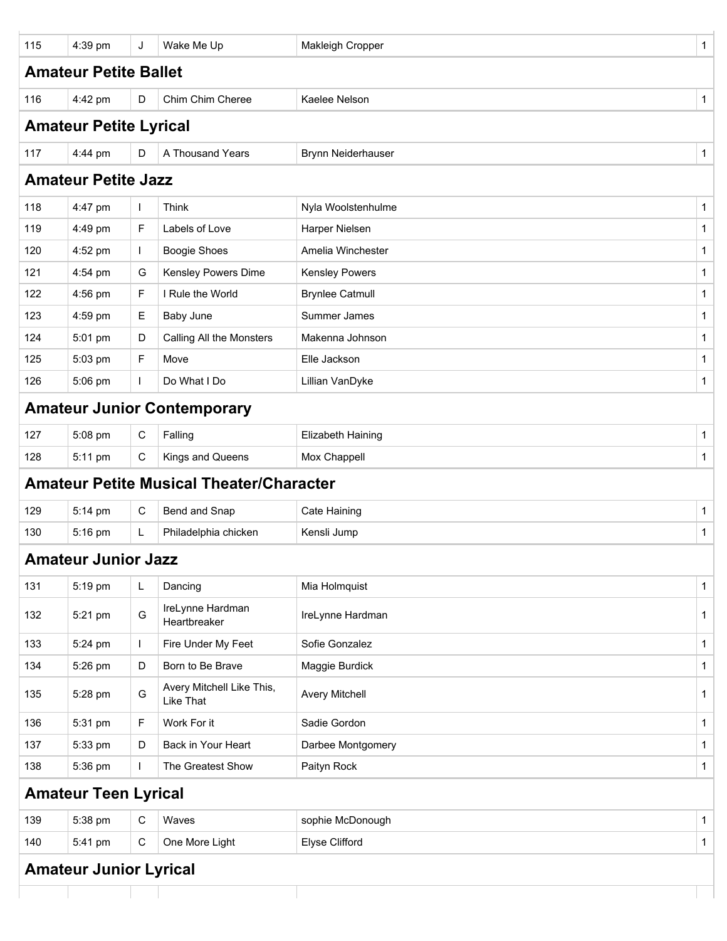| 115 | 4:39 pm                       | J            | Wake Me Up                                      | Makleigh Cropper         | 1            |
|-----|-------------------------------|--------------|-------------------------------------------------|--------------------------|--------------|
|     | <b>Amateur Petite Ballet</b>  |              |                                                 |                          |              |
| 116 | 4:42 pm                       | D            | Chim Chim Cheree                                | Kaelee Nelson            | $\mathbf{1}$ |
|     | <b>Amateur Petite Lyrical</b> |              |                                                 |                          |              |
| 117 | 4:44 pm                       | D            | A Thousand Years                                | Brynn Neiderhauser       | $\mathbf{1}$ |
|     | <b>Amateur Petite Jazz</b>    |              |                                                 |                          |              |
| 118 | 4:47 pm                       | $\mathbf{I}$ | Think                                           | Nyla Woolstenhulme       | $\mathbf{1}$ |
| 119 | 4:49 pm                       | F            | Labels of Love                                  | Harper Nielsen           | $\mathbf{1}$ |
| 120 | 4:52 pm                       | $\mathbf{L}$ | <b>Boogie Shoes</b>                             | Amelia Winchester        | $\mathbf{1}$ |
| 121 | 4:54 pm                       | G            | Kensley Powers Dime                             | <b>Kensley Powers</b>    | $\mathbf{1}$ |
| 122 | 4:56 pm                       | F            | I Rule the World                                | <b>Brynlee Catmull</b>   | $\mathbf{1}$ |
| 123 | 4:59 pm                       | Е            | <b>Baby June</b>                                | Summer James             | $\mathbf 1$  |
| 124 | 5:01 pm                       | D            | Calling All the Monsters                        | Makenna Johnson          | $\mathbf{1}$ |
| 125 | 5:03 pm                       | F            | Move                                            | Elle Jackson             | $\mathbf{1}$ |
| 126 | 5:06 pm                       | $\mathbf{I}$ | Do What I Do                                    | Lillian VanDyke          | $\mathbf{1}$ |
|     |                               |              | <b>Amateur Junior Contemporary</b>              |                          |              |
| 127 | 5:08 pm                       | $\mathbf C$  | Falling                                         | <b>Elizabeth Haining</b> | $\mathbf{1}$ |
| 128 | 5:11 pm                       | С            | Kings and Queens                                | Mox Chappell             | $\mathbf{1}$ |
|     |                               |              | <b>Amateur Petite Musical Theater/Character</b> |                          |              |
| 129 | 5:14 pm                       | $\mathbf C$  | Bend and Snap                                   | <b>Cate Haining</b>      | $\mathbf{1}$ |
| 130 | 5:16 pm                       | L            | Philadelphia chicken                            | Kensli Jump              | $\mathbf{1}$ |
|     | <b>Amateur Junior Jazz</b>    |              |                                                 |                          |              |
| 131 | 5:19 pm                       | L            | Dancing                                         | Mia Holmquist            | 1            |
| 132 | 5:21 pm                       | G            | IreLynne Hardman<br>Heartbreaker                | IreLynne Hardman         | $\mathbf{1}$ |
| 133 | 5:24 pm                       | $\mathbf{I}$ | Fire Under My Feet                              | Sofie Gonzalez           | $\mathbf{1}$ |
| 134 | 5:26 pm                       | D            | Born to Be Brave                                | Maggie Burdick           | $\mathbf{1}$ |
| 135 | 5:28 pm                       | G            | Avery Mitchell Like This,<br>Like That          | <b>Avery Mitchell</b>    | $\mathbf{1}$ |
| 136 | 5:31 pm                       | F            | Work For it                                     | Sadie Gordon             | $\mathbf{1}$ |
| 137 | 5:33 pm                       | D            | Back in Your Heart                              | Darbee Montgomery        | $\mathbf{1}$ |
| 138 | 5:36 pm                       | $\mathbf{I}$ | The Greatest Show                               | Paityn Rock              | 1            |
|     | <b>Amateur Teen Lyrical</b>   |              |                                                 |                          |              |
| 139 | 5:38 pm                       | $\mathsf C$  | Waves                                           | sophie McDonough         | $\mathbf{1}$ |
| 140 | 5:41 pm                       | C            | One More Light                                  | Elyse Clifford           | $\mathbf{1}$ |
|     |                               |              |                                                 |                          |              |

### **Amateur Junior Lyrical**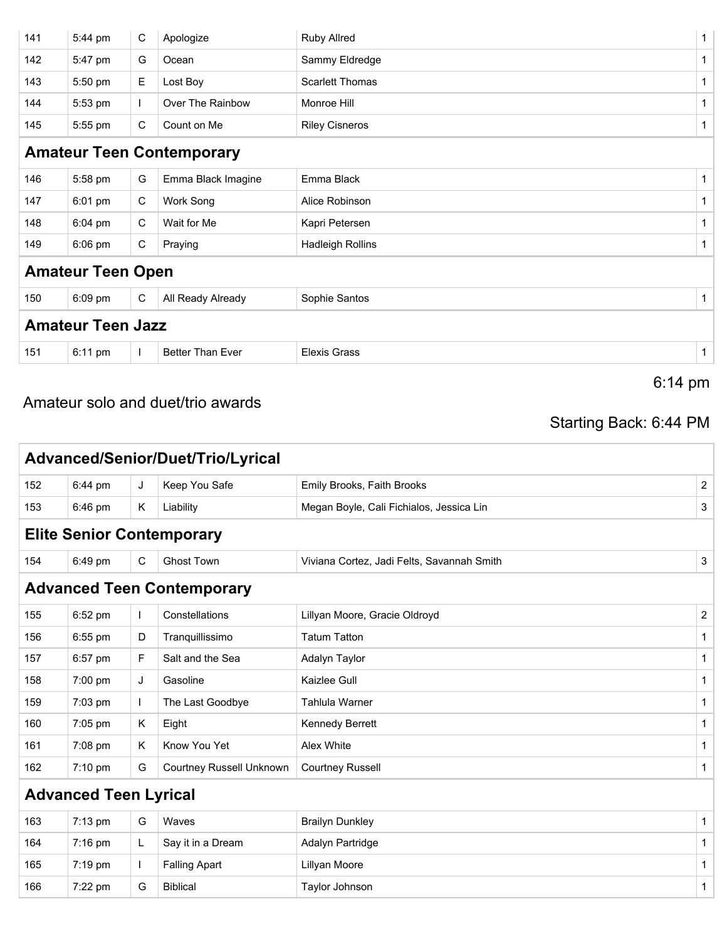| 141 | 5:44 pm                  | $\mathbf C$  | Apologize                        | <b>Ruby Allred</b>      | $\mathbf{1}$ |
|-----|--------------------------|--------------|----------------------------------|-------------------------|--------------|
| 142 | 5:47 pm                  | G            | Ocean                            | Sammy Eldredge          | $\mathbf{1}$ |
| 143 | 5:50 pm                  | Е.           | Lost Boy                         | <b>Scarlett Thomas</b>  | $\mathbf{1}$ |
| 144 | 5:53 pm                  | $\mathbf{L}$ | Over The Rainbow                 | Monroe Hill             | $\mathbf{1}$ |
| 145 | 5:55 pm                  | C            | Count on Me                      | <b>Riley Cisneros</b>   | $\mathbf{1}$ |
|     |                          |              | <b>Amateur Teen Contemporary</b> |                         |              |
| 146 | 5:58 pm                  | G            | Emma Black Imagine               | Emma Black              | $\mathbf{1}$ |
| 147 | 6:01 pm                  | C            | Work Song                        | Alice Robinson          | $\mathbf{1}$ |
| 148 | 6:04 pm                  | C            | Wait for Me                      | Kapri Petersen          | $\mathbf{1}$ |
| 149 | 6:06 pm                  | C            | Praying                          | <b>Hadleigh Rollins</b> | $\mathbf{1}$ |
|     | <b>Amateur Teen Open</b> |              |                                  |                         |              |
| 150 | 6:09 pm                  | $\mathbf C$  | All Ready Already                | Sophie Santos           | $\mathbf{1}$ |
|     | <b>Amateur Teen Jazz</b> |              |                                  |                         |              |
| 151 | 6:11 pm                  | $\mathbf{I}$ | <b>Better Than Ever</b>          | <b>Elexis Grass</b>     | $\mathbf{1}$ |
|     |                          |              |                                  | $6:14 \text{ pm}$       |              |

### Amateur solo and duet/trio awards

## Starting Back: 6:44 PM

|     |                              |              | Advanced/Senior/Duet/Trio/Lyrical |                                            |                |
|-----|------------------------------|--------------|-----------------------------------|--------------------------------------------|----------------|
| 152 | 6:44 pm                      | J            | Keep You Safe                     | Emily Brooks, Faith Brooks                 | 2              |
| 153 | 6:46 pm                      | K            | Liability                         | Megan Boyle, Cali Fichialos, Jessica Lin   | 3              |
|     |                              |              | <b>Elite Senior Contemporary</b>  |                                            |                |
| 154 | 6:49 pm                      | C            | <b>Ghost Town</b>                 | Viviana Cortez, Jadi Felts, Savannah Smith | 3              |
|     |                              |              | <b>Advanced Teen Contemporary</b> |                                            |                |
| 155 | 6:52 pm                      |              | Constellations                    | Lillyan Moore, Gracie Oldroyd              | $\overline{2}$ |
| 156 | $6:55$ pm                    | D            | Tranquillissimo                   | <b>Tatum Tatton</b>                        | $\mathbf{1}$   |
| 157 | 6:57 pm                      | F            | Salt and the Sea                  | Adalyn Taylor                              | $\mathbf{1}$   |
| 158 | $7:00$ pm                    | J            | Gasoline                          | Kaizlee Gull                               | 1              |
| 159 | 7:03 pm                      | $\mathbf{L}$ | The Last Goodbye                  | Tahlula Warner                             | 1              |
| 160 | 7:05 pm                      | K            | Eight                             | Kennedy Berrett                            | 1              |
| 161 | 7:08 pm                      | K            | Know You Yet                      | Alex White                                 | $\mathbf{1}$   |
| 162 | $7:10$ pm                    | G            | <b>Courtney Russell Unknown</b>   | <b>Courtney Russell</b>                    | $\mathbf{1}$   |
|     | <b>Advanced Teen Lyrical</b> |              |                                   |                                            |                |
| 163 | $7:13 \text{ pm}$            | G            | Waves                             | <b>Brailyn Dunkley</b>                     | $\mathbf{1}$   |

| 163 | $7:13 \text{ pm}$ | G | Waves                | <b>Brailyn Dunkley</b> |  |
|-----|-------------------|---|----------------------|------------------------|--|
| 164 | $7:16 \text{ pm}$ | ┕ | Say it in a Dream    | Adalyn Partridge       |  |
| 165 | 7:19 pm           |   | <b>Falling Apart</b> | Lillyan Moore          |  |
| 166 | $7:22$ pm         | G | <b>Biblical</b>      | Taylor Johnson         |  |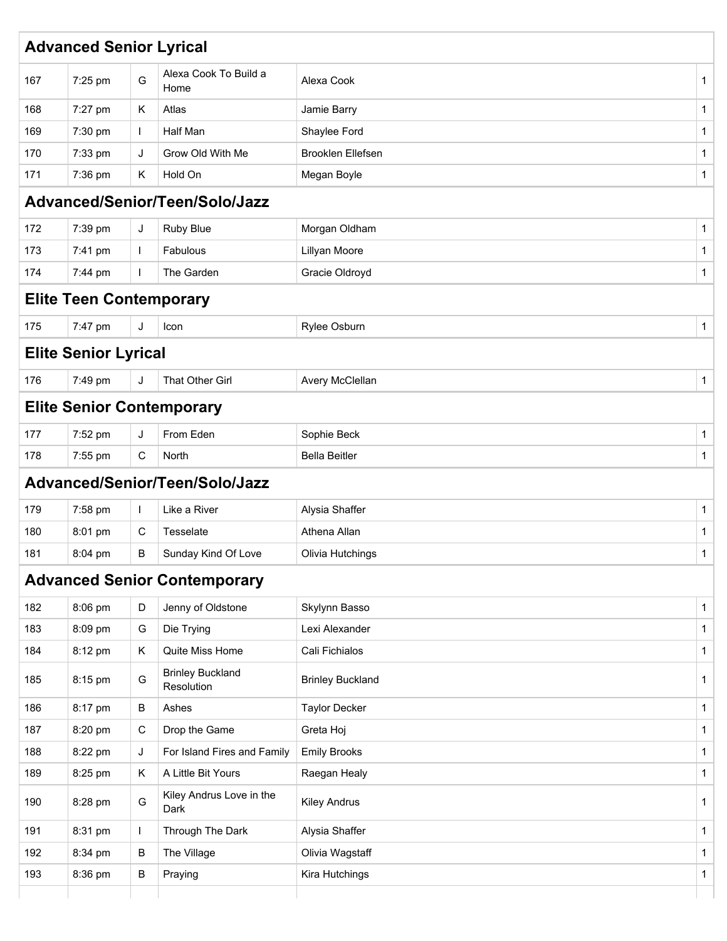|     | <b>Advanced Senior Lyrical</b>   |             |                                       |                         |              |
|-----|----------------------------------|-------------|---------------------------------------|-------------------------|--------------|
| 167 | 7:25 pm                          | G           | Alexa Cook To Build a<br>Home         | Alexa Cook              | 1            |
| 168 | 7:27 pm                          | Κ           | Atlas                                 | Jamie Barry             | 1            |
| 169 | 7:30 pm                          | L           | Half Man                              | Shaylee Ford            | 1            |
| 170 | 7:33 pm                          | J           | Grow Old With Me                      | Brooklen Ellefsen       | 1            |
| 171 | 7:36 pm                          | Κ           | Hold On                               | Megan Boyle             | 1            |
|     |                                  |             | Advanced/Senior/Teen/Solo/Jazz        |                         |              |
| 172 | 7:39 pm                          | J           | Ruby Blue                             | Morgan Oldham           | 1            |
| 173 | 7:41 pm                          | L           | Fabulous                              | Lillyan Moore           | 1            |
| 174 | 7:44 pm                          |             | The Garden                            | Gracie Oldroyd          | 1            |
|     | <b>Elite Teen Contemporary</b>   |             |                                       |                         |              |
| 175 | 7:47 pm                          | J           | Icon                                  | Rylee Osburn            | $\mathbf{1}$ |
|     | <b>Elite Senior Lyrical</b>      |             |                                       |                         |              |
| 176 | 7:49 pm                          | J           | That Other Girl                       | Avery McClellan         | 1            |
|     | <b>Elite Senior Contemporary</b> |             |                                       |                         |              |
| 177 | 7:52 pm                          | J           | From Eden                             | Sophie Beck             | 1            |
| 178 | 7:55 pm                          | C           | North                                 | <b>Bella Beitler</b>    | $\mathbf{1}$ |
|     |                                  |             | Advanced/Senior/Teen/Solo/Jazz        |                         |              |
| 179 | 7:58 pm                          |             | Like a River                          | Alysia Shaffer          | 1            |
| 180 | 8:01 pm                          | C           | Tesselate                             | Athena Allan            | 1            |
| 181 | 8:04 pm                          | В           | Sunday Kind Of Love                   | Olivia Hutchings        | $\mathbf{1}$ |
|     |                                  |             | <b>Advanced Senior Contemporary</b>   |                         |              |
| 182 | 8:06 pm                          | D           | Jenny of Oldstone                     | Skylynn Basso           | 1            |
| 183 | 8:09 pm                          | G           | Die Trying                            | Lexi Alexander          | $\mathbf{1}$ |
| 184 | 8:12 pm                          | K.          | Quite Miss Home                       | Cali Fichialos          | 1            |
| 185 | 8:15 pm                          | G           | <b>Brinley Buckland</b><br>Resolution | <b>Brinley Buckland</b> | 1            |
| 186 | 8:17 pm                          | B           | Ashes                                 | <b>Taylor Decker</b>    | $\mathbf{1}$ |
| 187 | 8:20 pm                          | $\mathbf C$ | Drop the Game                         | Greta Hoj               | $\mathbf{1}$ |
| 188 | 8:22 pm                          | J           | For Island Fires and Family           | <b>Emily Brooks</b>     | 1            |
| 189 | 8:25 pm                          | Κ           | A Little Bit Yours                    | Raegan Healy            | $\mathbf{1}$ |
| 190 | 8:28 pm                          | G           | Kiley Andrus Love in the<br>Dark      | <b>Kiley Andrus</b>     | 1            |
| 191 | 8:31 pm                          |             | Through The Dark                      | Alysia Shaffer          | $\mathbf 1$  |
| 192 | 8:34 pm                          | B           | The Village                           | Olivia Wagstaff         | $\mathbf{1}$ |
|     |                                  |             |                                       |                         |              |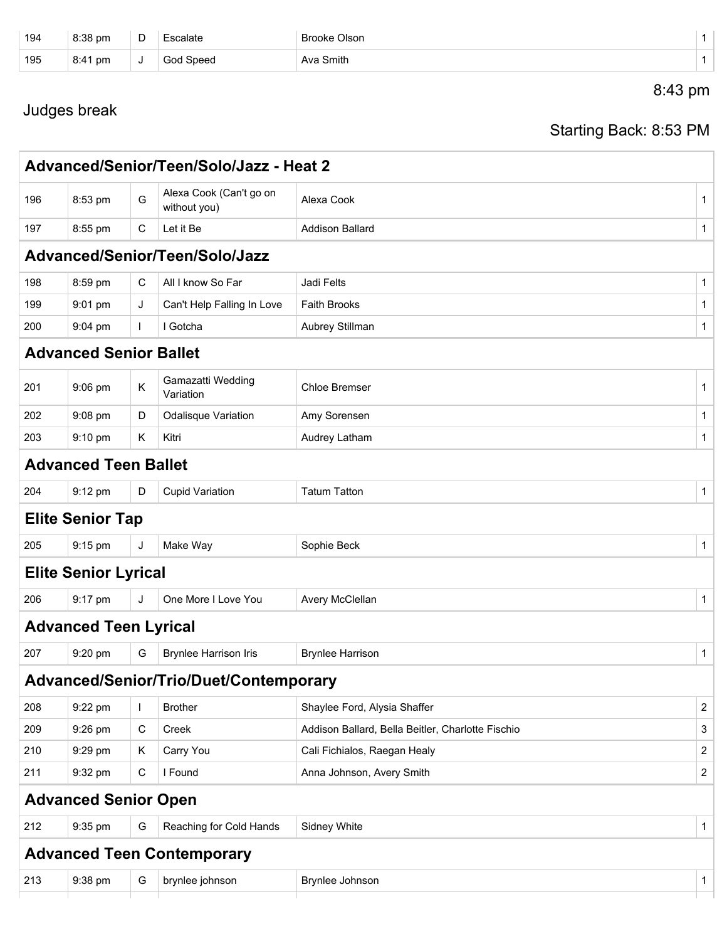| 194 | 8:38 pm | D | Escalate  | Brooke Olson |  |
|-----|---------|---|-----------|--------------|--|
| 195 | 8:41 pm | J | God Speed | Ava Smith    |  |
|     |         |   |           | 8:43 pm      |  |

## Judges break

Starting Back: 8:53 PM

|     |                               |             | Advanced/Senior/Teen/Solo/Jazz - Heat 2 |                                                   |                |
|-----|-------------------------------|-------------|-----------------------------------------|---------------------------------------------------|----------------|
| 196 | 8:53 pm                       | G           | Alexa Cook (Can't go on<br>without you) | Alexa Cook                                        | 1              |
| 197 | 8:55 pm                       | $\mathbf C$ | Let it Be                               | <b>Addison Ballard</b>                            | 1              |
|     |                               |             | Advanced/Senior/Teen/Solo/Jazz          |                                                   |                |
| 198 | 8:59 pm                       | С           | All I know So Far                       | Jadi Felts                                        | $\mathbf{1}$   |
| 199 | $9:01$ pm                     | J           | Can't Help Falling In Love              | <b>Faith Brooks</b>                               | 1              |
| 200 | 9:04 pm                       | L           | I Gotcha                                | Aubrey Stillman                                   | 1              |
|     | <b>Advanced Senior Ballet</b> |             |                                         |                                                   |                |
| 201 | 9:06 pm                       | Κ           | Gamazatti Wedding<br>Variation          | Chloe Bremser                                     | $\mathbf{1}$   |
| 202 | 9:08 pm                       | D           | <b>Odalisque Variation</b>              | Amy Sorensen                                      | $\mathbf{1}$   |
| 203 | 9:10 pm                       | Κ           | Kitri                                   | Audrey Latham                                     | $\mathbf{1}$   |
|     | <b>Advanced Teen Ballet</b>   |             |                                         |                                                   |                |
| 204 | 9:12 pm                       | D           | <b>Cupid Variation</b>                  | <b>Tatum Tatton</b>                               | $\mathbf{1}$   |
|     | <b>Elite Senior Tap</b>       |             |                                         |                                                   |                |
| 205 | 9:15 pm                       | J           | Make Way                                | Sophie Beck                                       | $\mathbf{1}$   |
|     | <b>Elite Senior Lyrical</b>   |             |                                         |                                                   |                |
| 206 | 9:17 pm                       | J           | One More I Love You                     | Avery McClellan                                   | 1              |
|     | <b>Advanced Teen Lyrical</b>  |             |                                         |                                                   |                |
| 207 | 9:20 pm                       | G           | <b>Brynlee Harrison Iris</b>            | <b>Brynlee Harrison</b>                           | $\mathbf{1}$   |
|     |                               |             | Advanced/Senior/Trio/Duet/Contemporary  |                                                   |                |
| 208 | 9:22 pm                       |             | <b>Brother</b>                          | Shaylee Ford, Alysia Shaffer                      | 2              |
| 209 | 9:26 pm                       | C           | Creek                                   | Addison Ballard, Bella Beitler, Charlotte Fischio | 3              |
| 210 | 9:29 pm                       | Κ           | Carry You                               | Cali Fichialos, Raegan Healy                      | $\overline{c}$ |
| 211 | 9:32 pm                       | $\mathbf C$ | I Found                                 | Anna Johnson, Avery Smith                         | 2              |
|     | <b>Advanced Senior Open</b>   |             |                                         |                                                   |                |
| 212 | 9:35 pm                       | G           | Reaching for Cold Hands                 | Sidney White                                      | $\mathbf{1}$   |
|     |                               |             | <b>Advanced Teen Contemporary</b>       |                                                   |                |
| 213 | 9:38 pm                       | G           | brynlee johnson                         | Brynlee Johnson                                   | $\mathbf{1}$   |
|     |                               |             |                                         |                                                   |                |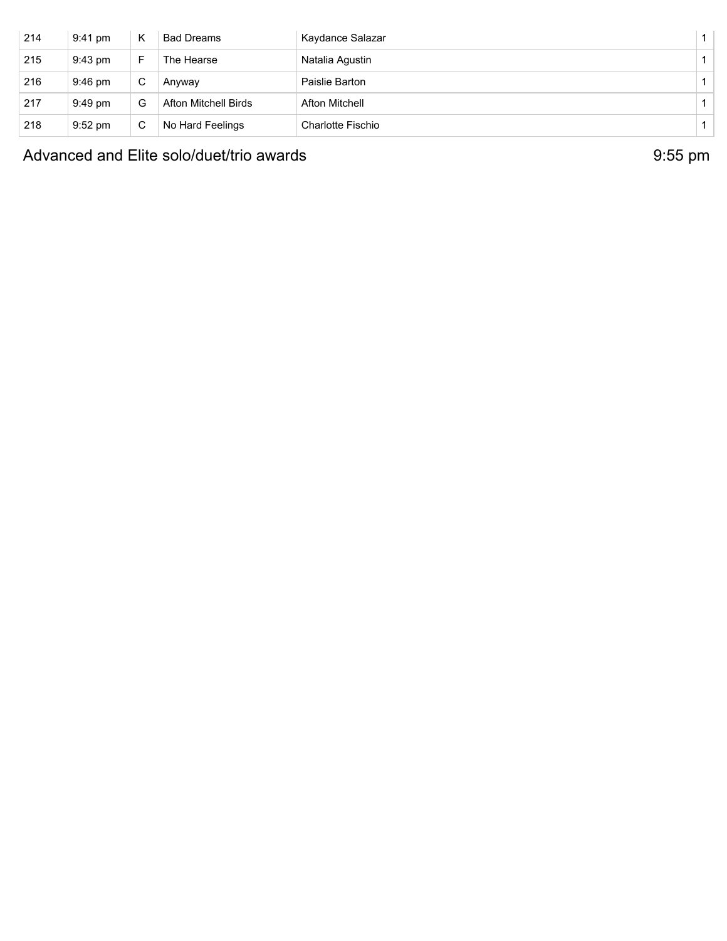| 214 | 9:41 pm   | K | <b>Bad Dreams</b>    | Kaydance Salazar  | $\mathbf{1}$ |
|-----|-----------|---|----------------------|-------------------|--------------|
| 215 | 9:43 pm   | E | The Hearse           | Natalia Agustin   |              |
| 216 | $9:46$ pm | C | Anvwav               | Paislie Barton    |              |
| 217 | 9:49 pm   | G | Afton Mitchell Birds | Afton Mitchell    |              |
| 218 | $9:52$ pm | C | No Hard Feelings     | Charlotte Fischio |              |

Advanced and Elite solo/duet/trio awards **9:55** pm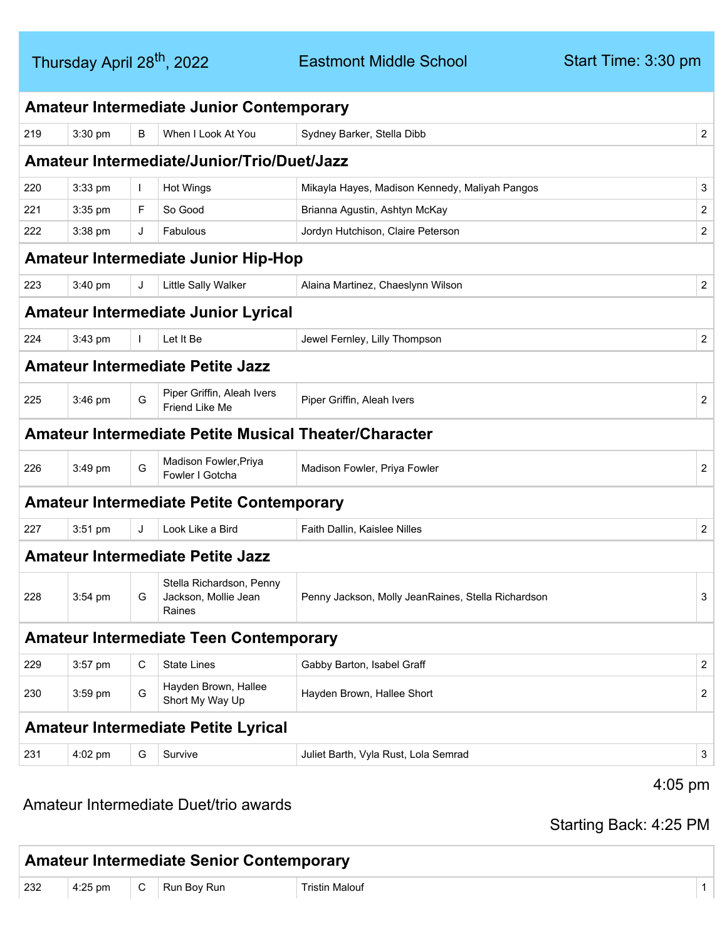Eastmont Middle School

|     |           |              | <b>Amateur Intermediate Junior Contemporary</b>              |                                                    |                |
|-----|-----------|--------------|--------------------------------------------------------------|----------------------------------------------------|----------------|
| 219 | 3:30 pm   | B            | When I Look At You                                           | Sydney Barker, Stella Dibb                         | $\overline{2}$ |
|     |           |              | <b>Amateur Intermediate/Junior/Trio/Duet/Jazz</b>            |                                                    |                |
| 220 | 3:33 pm   | $\mathbf{I}$ | <b>Hot Wings</b>                                             | Mikayla Hayes, Madison Kennedy, Maliyah Pangos     | 3              |
| 221 | 3:35 pm   | F            | So Good                                                      | Brianna Agustin, Ashtyn McKay                      | $\overline{2}$ |
| 222 | 3:38 pm   | J            | Fabulous                                                     | Jordyn Hutchison, Claire Peterson                  | $\overline{2}$ |
|     |           |              | <b>Amateur Intermediate Junior Hip-Hop</b>                   |                                                    |                |
| 223 | 3:40 pm   | J            | Little Sally Walker                                          | Alaina Martinez, Chaeslynn Wilson                  | $\overline{2}$ |
|     |           |              | <b>Amateur Intermediate Junior Lyrical</b>                   |                                                    |                |
| 224 | 3:43 pm   | $\mathbf{I}$ | Let It Be                                                    | Jewel Fernley, Lilly Thompson                      | $\overline{2}$ |
|     |           |              | <b>Amateur Intermediate Petite Jazz</b>                      |                                                    |                |
| 225 | $3:46$ pm | G            | Piper Griffin, Aleah Ivers<br>Friend Like Me                 | Piper Griffin, Aleah Ivers                         | $\overline{2}$ |
|     |           |              | <b>Amateur Intermediate Petite Musical Theater/Character</b> |                                                    |                |
| 226 | 3:49 pm   | G            | Madison Fowler, Priya<br>Fowler I Gotcha                     | Madison Fowler, Priya Fowler                       | $\overline{2}$ |
|     |           |              | <b>Amateur Intermediate Petite Contemporary</b>              |                                                    |                |
| 227 | $3:51$ pm | J            | Look Like a Bird                                             | Faith Dallin, Kaislee Nilles                       | $\overline{2}$ |
|     |           |              | <b>Amateur Intermediate Petite Jazz</b>                      |                                                    |                |
| 228 | $3:54$ pm | G            | Stella Richardson, Penny<br>Jackson, Mollie Jean<br>Raines   | Penny Jackson, Molly JeanRaines, Stella Richardson | 3              |
|     |           |              | <b>Amateur Intermediate Teen Contemporary</b>                |                                                    |                |
| 229 | 3:57 pm   | C            | <b>State Lines</b>                                           | Gabby Barton, Isabel Graff                         | $\overline{2}$ |
| 230 | 3:59 pm   | G            | Hayden Brown, Hallee<br>Short My Way Up                      | Hayden Brown, Hallee Short                         | $\overline{2}$ |
|     |           |              | <b>Amateur Intermediate Petite Lyrical</b>                   |                                                    |                |
| 231 | 4:02 pm   | G            | Survive                                                      | Juliet Barth, Vyla Rust, Lola Semrad               | 3              |
|     |           |              | Amateur Intermediate Duet/trio awards                        | $4:05 \text{ pm}$                                  |                |

Starting Back: 4:25 PM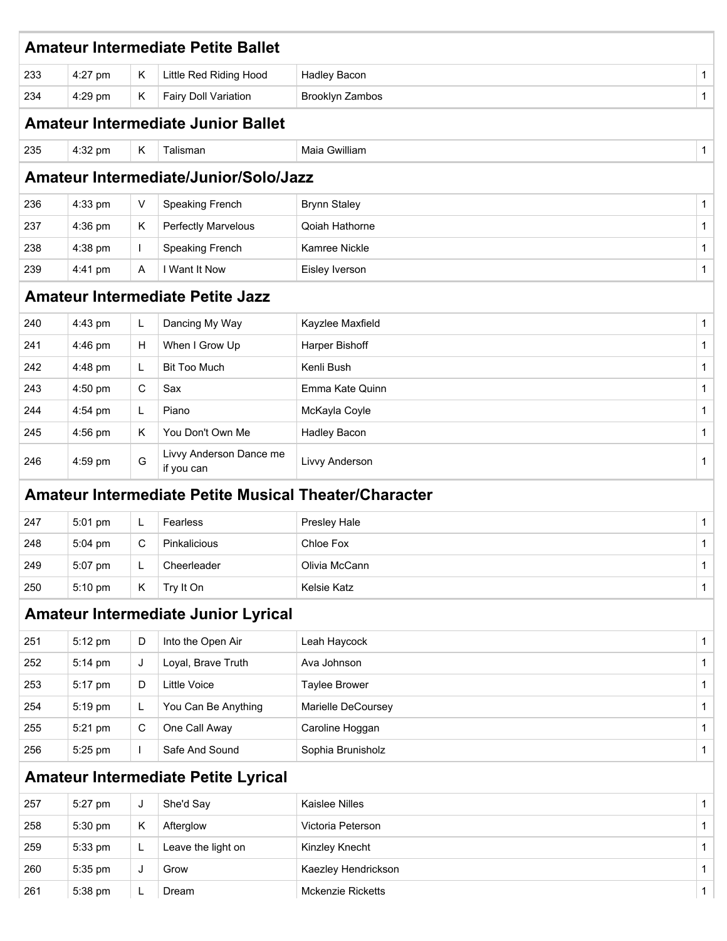|     |           |              | <b>Amateur Intermediate Petite Ballet</b>                    |                     |              |
|-----|-----------|--------------|--------------------------------------------------------------|---------------------|--------------|
| 233 | 4:27 pm   | K            | Little Red Riding Hood                                       | <b>Hadley Bacon</b> | 1            |
| 234 | 4:29 pm   | K            | <b>Fairy Doll Variation</b>                                  | Brooklyn Zambos     | 1            |
|     |           |              | <b>Amateur Intermediate Junior Ballet</b>                    |                     |              |
| 235 | 4:32 pm   | K            | Talisman                                                     | Maia Gwilliam       | 1            |
|     |           |              | Amateur Intermediate/Junior/Solo/Jazz                        |                     |              |
| 236 | 4:33 pm   | $\vee$       | <b>Speaking French</b>                                       | <b>Brynn Staley</b> | 1            |
| 237 | 4:36 pm   | Κ            | <b>Perfectly Marvelous</b>                                   | Qoiah Hathorne      | 1            |
| 238 | 4:38 pm   | $\mathbf{L}$ | Speaking French                                              | Kamree Nickle       | 1            |
| 239 | 4:41 pm   | A            | I Want It Now                                                | Eisley Iverson      | 1            |
|     |           |              | <b>Amateur Intermediate Petite Jazz</b>                      |                     |              |
| 240 | 4:43 pm   | L.           | Dancing My Way                                               | Kayzlee Maxfield    | 1            |
| 241 | 4:46 pm   | H            | When I Grow Up                                               | Harper Bishoff      | 1            |
| 242 | $4:48$ pm | L.           | <b>Bit Too Much</b>                                          | Kenli Bush          | 1            |
| 243 | $4:50$ pm | C            | Sax                                                          | Emma Kate Quinn     | 1            |
| 244 | 4:54 pm   | L            | Piano                                                        | McKayla Coyle       | 1            |
| 245 | 4:56 pm   | Κ            | You Don't Own Me                                             | <b>Hadley Bacon</b> | 1            |
| 246 | 4:59 pm   | G            | Livvy Anderson Dance me<br>if you can                        | Livvy Anderson      | 1            |
|     |           |              | <b>Amateur Intermediate Petite Musical Theater/Character</b> |                     |              |
| 247 | 5:01 pm   | L            | Fearless                                                     | Presley Hale        | 1            |
| 248 | $5:04$ pm | C            | Pinkalicious                                                 | Chloe Fox           | $\mathbf{1}$ |
| 249 | 5:07 pm   | L            | Cheerleader                                                  | Olivia McCann       | $\mathbf 1$  |
| 250 | 5:10 pm   | K            | Try It On                                                    | Kelsie Katz         | $\mathbf{1}$ |
|     |           |              | <b>Amateur Intermediate Junior Lyrical</b>                   |                     |              |
| 251 | 5:12 pm   | D            | Into the Open Air                                            | Leah Haycock        | 1            |
| 252 | 5:14 pm   | J            | Loyal, Brave Truth                                           | Ava Johnson         | 1            |
| 253 | 5:17 pm   | D            | Little Voice                                                 | Taylee Brower       | 1            |
| 254 | 5:19 pm   | L.           | You Can Be Anything                                          | Marielle DeCoursey  | 1            |
| 255 | 5:21 pm   | C            | One Call Away                                                | Caroline Hoggan     | 1            |
| 256 | 5:25 pm   | $\mathbf{I}$ | Safe And Sound                                               | Sophia Brunisholz   | 1            |
|     |           |              | <b>Amateur Intermediate Petite Lyrical</b>                   |                     |              |
| 257 | 5:27 pm   | J            | She'd Say                                                    | Kaislee Nilles      | 1            |
| 258 | 5:30 pm   | K            | Afterglow                                                    | Victoria Peterson   | 1            |
| 259 | 5:33 pm   | L            | Leave the light on                                           | Kinzley Knecht      | 1            |
| 260 | 5:35 pm   | J            | Grow                                                         | Kaezley Hendrickson | 1            |
| 261 | 5:38 pm   | L            | Dream                                                        | Mckenzie Ricketts   | $\mathbf{1}$ |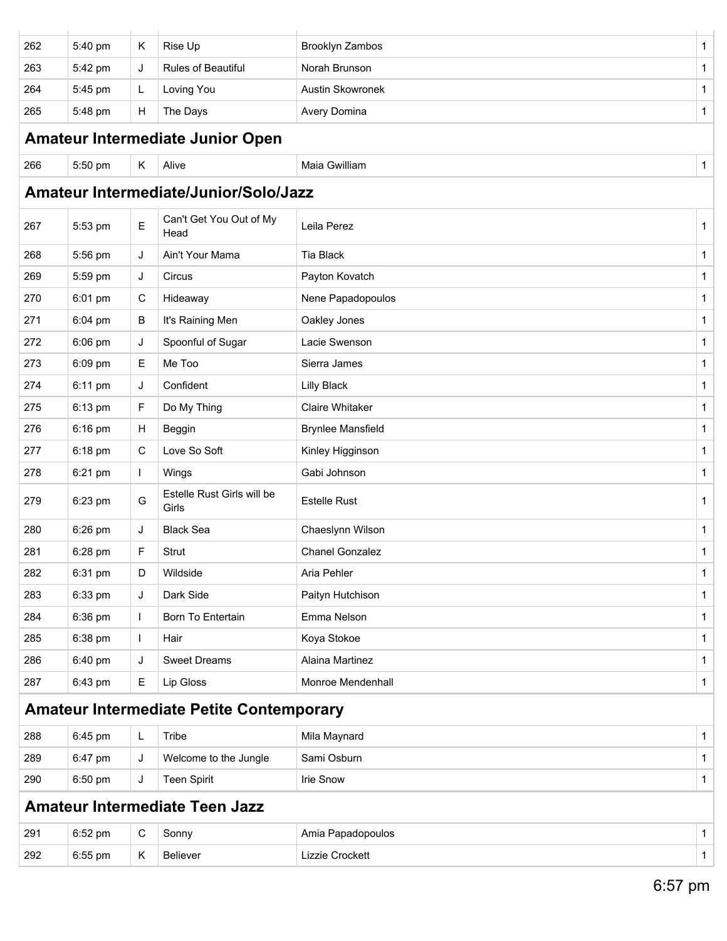| 262 | 5:40 pm | Κ           | Rise Up                                         | Brooklyn Zambos          | $\mathbf{1}$ |
|-----|---------|-------------|-------------------------------------------------|--------------------------|--------------|
| 263 | 5:42 pm | J           | Rules of Beautiful                              | Norah Brunson            | 1            |
| 264 | 5:45 pm | L           | Loving You                                      | Austin Skowronek         | 1            |
| 265 | 5:48 pm | н           | The Days                                        | Avery Domina             | 1            |
|     |         |             | Amateur Intermediate Junior Open                |                          |              |
| 266 | 5:50 pm | Κ           | Alive                                           | Maia Gwilliam            | $\mathbf{1}$ |
|     |         |             | Amateur Intermediate/Junior/Solo/Jazz           |                          |              |
| 267 | 5:53 pm | Е           | Can't Get You Out of My<br>Head                 | Leila Perez              | 1            |
| 268 | 5:56 pm | J           | Ain't Your Mama                                 | Tia Black                | 1            |
| 269 | 5:59 pm | J           | Circus                                          | Payton Kovatch           | 1            |
| 270 | 6:01 pm | $\mathbf C$ | Hideaway                                        | Nene Papadopoulos        | 1            |
| 271 | 6:04 pm | В           | It's Raining Men                                | Oakley Jones             | $\mathbf{1}$ |
| 272 | 6:06 pm | J           | Spoonful of Sugar                               | Lacie Swenson            | $\mathbf{1}$ |
| 273 | 6:09 pm | Е           | Me Too                                          | Sierra James             | $\mathbf 1$  |
| 274 | 6:11 pm | J           | Confident                                       | <b>Lilly Black</b>       | $\mathbf{1}$ |
| 275 | 6:13 pm | F           | Do My Thing                                     | <b>Claire Whitaker</b>   | $\mathbf 1$  |
| 276 | 6:16 pm | Н           | Beggin                                          | <b>Brynlee Mansfield</b> | 1            |
| 277 | 6:18 pm | C           | Love So Soft                                    | Kinley Higginson         | 1            |
| 278 | 6:21 pm | I           | Wings                                           | Gabi Johnson             | $\mathbf{1}$ |
| 279 | 6:23 pm | G           | Estelle Rust Girls will be<br>Girls             | <b>Estelle Rust</b>      | 1            |
| 280 | 6:26 pm | J           | <b>Black Sea</b>                                | Chaeslynn Wilson         | 1            |
| 281 | 6:28 pm | F           | Strut                                           | <b>Chanel Gonzalez</b>   | $\mathbf{1}$ |
| 282 | 6:31 pm | D           | Wildside                                        | Aria Pehler              | 1            |
| 283 | 6:33 pm | J           | Dark Side                                       | Paityn Hutchison         | 1            |
| 284 | 6:36 pm |             | Born To Entertain                               | Emma Nelson              | 1            |
| 285 | 6:38 pm |             | Hair                                            | Koya Stokoe              | 1            |
| 286 | 6:40 pm | J           | <b>Sweet Dreams</b>                             | Alaina Martinez          | 1            |
| 287 | 6:43 pm | Е           | Lip Gloss                                       | Monroe Mendenhall        | 1            |
|     |         |             | <b>Amateur Intermediate Petite Contemporary</b> |                          |              |
| 288 | 6:45 pm | L           | Tribe                                           | Mila Maynard             | 1            |
| 289 | 6:47 pm | J           | Welcome to the Jungle                           | Sami Osburn              | 1            |
| 290 | 6:50 pm | J           | <b>Teen Spirit</b>                              | <b>Irie Snow</b>         | $\mathbf{1}$ |
|     |         |             | <b>Amateur Intermediate Teen Jazz</b>           |                          |              |
| 291 | 6:52 pm | С           | Sonny                                           | Amia Papadopoulos        | 1            |
| 292 | 6:55 pm | Κ           | Believer                                        | Lizzie Crockett          | $\mathbf{1}$ |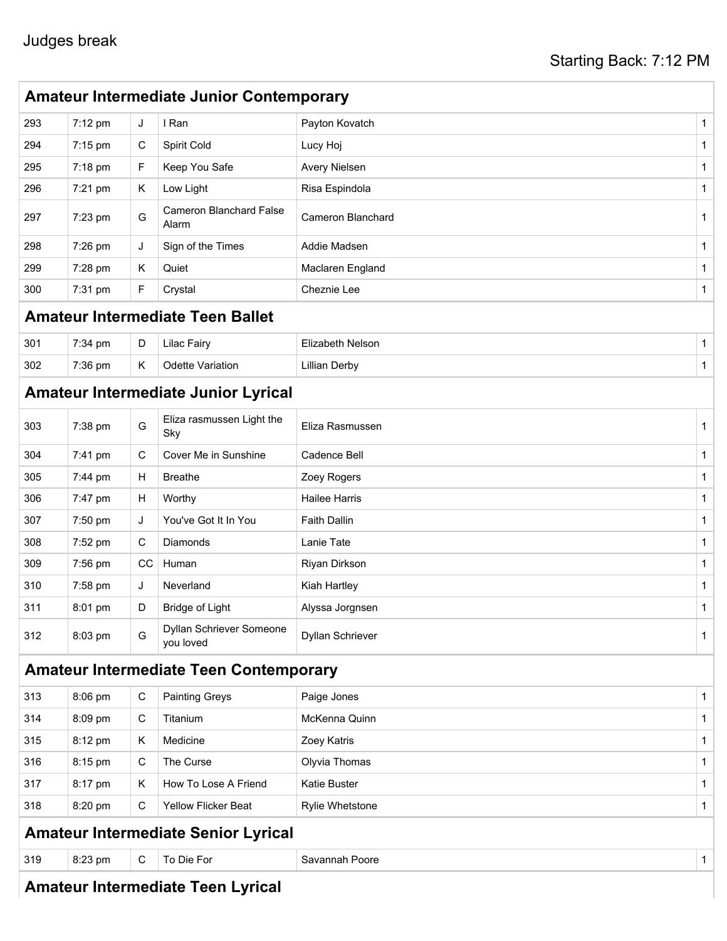|     | <b>Amateur Intermediate Junior Contemporary</b> |             |                                               |                          |              |  |  |  |  |
|-----|-------------------------------------------------|-------------|-----------------------------------------------|--------------------------|--------------|--|--|--|--|
| 293 | 7:12 pm                                         | J           | I Ran                                         | Payton Kovatch           | 1            |  |  |  |  |
| 294 | $7:15$ pm                                       | C           | Spirit Cold                                   | Lucy Hoj                 | $\mathbf 1$  |  |  |  |  |
| 295 | 7:18 pm                                         | F.          | Keep You Safe                                 | Avery Nielsen            | 1            |  |  |  |  |
| 296 | $7:21$ pm                                       | Κ           | Low Light                                     | Risa Espindola           | 1            |  |  |  |  |
| 297 | 7:23 pm                                         | G           | <b>Cameron Blanchard False</b><br>Alarm       | <b>Cameron Blanchard</b> | $\mathbf 1$  |  |  |  |  |
| 298 | 7:26 pm                                         | J           | Sign of the Times                             | Addie Madsen             | $\mathbf{1}$ |  |  |  |  |
| 299 | 7:28 pm                                         | K           | Quiet                                         | Maclaren England         | $\mathbf{1}$ |  |  |  |  |
| 300 | 7:31 pm                                         | F.          | Crystal                                       | Cheznie Lee              | $\mathbf{1}$ |  |  |  |  |
|     |                                                 |             | <b>Amateur Intermediate Teen Ballet</b>       |                          |              |  |  |  |  |
| 301 | 7:34 pm                                         | D           | <b>Lilac Fairy</b>                            | Elizabeth Nelson         | $\mathbf{1}$ |  |  |  |  |
| 302 | 7:36 pm                                         | Κ           | <b>Odette Variation</b>                       | <b>Lillian Derby</b>     | $\mathbf 1$  |  |  |  |  |
|     |                                                 |             | <b>Amateur Intermediate Junior Lyrical</b>    |                          |              |  |  |  |  |
| 303 | 7:38 pm                                         | G           | Eliza rasmussen Light the<br>Sky              | Eliza Rasmussen          | $\mathbf{1}$ |  |  |  |  |
| 304 | 7:41 pm                                         | C           | Cover Me in Sunshine                          | Cadence Bell             | $\mathbf 1$  |  |  |  |  |
| 305 | 7:44 pm                                         | Н           | <b>Breathe</b>                                | Zoey Rogers              | $\mathbf 1$  |  |  |  |  |
| 306 | 7:47 pm                                         | H           | Worthy                                        | <b>Hailee Harris</b>     | 1            |  |  |  |  |
| 307 | 7:50 pm                                         | J           | You've Got It In You                          | <b>Faith Dallin</b>      | $\mathbf{1}$ |  |  |  |  |
| 308 | 7:52 pm                                         | C           | Diamonds                                      | Lanie Tate               | $\mathbf{1}$ |  |  |  |  |
| 309 | 7:56 pm                                         | cc          | Human                                         | Riyan Dirkson            | 1            |  |  |  |  |
| 310 | 7:58 pm                                         | J           | Neverland                                     | Kiah Hartley             | 1            |  |  |  |  |
| 311 | 8:01 pm                                         | D           | <b>Bridge of Light</b>                        | Alyssa Jorgnsen          | $\mathbf{1}$ |  |  |  |  |
| 312 | 8:03 pm                                         | G           | Dyllan Schriever Someone<br>you loved         | Dyllan Schriever         | 1            |  |  |  |  |
|     |                                                 |             | <b>Amateur Intermediate Teen Contemporary</b> |                          |              |  |  |  |  |
| 313 | 8:06 pm                                         | $\mathbf C$ | <b>Painting Greys</b>                         | Paige Jones              | 1            |  |  |  |  |
| 314 | 8:09 pm                                         | C           | Titanium                                      | McKenna Quinn            | $\mathbf{1}$ |  |  |  |  |
| 315 | 8:12 pm                                         | K           | Medicine                                      | Zoey Katris              | 1            |  |  |  |  |
| 316 | 8:15 pm                                         | C           | The Curse                                     | Olyvia Thomas            | 1            |  |  |  |  |
| 317 | 8:17 pm                                         | Κ           | How To Lose A Friend                          | Katie Buster             | 1            |  |  |  |  |
| 318 | 8:20 pm                                         | C           | <b>Yellow Flicker Beat</b>                    | Rylie Whetstone          | $\mathbf{1}$ |  |  |  |  |
|     |                                                 |             | <b>Amateur Intermediate Senior Lyrical</b>    |                          |              |  |  |  |  |
| 319 | 8:23 pm                                         | $\mathsf C$ | To Die For                                    | Savannah Poore           | $\mathbf{1}$ |  |  |  |  |
|     |                                                 |             |                                               |                          |              |  |  |  |  |

#### **Amateur Intermediate Teen Lyrical**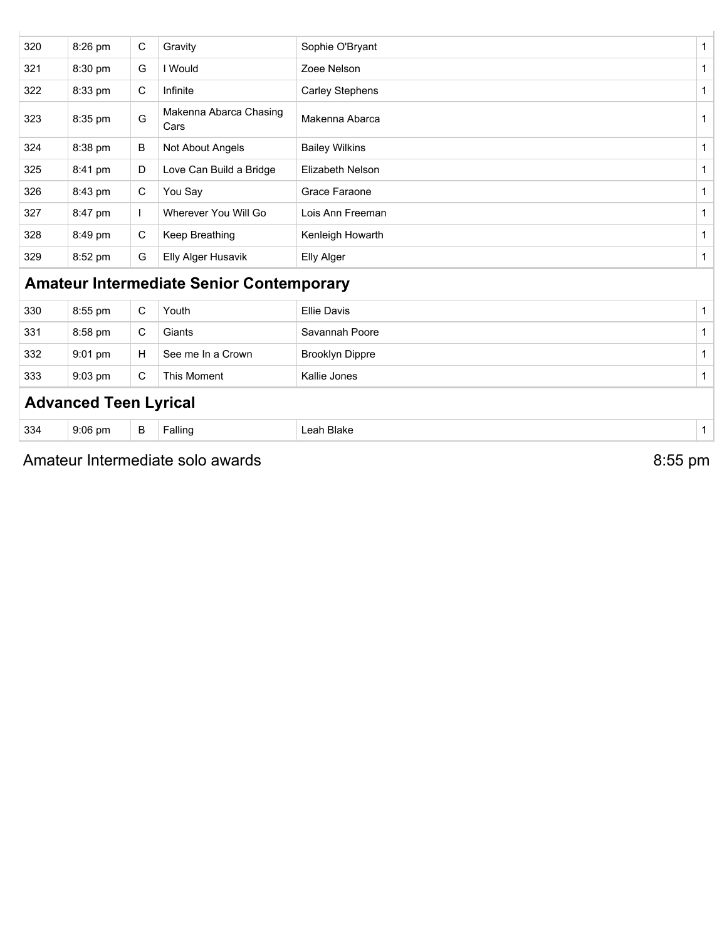|     | <b>Advanced Teen Lyrical</b> |              |                                                 |                         |              |
|-----|------------------------------|--------------|-------------------------------------------------|-------------------------|--------------|
| 333 | 9:03 pm                      | $\mathsf{C}$ | This Moment                                     | Kallie Jones            | 1            |
| 332 | 9:01 pm                      | H            | See me In a Crown                               | <b>Brooklyn Dippre</b>  | 1            |
| 331 | 8:58 pm                      | $\mathsf{C}$ | Giants                                          | Savannah Poore          | 1            |
| 330 | 8:55 pm                      | $\mathsf C$  | Youth                                           | <b>Ellie Davis</b>      | 1            |
|     |                              |              | <b>Amateur Intermediate Senior Contemporary</b> |                         |              |
| 329 | 8:52 pm                      | G            | <b>Elly Alger Husavik</b>                       | Elly Alger              | 1            |
| 328 | 8:49 pm                      | C            | Keep Breathing                                  | Kenleigh Howarth        | 1            |
| 327 | 8:47 pm                      | $\mathbf{I}$ | Wherever You Will Go                            | Lois Ann Freeman        | 1            |
| 326 | 8:43 pm                      | C            | You Say                                         | Grace Faraone           | 1            |
| 325 | 8:41 pm                      | D            | Love Can Build a Bridge                         | <b>Elizabeth Nelson</b> |              |
| 324 | 8:38 pm                      | B            | Not About Angels                                | <b>Bailey Wilkins</b>   | 1            |
| 323 | 8:35 pm                      | G            | Makenna Abarca Chasing<br>Cars                  | Makenna Abarca          | 1            |
| 322 | 8:33 pm                      | $\mathsf{C}$ | Infinite                                        | <b>Carley Stephens</b>  | 1            |
| 321 | 8:30 pm                      | G            | I Would                                         | Zoee Nelson             | 1            |
| 320 | 8:26 pm                      | C            | Gravity                                         | Sophie O'Bryant         | $\mathbf{1}$ |

Amateur Intermediate solo awards **8:55 pm**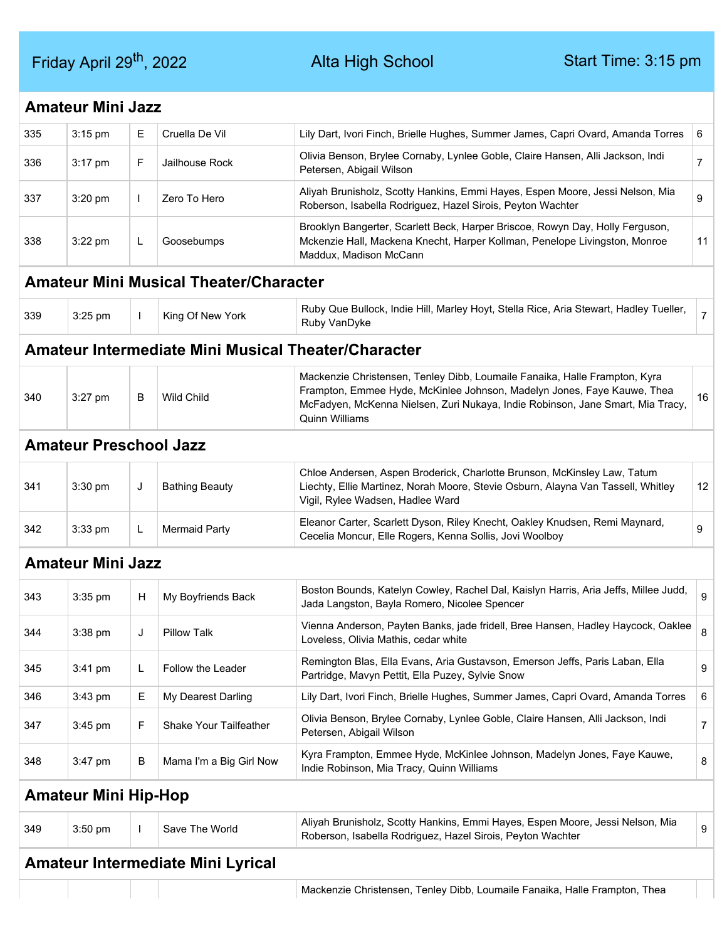Friday April 29<sup>th</sup>, 2022 Alta High School Start Time: 3:15 pm

|     | <b>Amateur Mini Jazz</b>      |              |                                                            |                                                                                                                                                                                                                                                                  |                |
|-----|-------------------------------|--------------|------------------------------------------------------------|------------------------------------------------------------------------------------------------------------------------------------------------------------------------------------------------------------------------------------------------------------------|----------------|
| 335 | $3:15$ pm                     | Е            | Cruella De Vil                                             | Lily Dart, Ivori Finch, Brielle Hughes, Summer James, Capri Ovard, Amanda Torres                                                                                                                                                                                 | 6              |
| 336 | 3:17 pm                       | F.           | Jailhouse Rock                                             | Olivia Benson, Brylee Cornaby, Lynlee Goble, Claire Hansen, Alli Jackson, Indi<br>Petersen, Abigail Wilson                                                                                                                                                       | $\overline{7}$ |
| 337 | 3:20 pm                       | $\mathbf{L}$ | Zero To Hero                                               | Aliyah Brunisholz, Scotty Hankins, Emmi Hayes, Espen Moore, Jessi Nelson, Mia<br>Roberson, Isabella Rodriguez, Hazel Sirois, Peyton Wachter                                                                                                                      | 9              |
| 338 | $3:22$ pm                     | L.           | Goosebumps                                                 | Brooklyn Bangerter, Scarlett Beck, Harper Briscoe, Rowyn Day, Holly Ferguson,<br>Mckenzie Hall, Mackena Knecht, Harper Kollman, Penelope Livingston, Monroe<br>Maddux, Madison McCann                                                                            | 11             |
|     |                               |              | <b>Amateur Mini Musical Theater/Character</b>              |                                                                                                                                                                                                                                                                  |                |
| 339 | 3:25 pm                       | $\mathbf{I}$ | King Of New York                                           | Ruby Que Bullock, Indie Hill, Marley Hoyt, Stella Rice, Aria Stewart, Hadley Tueller,<br>Ruby VanDyke                                                                                                                                                            | $\overline{7}$ |
|     |                               |              | <b>Amateur Intermediate Mini Musical Theater/Character</b> |                                                                                                                                                                                                                                                                  |                |
| 340 | 3:27 pm                       | В            | <b>Wild Child</b>                                          | Mackenzie Christensen, Tenley Dibb, Loumaile Fanaika, Halle Frampton, Kyra<br>Frampton, Emmee Hyde, McKinlee Johnson, Madelyn Jones, Faye Kauwe, Thea<br>McFadyen, McKenna Nielsen, Zuri Nukaya, Indie Robinson, Jane Smart, Mia Tracy,<br><b>Quinn Williams</b> | 16             |
|     | <b>Amateur Preschool Jazz</b> |              |                                                            |                                                                                                                                                                                                                                                                  |                |
| 341 | 3:30 pm                       | J            | <b>Bathing Beauty</b>                                      | Chloe Andersen, Aspen Broderick, Charlotte Brunson, McKinsley Law, Tatum<br>Liechty, Ellie Martinez, Norah Moore, Stevie Osburn, Alayna Van Tassell, Whitley<br>Vigil, Rylee Wadsen, Hadlee Ward                                                                 | 12             |
| 342 | 3:33 pm                       | L            | <b>Mermaid Party</b>                                       | Eleanor Carter, Scarlett Dyson, Riley Knecht, Oakley Knudsen, Remi Maynard,<br>Cecelia Moncur, Elle Rogers, Kenna Sollis, Jovi Woolboy                                                                                                                           | 9              |
|     | <b>Amateur Mini Jazz</b>      |              |                                                            |                                                                                                                                                                                                                                                                  |                |
| 343 | 3:35 pm                       | H            | My Boyfriends Back                                         | Boston Bounds, Katelyn Cowley, Rachel Dal, Kaislyn Harris, Aria Jeffs, Millee Judd,<br>Jada Langston, Bayla Romero, Nicolee Spencer                                                                                                                              | 9              |
| 344 | 3:38 pm                       | J            | <b>Pillow Talk</b>                                         | Vienna Anderson, Payten Banks, jade fridell, Bree Hansen, Hadley Haycock, Oaklee<br>Loveless, Olivia Mathis, cedar white                                                                                                                                         | 8              |
| 345 | 3:41 pm                       | L            | Follow the Leader                                          | Remington Blas, Ella Evans, Aria Gustavson, Emerson Jeffs, Paris Laban, Ella<br>Partridge, Mavyn Pettit, Ella Puzey, Sylvie Snow                                                                                                                                 | 9              |
| 346 | 3:43 pm                       | E            | My Dearest Darling                                         | Lily Dart, Ivori Finch, Brielle Hughes, Summer James, Capri Ovard, Amanda Torres                                                                                                                                                                                 | 6              |
| 347 | $3:45$ pm                     | F            | Shake Your Tailfeather                                     | Olivia Benson, Brylee Cornaby, Lynlee Goble, Claire Hansen, Alli Jackson, Indi<br>Petersen, Abigail Wilson                                                                                                                                                       | 7              |
| 348 | $3:47$ pm                     | В            | Mama I'm a Big Girl Now                                    | Kyra Frampton, Emmee Hyde, McKinlee Johnson, Madelyn Jones, Faye Kauwe,<br>Indie Robinson, Mia Tracy, Quinn Williams                                                                                                                                             | 8              |
|     | <b>Amateur Mini Hip-Hop</b>   |              |                                                            |                                                                                                                                                                                                                                                                  |                |
| 349 | 3:50 pm                       |              | Save The World                                             | Aliyah Brunisholz, Scotty Hankins, Emmi Hayes, Espen Moore, Jessi Nelson, Mia<br>Roberson, Isabella Rodriguez, Hazel Sirois, Peyton Wachter                                                                                                                      | 9              |
|     |                               |              | <b>Amateur Intermediate Mini Lyrical</b>                   |                                                                                                                                                                                                                                                                  |                |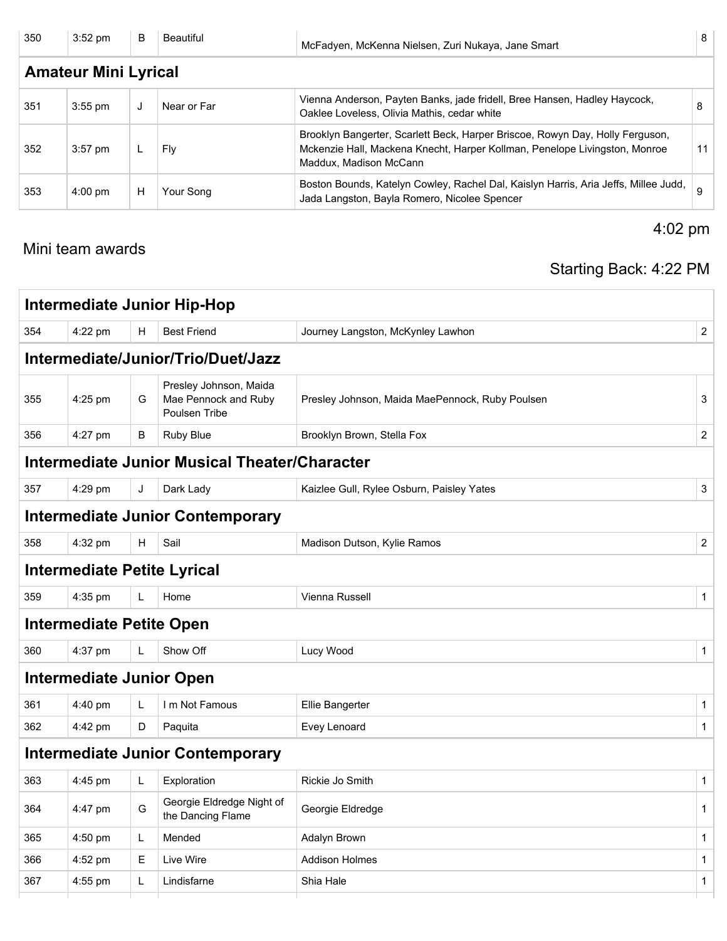| 350 | $3:52$ pm                   | B | Beautiful   | McFadyen, McKenna Nielsen, Zuri Nukaya, Jane Smart                                                                                                                                    | 8  |  |  |  |
|-----|-----------------------------|---|-------------|---------------------------------------------------------------------------------------------------------------------------------------------------------------------------------------|----|--|--|--|
|     | <b>Amateur Mini Lyrical</b> |   |             |                                                                                                                                                                                       |    |  |  |  |
| 351 | $3:55$ pm                   | J | Near or Far | Vienna Anderson, Payten Banks, jade fridell, Bree Hansen, Hadley Haycock,<br>Oaklee Loveless, Olivia Mathis, cedar white                                                              | 8  |  |  |  |
| 352 | $3:57$ pm                   |   | Fly         | Brooklyn Bangerter, Scarlett Beck, Harper Briscoe, Rowyn Day, Holly Ferguson,<br>Mckenzie Hall, Mackena Knecht, Harper Kollman, Penelope Livingston, Monroe<br>Maddux, Madison McCann | 11 |  |  |  |
| 353 | $4:00 \text{ pm}$           | H | Your Song   | Boston Bounds, Katelyn Cowley, Rachel Dal, Kaislyn Harris, Aria Jeffs, Millee Judd,<br>Jada Langston, Bayla Romero, Nicolee Spencer                                                   |    |  |  |  |

#### Mini team awards

### Starting Back: 4:22 PM

4:02 pm

|     |                                    |   | <b>Intermediate Junior Hip-Hop</b>                              |                                                 |                |  |  |  |  |
|-----|------------------------------------|---|-----------------------------------------------------------------|-------------------------------------------------|----------------|--|--|--|--|
| 354 | 4:22 pm                            | н | <b>Best Friend</b>                                              | Journey Langston, McKynley Lawhon               | $\overline{2}$ |  |  |  |  |
|     | Intermediate/Junior/Trio/Duet/Jazz |   |                                                                 |                                                 |                |  |  |  |  |
| 355 | 4:25 pm                            | G | Presley Johnson, Maida<br>Mae Pennock and Ruby<br>Poulsen Tribe | Presley Johnson, Maida MaePennock, Ruby Poulsen | 3              |  |  |  |  |
| 356 | 4:27 pm                            | В | Ruby Blue                                                       | Brooklyn Brown, Stella Fox                      | $\overline{2}$ |  |  |  |  |
|     |                                    |   | Intermediate Junior Musical Theater/Character                   |                                                 |                |  |  |  |  |
| 357 | 4:29 pm                            | J | Dark Lady                                                       | Kaizlee Gull, Rylee Osburn, Paisley Yates       | 3              |  |  |  |  |
|     |                                    |   | <b>Intermediate Junior Contemporary</b>                         |                                                 |                |  |  |  |  |
| 358 | 4:32 pm                            | H | Sail                                                            | Madison Dutson, Kylie Ramos                     | $\overline{2}$ |  |  |  |  |
|     |                                    |   | <b>Intermediate Petite Lyrical</b>                              |                                                 |                |  |  |  |  |
| 359 | 4:35 pm                            | L | Home                                                            | <b>Vienna Russell</b>                           | $\mathbf{1}$   |  |  |  |  |
|     | <b>Intermediate Petite Open</b>    |   |                                                                 |                                                 |                |  |  |  |  |
| 360 | 4:37 pm                            | L | Show Off                                                        | Lucy Wood                                       | $\mathbf{1}$   |  |  |  |  |
|     | <b>Intermediate Junior Open</b>    |   |                                                                 |                                                 |                |  |  |  |  |
| 361 | $4:40$ pm                          | L | I m Not Famous                                                  | <b>Ellie Bangerter</b>                          | $\mathbf{1}$   |  |  |  |  |
| 362 | 4:42 pm                            | D | Paquita                                                         | Evey Lenoard                                    | $\mathbf{1}$   |  |  |  |  |
|     |                                    |   | <b>Intermediate Junior Contemporary</b>                         |                                                 |                |  |  |  |  |
| 363 | 4:45 pm                            | L | Exploration                                                     | Rickie Jo Smith                                 | $\mathbf{1}$   |  |  |  |  |
| 364 | 4:47 pm                            | G | Georgie Eldredge Night of<br>the Dancing Flame                  | Georgie Eldredge                                | $\mathbf{1}$   |  |  |  |  |
| 365 | 4:50 pm                            | L | Mended                                                          | Adalyn Brown                                    | $\mathbf{1}$   |  |  |  |  |
| 366 | 4:52 pm                            | Е | Live Wire                                                       | <b>Addison Holmes</b>                           | $\mathbf{1}$   |  |  |  |  |
| 367 | $4:55$ pm                          | L | Lindisfarne                                                     | Shia Hale                                       | $\mathbf{1}$   |  |  |  |  |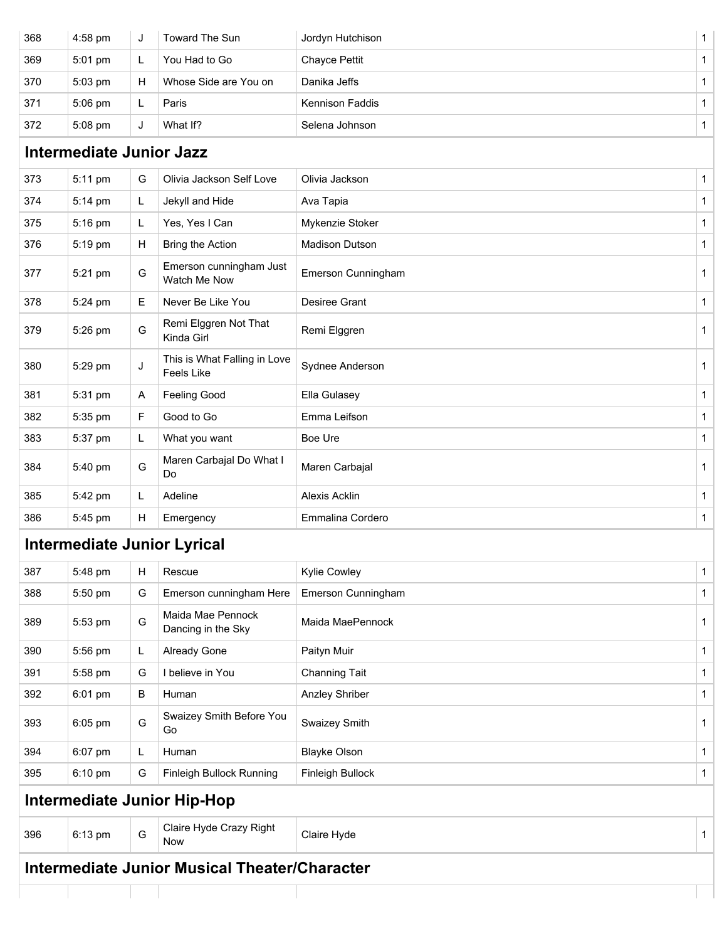|     |                                 |    | Now<br><b>Intermediate Junior Musical Theater/Character</b> |                        |  |
|-----|---------------------------------|----|-------------------------------------------------------------|------------------------|--|
| 396 | 6:13 pm                         | G  | Claire Hyde Crazy Right                                     | Claire Hyde            |  |
|     |                                 |    | <b>Intermediate Junior Hip-Hop</b>                          |                        |  |
| 395 | 6:10 pm                         | G  | Finleigh Bullock Running                                    | Finleigh Bullock       |  |
| 394 | 6:07 pm                         | L. | Human                                                       | <b>Blayke Olson</b>    |  |
| 393 | 6:05 pm                         | G  | Swaizey Smith Before You<br>Go                              | Swaizey Smith          |  |
| 392 | 6:01 pm                         | В  | Human                                                       | <b>Anzley Shriber</b>  |  |
| 391 | 5:58 pm                         | G  | I believe in You                                            | <b>Channing Tait</b>   |  |
| 390 | 5:56 pm                         | L. | Already Gone                                                | Paityn Muir            |  |
| 389 | 5:53 pm                         | G  | Maida Mae Pennock<br>Dancing in the Sky                     | Maida MaePennock       |  |
| 388 | 5:50 pm                         | G  | Emerson cunningham Here                                     | Emerson Cunningham     |  |
| 387 | 5:48 pm                         | н  | Rescue                                                      | <b>Kylie Cowley</b>    |  |
|     |                                 |    | <b>Intermediate Junior Lyrical</b>                          |                        |  |
| 386 | 5:45 pm                         | H  | Emergency                                                   | Emmalina Cordero       |  |
| 385 | 5:42 pm                         | L  | Adeline                                                     | Alexis Acklin          |  |
| 384 | 5:40 pm                         | G  | Maren Carbajal Do What I<br>Do                              | Maren Carbajal         |  |
| 383 | 5:37 pm                         | L. | What you want                                               | Boe Ure                |  |
| 382 | 5:35 pm                         | F  | Good to Go                                                  | Emma Leifson           |  |
| 381 | 5:31 pm                         | Α  | <b>Feeling Good</b>                                         | Ella Gulasey           |  |
| 380 | 5:29 pm                         | J  | This is What Falling in Love<br>Feels Like                  | Sydnee Anderson        |  |
| 379 | 5:26 pm                         | G  | Remi Elggren Not That<br>Kinda Girl                         | Remi Elggren           |  |
| 378 | 5:24 pm                         | Е. | Never Be Like You                                           | Desiree Grant          |  |
| 377 | 5:21 pm                         | G  | Emerson cunningham Just<br>Watch Me Now                     | Emerson Cunningham     |  |
| 376 | 5:19 pm                         | H  | Bring the Action                                            | Madison Dutson         |  |
| 375 | 5:16 pm                         | L  | Yes, Yes I Can                                              | Mykenzie Stoker        |  |
| 374 | 5:14 pm                         | L  | Jekyll and Hide                                             | Ava Tapia              |  |
| 373 | 5:11 pm                         | G  | Olivia Jackson Self Love                                    | Olivia Jackson         |  |
|     | <b>Intermediate Junior Jazz</b> |    |                                                             |                        |  |
| 372 | 5:08 pm                         | J  | What If?                                                    | Selena Johnson         |  |
| 371 | 5:06 pm                         | L  | Paris                                                       | <b>Kennison Faddis</b> |  |
| 370 | 5:03 pm                         | H  | Whose Side are You on                                       | Danika Jeffs           |  |
| 369 | 5:01 pm                         | L. | You Had to Go                                               | Chayce Pettit          |  |
| 368 | 4:58 pm                         | J  | Toward The Sun                                              | Jordyn Hutchison       |  |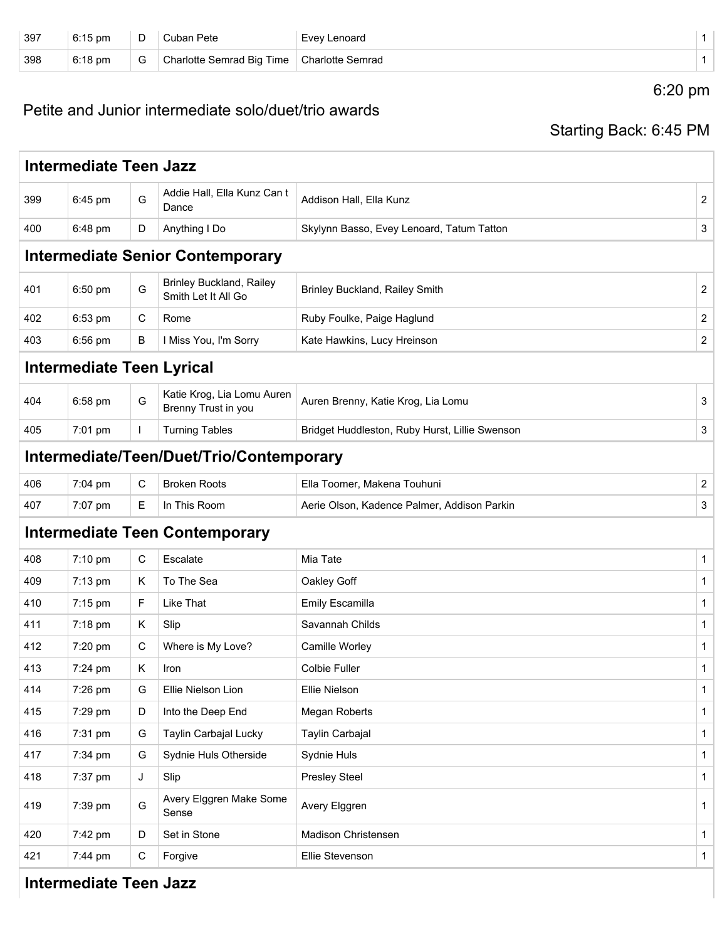| 397 | $6:15$ pm | ◡ | Pete                      | Evev Lenoard            |  |
|-----|-----------|---|---------------------------|-------------------------|--|
| 398 | $6:18$ pm | v | Charlotte Semrad Big Time | <b>Charlotte Semrad</b> |  |

6:20 pm

### Petite and Junior intermediate solo/duet/trio awards

### Starting Back: 6:45 PM

|     | <b>Intermediate Teen Jazz</b>           |    |                                                        |                                                |                         |  |  |  |
|-----|-----------------------------------------|----|--------------------------------------------------------|------------------------------------------------|-------------------------|--|--|--|
| 399 | 6:45 pm                                 | G  | Addie Hall, Ella Kunz Can t<br>Dance                   | Addison Hall, Ella Kunz                        | 2                       |  |  |  |
| 400 | 6:48 pm                                 | D  | Anything I Do                                          | Skylynn Basso, Evey Lenoard, Tatum Tatton      | 3                       |  |  |  |
|     | <b>Intermediate Senior Contemporary</b> |    |                                                        |                                                |                         |  |  |  |
| 401 | 6:50 pm                                 | G  | <b>Brinley Buckland, Railey</b><br>Smith Let It All Go | <b>Brinley Buckland, Railey Smith</b>          | 2                       |  |  |  |
| 402 | 6:53 pm                                 | C  | Rome                                                   | Ruby Foulke, Paige Haglund                     | 2                       |  |  |  |
| 403 | 6:56 pm                                 | B  | I Miss You, I'm Sorry                                  | Kate Hawkins, Lucy Hreinson                    | $\overline{c}$          |  |  |  |
|     | <b>Intermediate Teen Lyrical</b>        |    |                                                        |                                                |                         |  |  |  |
| 404 | 6:58 pm                                 | G  | Katie Krog, Lia Lomu Auren<br>Brenny Trust in you      | Auren Brenny, Katie Krog, Lia Lomu             | 3                       |  |  |  |
| 405 | 7:01 pm                                 | T. | <b>Turning Tables</b>                                  | Bridget Huddleston, Ruby Hurst, Lillie Swenson | 3                       |  |  |  |
|     |                                         |    | Intermediate/Teen/Duet/Trio/Contemporary               |                                                |                         |  |  |  |
| 406 | 7:04 pm                                 | C  | <b>Broken Roots</b>                                    | Ella Toomer, Makena Touhuni                    | $\overline{\mathbf{c}}$ |  |  |  |
| 407 | 7:07 pm                                 | Е  | In This Room                                           | Aerie Olson, Kadence Palmer, Addison Parkin    | 3                       |  |  |  |
|     |                                         |    | <b>Intermediate Teen Contemporary</b>                  |                                                |                         |  |  |  |
| 408 | 7:10 pm                                 | С  | Escalate                                               | Mia Tate                                       | $\mathbf 1$             |  |  |  |
| 409 | 7:13 pm                                 | K  | To The Sea                                             | Oakley Goff                                    | 1                       |  |  |  |
| 410 | 7:15 pm                                 | F  | Like That                                              | <b>Emily Escamilla</b>                         | 1                       |  |  |  |
| 411 | 7:18 pm                                 | Κ  | Slip                                                   | Savannah Childs                                | 1                       |  |  |  |
| 412 | 7:20 pm                                 | С  | Where is My Love?                                      | Camille Worley                                 | $\mathbf{1}$            |  |  |  |
| 413 | 7:24 pm                                 | K  | Iron                                                   | <b>Colbie Fuller</b>                           | $\mathbf{1}$            |  |  |  |
| 414 | 7:26 pm                                 | G  | Ellie Nielson Lion                                     | Ellie Nielson                                  | 1                       |  |  |  |
| 415 | 7:29 pm                                 | D  | Into the Deep End                                      | Megan Roberts                                  | $\mathbf{1}$            |  |  |  |
| 416 | 7:31 pm                                 | G  | Taylin Carbajal Lucky                                  | Taylin Carbajal                                | $\mathbf{1}$            |  |  |  |
| 417 | 7:34 pm                                 | G  | Sydnie Huls Otherside                                  | Sydnie Huls                                    | $\mathbf{1}$            |  |  |  |
| 418 | 7:37 pm                                 | J  | Slip                                                   | <b>Presley Steel</b>                           | 1                       |  |  |  |
| 419 | 7:39 pm                                 | G  | Avery Elggren Make Some<br>Sense                       | Avery Elggren                                  | 1                       |  |  |  |
| 420 | 7:42 pm                                 | D  | Set in Stone                                           | Madison Christensen                            | 1                       |  |  |  |
| 421 | 7:44 pm                                 | C  | Forgive                                                | Ellie Stevenson                                | $\mathbf{1}$            |  |  |  |

#### **Intermediate Teen Jazz**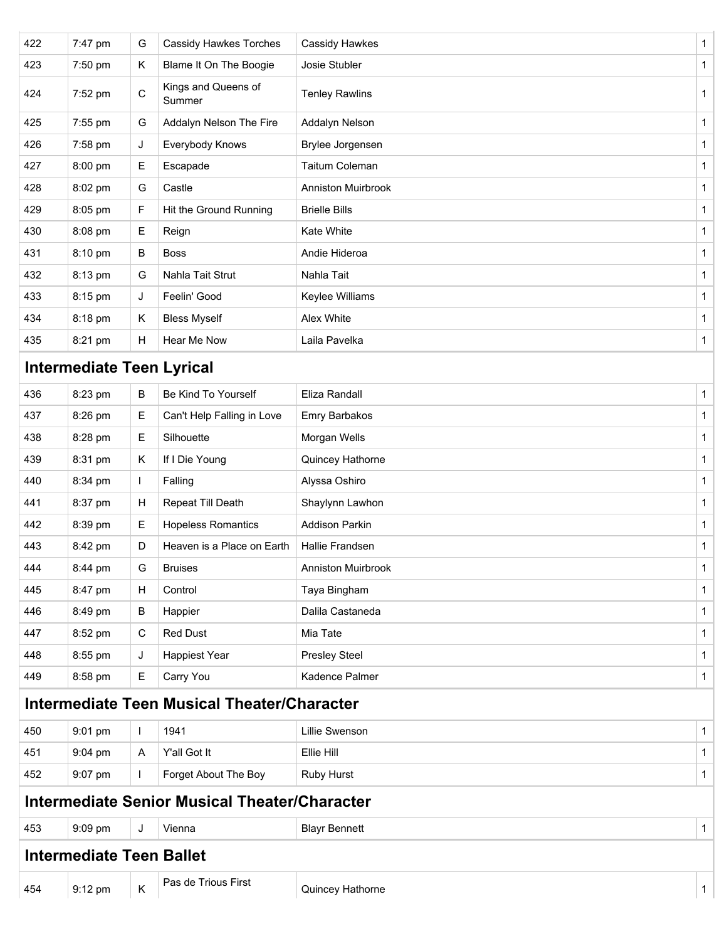| 422 | 7:47 pm                          | G            | <b>Cassidy Hawkes Torches</b>                        | Cassidy Hawkes            | 1            |
|-----|----------------------------------|--------------|------------------------------------------------------|---------------------------|--------------|
| 423 | 7:50 pm                          | Κ            | Blame It On The Boogie                               | Josie Stubler             | 1            |
| 424 | 7:52 pm                          | $\mathsf C$  | Kings and Queens of<br>Summer                        | <b>Tenley Rawlins</b>     | $\mathbf{1}$ |
| 425 | 7:55 pm                          | G            | Addalyn Nelson The Fire                              | Addalyn Nelson            | $\mathbf{1}$ |
| 426 | 7:58 pm                          | J            | Everybody Knows                                      | Brylee Jorgensen          | $\mathbf 1$  |
| 427 | 8:00 pm                          | Е            | Escapade                                             | Taitum Coleman            | $\mathbf 1$  |
| 428 | 8:02 pm                          | G            | Castle                                               | <b>Anniston Muirbrook</b> | $\mathbf{1}$ |
| 429 | 8:05 pm                          | F.           | Hit the Ground Running                               | <b>Brielle Bills</b>      | $\mathbf{1}$ |
| 430 | 8:08 pm                          | Е            | Reign                                                | Kate White                | $\mathbf{1}$ |
| 431 | 8:10 pm                          | В            | <b>Boss</b>                                          | Andie Hideroa             | $\mathbf{1}$ |
| 432 | 8:13 pm                          | G            | Nahla Tait Strut                                     | Nahla Tait                | $\mathbf{1}$ |
| 433 | 8:15 pm                          | J            | Feelin' Good                                         | Keylee Williams           | $\mathbf{1}$ |
| 434 | 8:18 pm                          | Κ            | <b>Bless Myself</b>                                  | Alex White                | $\mathbf{1}$ |
| 435 | 8:21 pm                          | н            | Hear Me Now                                          | Laila Pavelka             | 1            |
|     | <b>Intermediate Teen Lyrical</b> |              |                                                      |                           |              |
| 436 | 8:23 pm                          | В            | Be Kind To Yourself                                  | Eliza Randall             | $\mathbf{1}$ |
| 437 | 8:26 pm                          | Е            | Can't Help Falling in Love                           | Emry Barbakos             | $\mathbf{1}$ |
| 438 | 8:28 pm                          | Е            | Silhouette                                           | Morgan Wells              | $\mathbf{1}$ |
| 439 | 8:31 pm                          | Κ            | If I Die Young                                       | Quincey Hathorne          | $\mathbf{1}$ |
| 440 | 8:34 pm                          | L            | Falling                                              | Alyssa Oshiro             | $\mathbf{1}$ |
| 441 | 8:37 pm                          | н            | Repeat Till Death                                    | Shaylynn Lawhon           | $\mathbf{1}$ |
| 442 | 8:39 pm                          | E            | <b>Hopeless Romantics</b>                            | <b>Addison Parkin</b>     | $\mathbf{1}$ |
| 443 | 8:42 pm                          | D            | Heaven is a Place on Earth                           | Hallie Frandsen           | $\mathbf{1}$ |
| 444 | 8:44 pm                          | G            | <b>Bruises</b>                                       | <b>Anniston Muirbrook</b> | 1            |
| 445 | 8:47 pm                          | Н            | Control                                              | Taya Bingham              | $\mathbf{1}$ |
| 446 | 8:49 pm                          | В            | Happier                                              | Dalila Castaneda          | $\mathbf{1}$ |
| 447 | 8:52 pm                          | C            | <b>Red Dust</b>                                      | Mia Tate                  | $\mathbf{1}$ |
| 448 | 8:55 pm                          | J            | Happiest Year                                        | <b>Presley Steel</b>      | $\mathbf{1}$ |
| 449 | 8:58 pm                          | Е            | Carry You                                            | Kadence Palmer            | $\mathbf{1}$ |
|     |                                  |              | <b>Intermediate Teen Musical Theater/Character</b>   |                           |              |
| 450 | 9:01 pm                          | $\mathbf{I}$ | 1941                                                 | Lillie Swenson            | $\mathbf{1}$ |
| 451 | 9:04 pm                          | A            | Y'all Got It                                         | Ellie Hill                | $\mathbf{1}$ |
| 452 | 9:07 pm                          | L            | Forget About The Boy                                 | Ruby Hurst                | $\mathbf{1}$ |
|     |                                  |              | <b>Intermediate Senior Musical Theater/Character</b> |                           |              |
| 453 | 9:09 pm                          | J            | Vienna                                               | <b>Blayr Bennett</b>      | $\mathbf{1}$ |
|     | <b>Intermediate Teen Ballet</b>  |              |                                                      |                           |              |
| 454 | 9:12 pm                          | Κ            | Pas de Trious First                                  | Quincey Hathorne          | 1            |
|     |                                  |              |                                                      |                           |              |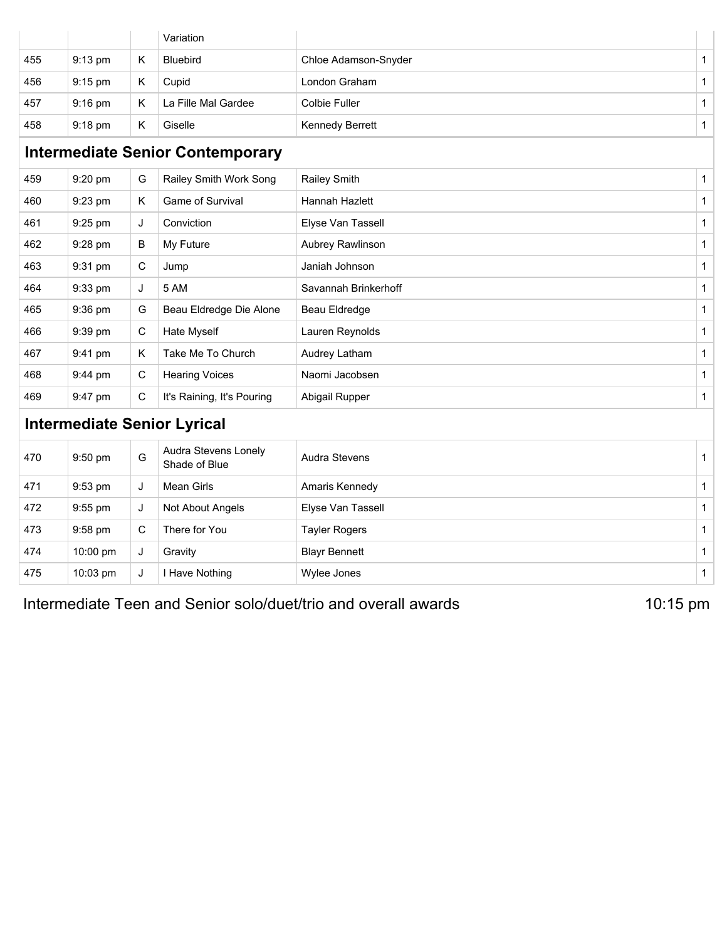|     |                                         |              | Variation                             |                        |              |  |
|-----|-----------------------------------------|--------------|---------------------------------------|------------------------|--------------|--|
| 455 | 9:13 pm                                 | K            | <b>Bluebird</b>                       | Chloe Adamson-Snyder   | 1            |  |
| 456 | 9:15 pm                                 | K            | Cupid                                 | London Graham          | $\mathbf{1}$ |  |
| 457 | 9:16 pm                                 | K            | La Fille Mal Gardee                   | <b>Colbie Fuller</b>   | $\mathbf{1}$ |  |
| 458 | 9:18 pm                                 | K            | Giselle                               | <b>Kennedy Berrett</b> | $\mathbf{1}$ |  |
|     | <b>Intermediate Senior Contemporary</b> |              |                                       |                        |              |  |
| 459 | 9:20 pm                                 | G            | Railey Smith Work Song                | Railey Smith           | $\mathbf{1}$ |  |
| 460 | 9:23 pm                                 | K            | Game of Survival                      | Hannah Hazlett         | $\mathbf{1}$ |  |
| 461 | 9:25 pm                                 | J            | Conviction                            | Elyse Van Tassell      | $\mathbf{1}$ |  |
| 462 | 9:28 pm                                 | В            | My Future                             | Aubrey Rawlinson       | $\mathbf{1}$ |  |
| 463 | 9:31 pm                                 | C            | Jump                                  | Janiah Johnson         | $\mathbf{1}$ |  |
| 464 | 9:33 pm                                 | J            | 5 AM                                  | Savannah Brinkerhoff   | $\mathbf{1}$ |  |
| 465 | 9:36 pm                                 | G            | Beau Eldredge Die Alone               | Beau Eldredge          | $\mathbf{1}$ |  |
| 466 | 9:39 pm                                 | $\mathbf C$  | Hate Myself                           | Lauren Reynolds        | $\mathbf{1}$ |  |
| 467 | 9:41 pm                                 | K            | Take Me To Church                     | Audrey Latham          | $\mathbf{1}$ |  |
| 468 | 9:44 pm                                 | $\mathbf C$  | <b>Hearing Voices</b>                 | Naomi Jacobsen         | $\mathbf{1}$ |  |
| 469 | 9:47 pm                                 | С            | It's Raining, It's Pouring            | Abigail Rupper         | $\mathbf{1}$ |  |
|     |                                         |              | <b>Intermediate Senior Lyrical</b>    |                        |              |  |
| 470 | 9:50 pm                                 | G            | Audra Stevens Lonely<br>Shade of Blue | Audra Stevens          | $\mathbf{1}$ |  |
| 471 | 9:53 pm                                 | J            | <b>Mean Girls</b>                     | Amaris Kennedy         | $\mathbf{1}$ |  |
| 472 | 9:55 pm                                 | J            | Not About Angels                      | Elyse Van Tassell      | $\mathbf{1}$ |  |
| 473 | 9:58 pm                                 | $\mathsf{C}$ | There for You                         | <b>Tayler Rogers</b>   | $\mathbf{1}$ |  |
| 474 | 10:00 pm                                | J            | Gravity                               | <b>Blayr Bennett</b>   | $\mathbf{1}$ |  |
| 475 | 10:03 pm                                | J            | I Have Nothing                        | Wylee Jones            | $\mathbf{1}$ |  |

Intermediate Teen and Senior solo/duet/trio and overall awards 10:15 pm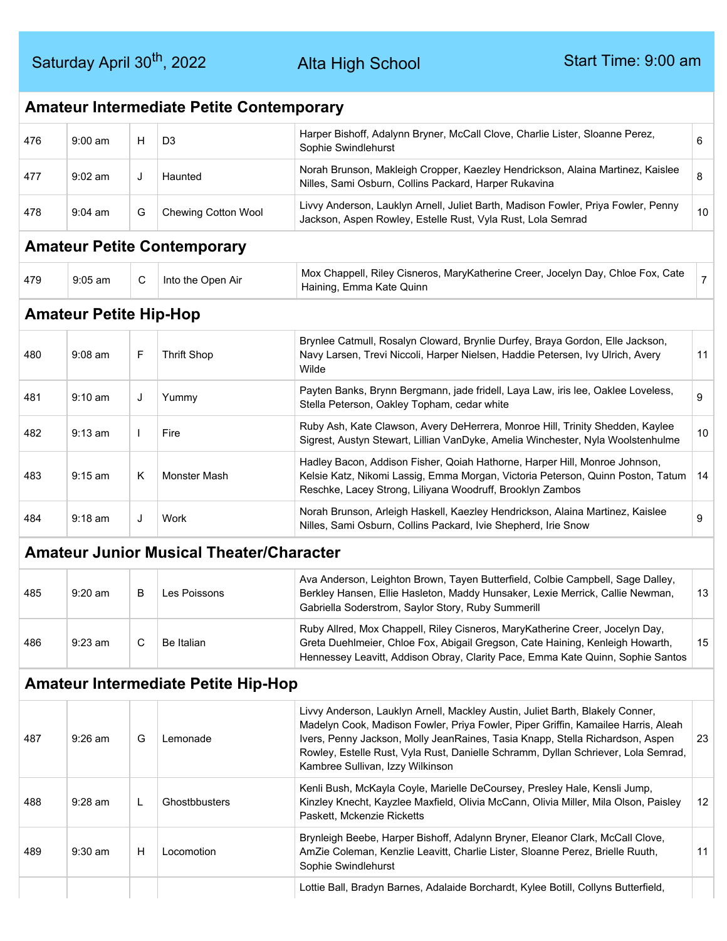Alta High School

|     | <b>Amateur Intermediate Petite Contemporary</b> |              |                                                 |                                                                                                                                                                                                                                                                                                                                                                              |                |  |  |  |  |
|-----|-------------------------------------------------|--------------|-------------------------------------------------|------------------------------------------------------------------------------------------------------------------------------------------------------------------------------------------------------------------------------------------------------------------------------------------------------------------------------------------------------------------------------|----------------|--|--|--|--|
| 476 | $9:00$ am                                       | H            | D <sub>3</sub>                                  | Harper Bishoff, Adalynn Bryner, McCall Clove, Charlie Lister, Sloanne Perez,<br>Sophie Swindlehurst                                                                                                                                                                                                                                                                          | 6              |  |  |  |  |
| 477 | $9:02$ am                                       | J            | Haunted                                         | Norah Brunson, Makleigh Cropper, Kaezley Hendrickson, Alaina Martinez, Kaislee<br>Nilles, Sami Osburn, Collins Packard, Harper Rukavina                                                                                                                                                                                                                                      | 8              |  |  |  |  |
| 478 | $9:04$ am                                       | G            | Chewing Cotton Wool                             | Livvy Anderson, Lauklyn Arnell, Juliet Barth, Madison Fowler, Priya Fowler, Penny<br>Jackson, Aspen Rowley, Estelle Rust, Vyla Rust, Lola Semrad                                                                                                                                                                                                                             | 10             |  |  |  |  |
|     |                                                 |              | <b>Amateur Petite Contemporary</b>              |                                                                                                                                                                                                                                                                                                                                                                              |                |  |  |  |  |
| 479 | $9:05$ am                                       | C            | Into the Open Air                               | Mox Chappell, Riley Cisneros, MaryKatherine Creer, Jocelyn Day, Chloe Fox, Cate<br>Haining, Emma Kate Quinn                                                                                                                                                                                                                                                                  | $\overline{7}$ |  |  |  |  |
|     | <b>Amateur Petite Hip-Hop</b>                   |              |                                                 |                                                                                                                                                                                                                                                                                                                                                                              |                |  |  |  |  |
| 480 | $9:08$ am                                       | F            | <b>Thrift Shop</b>                              | Brynlee Catmull, Rosalyn Cloward, Brynlie Durfey, Braya Gordon, Elle Jackson,<br>Navy Larsen, Trevi Niccoli, Harper Nielsen, Haddie Petersen, Ivy Ulrich, Avery<br>Wilde                                                                                                                                                                                                     | 11             |  |  |  |  |
| 481 | $9:10$ am                                       | J            | Yummy                                           | Payten Banks, Brynn Bergmann, jade fridell, Laya Law, iris lee, Oaklee Loveless,<br>Stella Peterson, Oakley Topham, cedar white                                                                                                                                                                                                                                              | 9              |  |  |  |  |
| 482 | $9:13$ am                                       | $\mathbf{I}$ | Fire                                            | Ruby Ash, Kate Clawson, Avery DeHerrera, Monroe Hill, Trinity Shedden, Kaylee<br>Sigrest, Austyn Stewart, Lillian VanDyke, Amelia Winchester, Nyla Woolstenhulme                                                                                                                                                                                                             | 10             |  |  |  |  |
| 483 | $9:15$ am                                       | Κ            | Monster Mash                                    | Hadley Bacon, Addison Fisher, Qoiah Hathorne, Harper Hill, Monroe Johnson,<br>Kelsie Katz, Nikomi Lassig, Emma Morgan, Victoria Peterson, Quinn Poston, Tatum<br>Reschke, Lacey Strong, Liliyana Woodruff, Brooklyn Zambos                                                                                                                                                   | 14             |  |  |  |  |
| 484 | 9:18 am                                         | J            | Work                                            | Norah Brunson, Arleigh Haskell, Kaezley Hendrickson, Alaina Martinez, Kaislee<br>Nilles, Sami Osburn, Collins Packard, Ivie Shepherd, Irie Snow                                                                                                                                                                                                                              | 9              |  |  |  |  |
|     |                                                 |              | <b>Amateur Junior Musical Theater/Character</b> |                                                                                                                                                                                                                                                                                                                                                                              |                |  |  |  |  |
| 485 | $9:20$ am                                       | B            | Les Poissons                                    | Ava Anderson, Leighton Brown, Tayen Butterfield, Colbie Campbell, Sage Dalley,<br>Berkley Hansen, Ellie Hasleton, Maddy Hunsaker, Lexie Merrick, Callie Newman,<br>Gabriella Soderstrom, Saylor Story, Ruby Summerill                                                                                                                                                        | 13             |  |  |  |  |
| 486 | $9:23$ am                                       | С            | Be Italian                                      | Ruby Allred, Mox Chappell, Riley Cisneros, MaryKatherine Creer, Jocelyn Day,<br>Greta Duehlmeier, Chloe Fox, Abigail Gregson, Cate Haining, Kenleigh Howarth,<br>Hennessey Leavitt, Addison Obray, Clarity Pace, Emma Kate Quinn, Sophie Santos                                                                                                                              | 15             |  |  |  |  |
|     |                                                 |              | <b>Amateur Intermediate Petite Hip-Hop</b>      |                                                                                                                                                                                                                                                                                                                                                                              |                |  |  |  |  |
| 487 | 9:26 am                                         | G            | Lemonade                                        | Livvy Anderson, Lauklyn Arnell, Mackley Austin, Juliet Barth, Blakely Conner,<br>Madelyn Cook, Madison Fowler, Priya Fowler, Piper Griffin, Kamailee Harris, Aleah<br>Ivers, Penny Jackson, Molly JeanRaines, Tasia Knapp, Stella Richardson, Aspen<br>Rowley, Estelle Rust, Vyla Rust, Danielle Schramm, Dyllan Schriever, Lola Semrad,<br>Kambree Sullivan, Izzy Wilkinson | 23             |  |  |  |  |
| 488 | 9:28 am                                         | L            | Ghostbbusters                                   | Kenli Bush, McKayla Coyle, Marielle DeCoursey, Presley Hale, Kensli Jump,<br>Kinzley Knecht, Kayzlee Maxfield, Olivia McCann, Olivia Miller, Mila Olson, Paisley<br>Paskett, Mckenzie Ricketts                                                                                                                                                                               | 12             |  |  |  |  |
| 489 | $9:30$ am                                       | Н            | Locomotion                                      | Brynleigh Beebe, Harper Bishoff, Adalynn Bryner, Eleanor Clark, McCall Clove,<br>AmZie Coleman, Kenzlie Leavitt, Charlie Lister, Sloanne Perez, Brielle Ruuth,<br>Sophie Swindlehurst                                                                                                                                                                                        | 11             |  |  |  |  |
|     |                                                 |              |                                                 | Lottie Ball, Bradyn Barnes, Adalaide Borchardt, Kylee Botill, Collyns Butterfield,                                                                                                                                                                                                                                                                                           |                |  |  |  |  |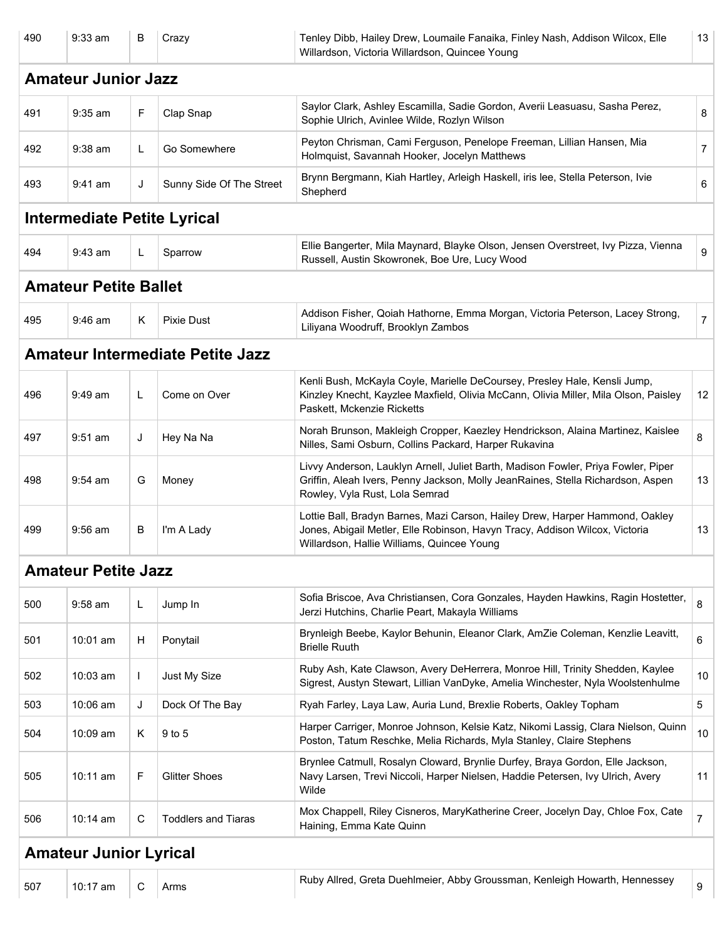| 490 | $9:33$ am                     | В  | Crazy                                   | Tenley Dibb, Hailey Drew, Loumaile Fanaika, Finley Nash, Addison Wilcox, Elle<br>Willardson, Victoria Willardson, Quincee Young                                                                           | 13             |
|-----|-------------------------------|----|-----------------------------------------|-----------------------------------------------------------------------------------------------------------------------------------------------------------------------------------------------------------|----------------|
|     | <b>Amateur Junior Jazz</b>    |    |                                         |                                                                                                                                                                                                           |                |
| 491 | $9:35$ am                     | F  | Clap Snap                               | Saylor Clark, Ashley Escamilla, Sadie Gordon, Averii Leasuasu, Sasha Perez,<br>Sophie Ulrich, Avinlee Wilde, Rozlyn Wilson                                                                                | 8              |
| 492 | $9:38$ am                     | L. | Go Somewhere                            | Peyton Chrisman, Cami Ferguson, Penelope Freeman, Lillian Hansen, Mia<br>Holmquist, Savannah Hooker, Jocelyn Matthews                                                                                     | $\overline{7}$ |
| 493 | 9:41 am                       | J  | Sunny Side Of The Street                | Brynn Bergmann, Kiah Hartley, Arleigh Haskell, iris lee, Stella Peterson, Ivie<br>Shepherd                                                                                                                | 6              |
|     |                               |    | <b>Intermediate Petite Lyrical</b>      |                                                                                                                                                                                                           |                |
| 494 | $9:43$ am                     | L. | Sparrow                                 | Ellie Bangerter, Mila Maynard, Blayke Olson, Jensen Overstreet, Ivy Pizza, Vienna<br>Russell, Austin Skowronek, Boe Ure, Lucy Wood                                                                        | 9              |
|     | <b>Amateur Petite Ballet</b>  |    |                                         |                                                                                                                                                                                                           |                |
| 495 | $9:46$ am                     | K  | <b>Pixie Dust</b>                       | Addison Fisher, Qoiah Hathorne, Emma Morgan, Victoria Peterson, Lacey Strong,<br>Liliyana Woodruff, Brooklyn Zambos                                                                                       | $\overline{7}$ |
|     |                               |    | <b>Amateur Intermediate Petite Jazz</b> |                                                                                                                                                                                                           |                |
| 496 | $9:49$ am                     | L  | Come on Over                            | Kenli Bush, McKayla Coyle, Marielle DeCoursey, Presley Hale, Kensli Jump,<br>Kinzley Knecht, Kayzlee Maxfield, Olivia McCann, Olivia Miller, Mila Olson, Paisley<br>Paskett, Mckenzie Ricketts            | 12             |
| 497 | $9:51$ am                     | J  | Hey Na Na                               | Norah Brunson, Makleigh Cropper, Kaezley Hendrickson, Alaina Martinez, Kaislee<br>Nilles, Sami Osburn, Collins Packard, Harper Rukavina                                                                   | 8              |
| 498 | $9:54$ am                     | G  | Money                                   | Livvy Anderson, Lauklyn Arnell, Juliet Barth, Madison Fowler, Priya Fowler, Piper<br>Griffin, Aleah Ivers, Penny Jackson, Molly JeanRaines, Stella Richardson, Aspen<br>Rowley, Vyla Rust, Lola Semrad    | 13             |
| 499 | $9:56$ am                     | B  | I'm A Lady                              | Lottie Ball, Bradyn Barnes, Mazi Carson, Hailey Drew, Harper Hammond, Oakley<br>Jones, Abigail Metler, Elle Robinson, Havyn Tracy, Addison Wilcox, Victoria<br>Willardson, Hallie Williams, Quincee Young | 13             |
|     | <b>Amateur Petite Jazz</b>    |    |                                         |                                                                                                                                                                                                           |                |
| 500 | 9:58 am                       | L  | Jump In                                 | Sofia Briscoe, Ava Christiansen, Cora Gonzales, Hayden Hawkins, Ragin Hostetter,<br>Jerzi Hutchins, Charlie Peart, Makayla Williams                                                                       | 8              |
| 501 | 10:01 am                      | Н  | Ponytail                                | Brynleigh Beebe, Kaylor Behunin, Eleanor Clark, AmZie Coleman, Kenzlie Leavitt,<br><b>Brielle Ruuth</b>                                                                                                   | 6              |
| 502 | 10:03 am                      | Τ. | Just My Size                            | Ruby Ash, Kate Clawson, Avery DeHerrera, Monroe Hill, Trinity Shedden, Kaylee<br>Sigrest, Austyn Stewart, Lillian VanDyke, Amelia Winchester, Nyla Woolstenhulme                                          | 10             |
| 503 | 10:06 am                      | J  | Dock Of The Bay                         | Ryah Farley, Laya Law, Auria Lund, Brexlie Roberts, Oakley Topham                                                                                                                                         | 5              |
| 504 | 10:09 am                      | Κ  | 9 to 5                                  | Harper Carriger, Monroe Johnson, Kelsie Katz, Nikomi Lassig, Clara Nielson, Quinn<br>Poston, Tatum Reschke, Melia Richards, Myla Stanley, Claire Stephens                                                 | 10             |
| 505 | 10:11 am                      | F  | <b>Glitter Shoes</b>                    | Brynlee Catmull, Rosalyn Cloward, Brynlie Durfey, Braya Gordon, Elle Jackson,<br>Navy Larsen, Trevi Niccoli, Harper Nielsen, Haddie Petersen, Ivy Ulrich, Avery<br>Wilde                                  | 11             |
| 506 | 10:14 am                      | C  | <b>Toddlers and Tiaras</b>              | Mox Chappell, Riley Cisneros, MaryKatherine Creer, Jocelyn Day, Chloe Fox, Cate<br>Haining, Emma Kate Quinn                                                                                               | $\overline{7}$ |
|     | <b>Amateur Junior Lyrical</b> |    |                                         |                                                                                                                                                                                                           |                |
| 507 | 10:17 am                      | C  | Arms                                    | Ruby Allred, Greta Duehlmeier, Abby Groussman, Kenleigh Howarth, Hennessey                                                                                                                                | 9              |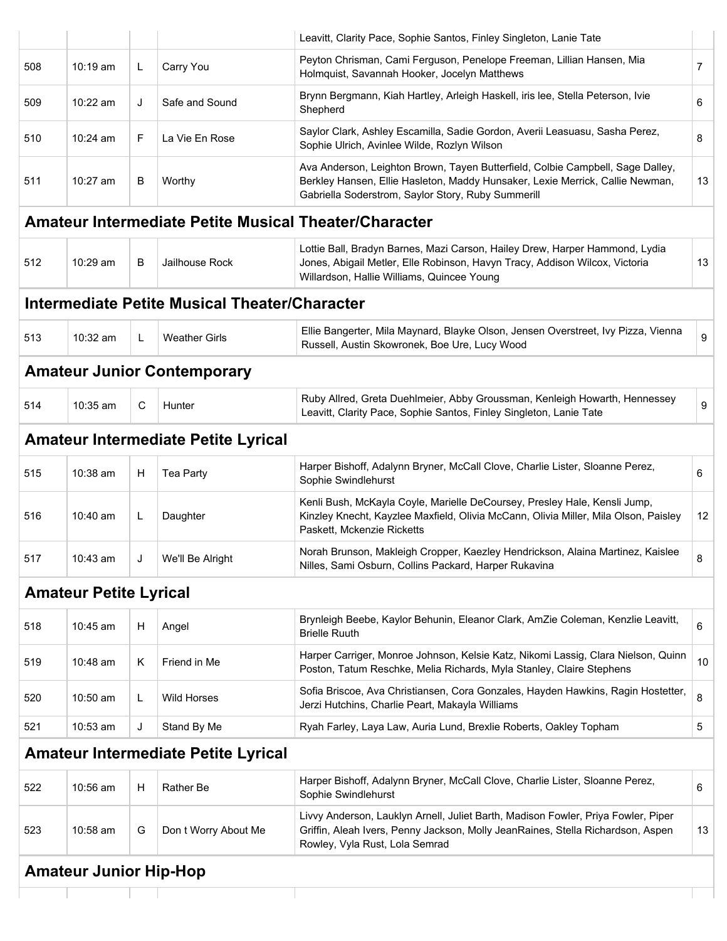|     |                               |    |                                                      | Leavitt, Clarity Pace, Sophie Santos, Finley Singleton, Lanie Tate                                                                                                                                                    |                |
|-----|-------------------------------|----|------------------------------------------------------|-----------------------------------------------------------------------------------------------------------------------------------------------------------------------------------------------------------------------|----------------|
| 508 | $10:19 \text{ am}$            | L  | Carry You                                            | Peyton Chrisman, Cami Ferguson, Penelope Freeman, Lillian Hansen, Mia<br>Holmquist, Savannah Hooker, Jocelyn Matthews                                                                                                 | $\overline{7}$ |
| 509 | $10:22$ am                    | J  | Safe and Sound                                       | Brynn Bergmann, Kiah Hartley, Arleigh Haskell, iris lee, Stella Peterson, Ivie<br>Shepherd                                                                                                                            | 6              |
| 510 | 10:24 am                      | F. | La Vie En Rose                                       | Saylor Clark, Ashley Escamilla, Sadie Gordon, Averii Leasuasu, Sasha Perez,<br>Sophie Ulrich, Avinlee Wilde, Rozlyn Wilson                                                                                            | 8              |
| 511 | 10:27 am                      | B  | Worthy                                               | Ava Anderson, Leighton Brown, Tayen Butterfield, Colbie Campbell, Sage Dalley,<br>Berkley Hansen, Ellie Hasleton, Maddy Hunsaker, Lexie Merrick, Callie Newman,<br>Gabriella Soderstrom, Saylor Story, Ruby Summerill | 13             |
|     |                               |    |                                                      | <b>Amateur Intermediate Petite Musical Theater/Character</b>                                                                                                                                                          |                |
| 512 | $10:29$ am                    | B  | Jailhouse Rock                                       | Lottie Ball, Bradyn Barnes, Mazi Carson, Hailey Drew, Harper Hammond, Lydia<br>Jones, Abigail Metler, Elle Robinson, Havyn Tracy, Addison Wilcox, Victoria<br>Willardson, Hallie Williams, Quincee Young              | 13             |
|     |                               |    | <b>Intermediate Petite Musical Theater/Character</b> |                                                                                                                                                                                                                       |                |
| 513 | 10:32 am                      | L. | <b>Weather Girls</b>                                 | Ellie Bangerter, Mila Maynard, Blayke Olson, Jensen Overstreet, Ivy Pizza, Vienna<br>Russell, Austin Skowronek, Boe Ure, Lucy Wood                                                                                    |                |
|     |                               |    | <b>Amateur Junior Contemporary</b>                   |                                                                                                                                                                                                                       |                |
| 514 | 10:35 am                      | C  | Hunter                                               | Ruby Allred, Greta Duehlmeier, Abby Groussman, Kenleigh Howarth, Hennessey<br>Leavitt, Clarity Pace, Sophie Santos, Finley Singleton, Lanie Tate                                                                      |                |
|     |                               |    | <b>Amateur Intermediate Petite Lyrical</b>           |                                                                                                                                                                                                                       |                |
| 515 | 10:38 am                      | H  | Tea Party                                            | Harper Bishoff, Adalynn Bryner, McCall Clove, Charlie Lister, Sloanne Perez,<br>Sophie Swindlehurst                                                                                                                   |                |
| 516 | 10:40 am                      | L  | Daughter                                             | Kenli Bush, McKayla Coyle, Marielle DeCoursey, Presley Hale, Kensli Jump,<br>Kinzley Knecht, Kayzlee Maxfield, Olivia McCann, Olivia Miller, Mila Olson, Paisley<br>Paskett. Mckenzie Ricketts                        |                |
| 517 | 10:43 am                      |    | We'll Be Alright                                     | Norah Brunson, Makleigh Cropper, Kaezley Hendrickson, Alaina Martinez, Kaislee<br>Nilles, Sami Osburn, Collins Packard, Harper Rukavina                                                                               |                |
|     | <b>Amateur Petite Lyrical</b> |    |                                                      |                                                                                                                                                                                                                       |                |
| 518 | 10:45 am                      | Н  | Angel                                                | Brynleigh Beebe, Kaylor Behunin, Eleanor Clark, AmZie Coleman, Kenzlie Leavitt,<br><b>Brielle Ruuth</b>                                                                                                               |                |
| 519 | 10:48 am                      | Κ  | Friend in Me                                         | Harper Carriger, Monroe Johnson, Kelsie Katz, Nikomi Lassig, Clara Nielson, Quinn<br>Poston, Tatum Reschke, Melia Richards, Myla Stanley, Claire Stephens                                                             |                |
| 520 | 10:50 am                      | L  | <b>Wild Horses</b>                                   | Sofia Briscoe, Ava Christiansen, Cora Gonzales, Hayden Hawkins, Ragin Hostetter,<br>Jerzi Hutchins, Charlie Peart, Makayla Williams                                                                                   |                |
| 521 | 10:53 am                      | J  | Stand By Me                                          | Ryah Farley, Laya Law, Auria Lund, Brexlie Roberts, Oakley Topham                                                                                                                                                     |                |
|     |                               |    | <b>Amateur Intermediate Petite Lyrical</b>           |                                                                                                                                                                                                                       |                |
| 522 | 10:56 am                      | Н  | Rather Be                                            | Harper Bishoff, Adalynn Bryner, McCall Clove, Charlie Lister, Sloanne Perez,<br>Sophie Swindlehurst                                                                                                                   |                |
| 523 | 10:58 am                      | G  | Don t Worry About Me                                 | Livvy Anderson, Lauklyn Arnell, Juliet Barth, Madison Fowler, Priya Fowler, Piper<br>Griffin, Aleah Ivers, Penny Jackson, Molly JeanRaines, Stella Richardson, Aspen<br>Rowley, Vyla Rust, Lola Semrad                |                |

#### **Amateur Junior Hip-Hop**

÷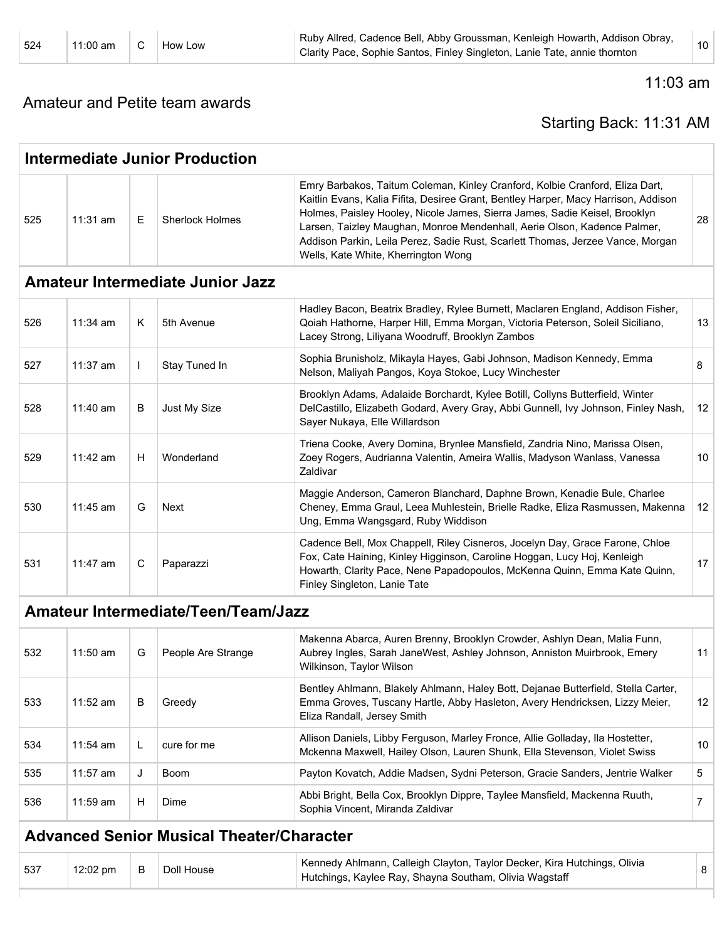524 11:00 am C How Low Ruby Allred, Cadence Bell, Abby Groussman, Kenleigh Howarth, Addison Obray, Ruby Allieu, Cauelice Bell, Abby Groussman, Renieigh Howarun, Addison Obray, 10<br>Clarity Pace, Sophie Santos, Finley Singleton, Lanie Tate, annie thornton

Amateur and Petite team awards

#### 11:03 am

#### Starting Back: 11:31 AM

|     |            |              | <b>Intermediate Junior Production</b>            |                                                                                                                                                                                                                                                                                                                                                                                                                                                       |                 |
|-----|------------|--------------|--------------------------------------------------|-------------------------------------------------------------------------------------------------------------------------------------------------------------------------------------------------------------------------------------------------------------------------------------------------------------------------------------------------------------------------------------------------------------------------------------------------------|-----------------|
| 525 | 11:31 am   | E.           | <b>Sherlock Holmes</b>                           | Emry Barbakos, Taitum Coleman, Kinley Cranford, Kolbie Cranford, Eliza Dart,<br>Kaitlin Evans, Kalia Fifita, Desiree Grant, Bentley Harper, Macy Harrison, Addison<br>Holmes, Paisley Hooley, Nicole James, Sierra James, Sadie Keisel, Brooklyn<br>Larsen, Taizley Maughan, Monroe Mendenhall, Aerie Olson, Kadence Palmer,<br>Addison Parkin, Leila Perez, Sadie Rust, Scarlett Thomas, Jerzee Vance, Morgan<br>Wells, Kate White, Kherrington Wong | 28              |
|     |            |              | <b>Amateur Intermediate Junior Jazz</b>          |                                                                                                                                                                                                                                                                                                                                                                                                                                                       |                 |
| 526 | $11:34$ am | K            | 5th Avenue                                       | Hadley Bacon, Beatrix Bradley, Rylee Burnett, Maclaren England, Addison Fisher,<br>Qoiah Hathorne, Harper Hill, Emma Morgan, Victoria Peterson, Soleil Siciliano,<br>Lacey Strong, Liliyana Woodruff, Brooklyn Zambos                                                                                                                                                                                                                                 | 13              |
| 527 | 11:37 am   | $\mathbf{I}$ | Stay Tuned In                                    | Sophia Brunisholz, Mikayla Hayes, Gabi Johnson, Madison Kennedy, Emma<br>Nelson, Maliyah Pangos, Koya Stokoe, Lucy Winchester                                                                                                                                                                                                                                                                                                                         | 8               |
| 528 | 11:40 am   | В            | Just My Size                                     | Brooklyn Adams, Adalaide Borchardt, Kylee Botill, Collyns Butterfield, Winter<br>DelCastillo, Elizabeth Godard, Avery Gray, Abbi Gunnell, Ivy Johnson, Finley Nash,<br>Sayer Nukaya, Elle Willardson                                                                                                                                                                                                                                                  | 12 <sup>°</sup> |
| 529 | 11:42 am   | H            | Wonderland                                       | Triena Cooke, Avery Domina, Brynlee Mansfield, Zandria Nino, Marissa Olsen,<br>Zoey Rogers, Audrianna Valentin, Ameira Wallis, Madyson Wanlass, Vanessa<br>Zaldivar                                                                                                                                                                                                                                                                                   | 10              |
| 530 | 11:45 am   | G            | Next                                             | Maggie Anderson, Cameron Blanchard, Daphne Brown, Kenadie Bule, Charlee<br>Cheney, Emma Graul, Leea Muhlestein, Brielle Radke, Eliza Rasmussen, Makenna<br>Ung, Emma Wangsgard, Ruby Widdison                                                                                                                                                                                                                                                         | 12 <sup>°</sup> |
| 531 | 11:47 am   | C            | Paparazzi                                        | Cadence Bell, Mox Chappell, Riley Cisneros, Jocelyn Day, Grace Farone, Chloe<br>Fox, Cate Haining, Kinley Higginson, Caroline Hoggan, Lucy Hoj, Kenleigh<br>Howarth, Clarity Pace, Nene Papadopoulos, McKenna Quinn, Emma Kate Quinn,<br>Finley Singleton, Lanie Tate                                                                                                                                                                                 | 17              |
|     |            |              | <b>Amateur Intermediate/Teen/Team/Jazz</b>       |                                                                                                                                                                                                                                                                                                                                                                                                                                                       |                 |
| 532 | $11:50$ am | G            | People Are Strange                               | Makenna Abarca, Auren Brenny, Brooklyn Crowder, Ashlyn Dean, Malia Funn,<br>Aubrey Ingles, Sarah JaneWest, Ashley Johnson, Anniston Muirbrook, Emery<br>Wilkinson, Taylor Wilson                                                                                                                                                                                                                                                                      | 11              |
| 533 | 11:52 am   | В            | Greedy                                           | Bentley Ahlmann, Blakely Ahlmann, Haley Bott, Dejanae Butterfield, Stella Carter,<br>Emma Groves, Tuscany Hartle, Abby Hasleton, Avery Hendricksen, Lizzy Meier,<br>Eliza Randall, Jersey Smith                                                                                                                                                                                                                                                       | 12              |
| 534 | 11:54 am   | L            | cure for me                                      | Allison Daniels, Libby Ferguson, Marley Fronce, Allie Golladay, Ila Hostetter,<br>Mckenna Maxwell, Hailey Olson, Lauren Shunk, Ella Stevenson, Violet Swiss                                                                                                                                                                                                                                                                                           | 10              |
| 535 | 11:57 am   | J            | Boom                                             | Payton Kovatch, Addie Madsen, Sydni Peterson, Gracie Sanders, Jentrie Walker                                                                                                                                                                                                                                                                                                                                                                          | 5               |
| 536 | 11:59 am   | Н            | Dime                                             | Abbi Bright, Bella Cox, Brooklyn Dippre, Taylee Mansfield, Mackenna Ruuth,<br>Sophia Vincent, Miranda Zaldivar                                                                                                                                                                                                                                                                                                                                        | $\overline{7}$  |
|     |            |              | <b>Advanced Senior Musical Theater/Character</b> |                                                                                                                                                                                                                                                                                                                                                                                                                                                       |                 |
| 537 | 12:02 pm   | B            | Doll House                                       | Kennedy Ahlmann, Calleigh Clayton, Taylor Decker, Kira Hutchings, Olivia<br>Hutchings, Kaylee Ray, Shayna Southam, Olivia Wagstaff                                                                                                                                                                                                                                                                                                                    | 8               |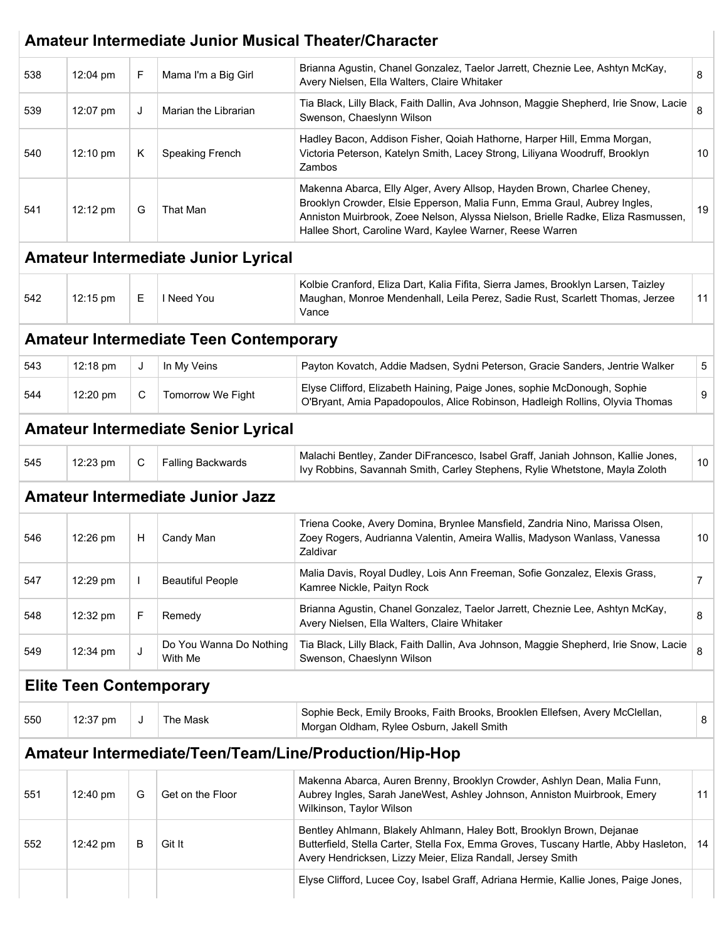|     |                                |   |                                               | Amateur Intermediate Junior Musical Theater/Character                                                                                                                                                                                                                                               |    |
|-----|--------------------------------|---|-----------------------------------------------|-----------------------------------------------------------------------------------------------------------------------------------------------------------------------------------------------------------------------------------------------------------------------------------------------------|----|
| 538 | 12:04 pm                       | F | Mama I'm a Big Girl                           | Brianna Agustin, Chanel Gonzalez, Taelor Jarrett, Cheznie Lee, Ashtyn McKay,<br>Avery Nielsen, Ella Walters, Claire Whitaker                                                                                                                                                                        | 8  |
| 539 | 12:07 pm                       | J | Marian the Librarian                          | Tia Black, Lilly Black, Faith Dallin, Ava Johnson, Maggie Shepherd, Irie Snow, Lacie<br>Swenson, Chaeslynn Wilson                                                                                                                                                                                   | 8  |
| 540 | 12:10 pm                       | Κ | Speaking French                               | Hadley Bacon, Addison Fisher, Qoiah Hathorne, Harper Hill, Emma Morgan,<br>Victoria Peterson, Katelyn Smith, Lacey Strong, Liliyana Woodruff, Brooklyn<br>Zambos                                                                                                                                    | 10 |
| 541 | 12:12 pm                       | G | That Man                                      | Makenna Abarca, Elly Alger, Avery Allsop, Hayden Brown, Charlee Cheney,<br>Brooklyn Crowder, Elsie Epperson, Malia Funn, Emma Graul, Aubrey Ingles,<br>Anniston Muirbrook, Zoee Nelson, Alyssa Nielson, Brielle Radke, Eliza Rasmussen,<br>Hallee Short, Caroline Ward, Kaylee Warner, Reese Warren | 19 |
|     |                                |   | <b>Amateur Intermediate Junior Lyrical</b>    |                                                                                                                                                                                                                                                                                                     |    |
| 542 | 12:15 pm                       | Е | I Need You                                    | Kolbie Cranford, Eliza Dart, Kalia Fifita, Sierra James, Brooklyn Larsen, Taizley<br>Maughan, Monroe Mendenhall, Leila Perez, Sadie Rust, Scarlett Thomas, Jerzee<br>Vance                                                                                                                          | 11 |
|     |                                |   | <b>Amateur Intermediate Teen Contemporary</b> |                                                                                                                                                                                                                                                                                                     |    |
| 543 | 12:18 pm                       | J | In My Veins                                   | Payton Kovatch, Addie Madsen, Sydni Peterson, Gracie Sanders, Jentrie Walker                                                                                                                                                                                                                        | 5  |
| 544 | 12:20 pm                       | C | Tomorrow We Fight                             | Elyse Clifford, Elizabeth Haining, Paige Jones, sophie McDonough, Sophie<br>O'Bryant, Amia Papadopoulos, Alice Robinson, Hadleigh Rollins, Olyvia Thomas                                                                                                                                            | 9  |
|     |                                |   | <b>Amateur Intermediate Senior Lyrical</b>    |                                                                                                                                                                                                                                                                                                     |    |
| 545 | 12:23 pm                       | С | <b>Falling Backwards</b>                      | Malachi Bentley, Zander DiFrancesco, Isabel Graff, Janiah Johnson, Kallie Jones,<br>Ivy Robbins, Savannah Smith, Carley Stephens, Rylie Whetstone, Mayla Zoloth                                                                                                                                     | 10 |
|     |                                |   | <b>Amateur Intermediate Junior Jazz</b>       |                                                                                                                                                                                                                                                                                                     |    |
| 546 | 12:26 pm                       | H | Candy Man                                     | Triena Cooke, Avery Domina, Brynlee Mansfield, Zandria Nino, Marissa Olsen,<br>Zoey Rogers, Audrianna Valentin, Ameira Wallis, Madyson Wanlass, Vanessa<br>Zaldivar                                                                                                                                 | 10 |
| 547 | 12:29 pm                       |   | <b>Beautiful People</b>                       | Malia Davis, Royal Dudley, Lois Ann Freeman, Sofie Gonzalez, Elexis Grass,<br>Kamree Nickle, Paityn Rock                                                                                                                                                                                            | 7  |
| 548 | 12:32 pm                       | F | Remedy                                        | Brianna Agustin, Chanel Gonzalez, Taelor Jarrett, Cheznie Lee, Ashtyn McKay,<br>Avery Nielsen, Ella Walters, Claire Whitaker                                                                                                                                                                        | 8  |
| 549 | 12:34 pm                       | J | Do You Wanna Do Nothing<br>With Me            | Tia Black, Lilly Black, Faith Dallin, Ava Johnson, Maggie Shepherd, Irie Snow, Lacie<br>Swenson, Chaeslynn Wilson                                                                                                                                                                                   | 8  |
|     | <b>Elite Teen Contemporary</b> |   |                                               |                                                                                                                                                                                                                                                                                                     |    |
| 550 | 12:37 pm                       | J | The Mask                                      | Sophie Beck, Emily Brooks, Faith Brooks, Brooklen Ellefsen, Avery McClellan,<br>Morgan Oldham, Rylee Osburn, Jakell Smith                                                                                                                                                                           | 8  |
|     |                                |   |                                               | Amateur Intermediate/Teen/Team/Line/Production/Hip-Hop                                                                                                                                                                                                                                              |    |
| 551 | 12:40 pm                       | G | Get on the Floor                              | Makenna Abarca, Auren Brenny, Brooklyn Crowder, Ashlyn Dean, Malia Funn,<br>Aubrey Ingles, Sarah JaneWest, Ashley Johnson, Anniston Muirbrook, Emery<br>Wilkinson, Taylor Wilson                                                                                                                    | 11 |
| 552 | 12:42 pm                       | B | Git It                                        | Bentley Ahlmann, Blakely Ahlmann, Haley Bott, Brooklyn Brown, Dejanae<br>Butterfield, Stella Carter, Stella Fox, Emma Groves, Tuscany Hartle, Abby Hasleton,<br>Avery Hendricksen, Lizzy Meier, Eliza Randall, Jersey Smith                                                                         | 14 |
|     |                                |   |                                               | Elyse Clifford, Lucee Coy, Isabel Graff, Adriana Hermie, Kallie Jones, Paige Jones,                                                                                                                                                                                                                 |    |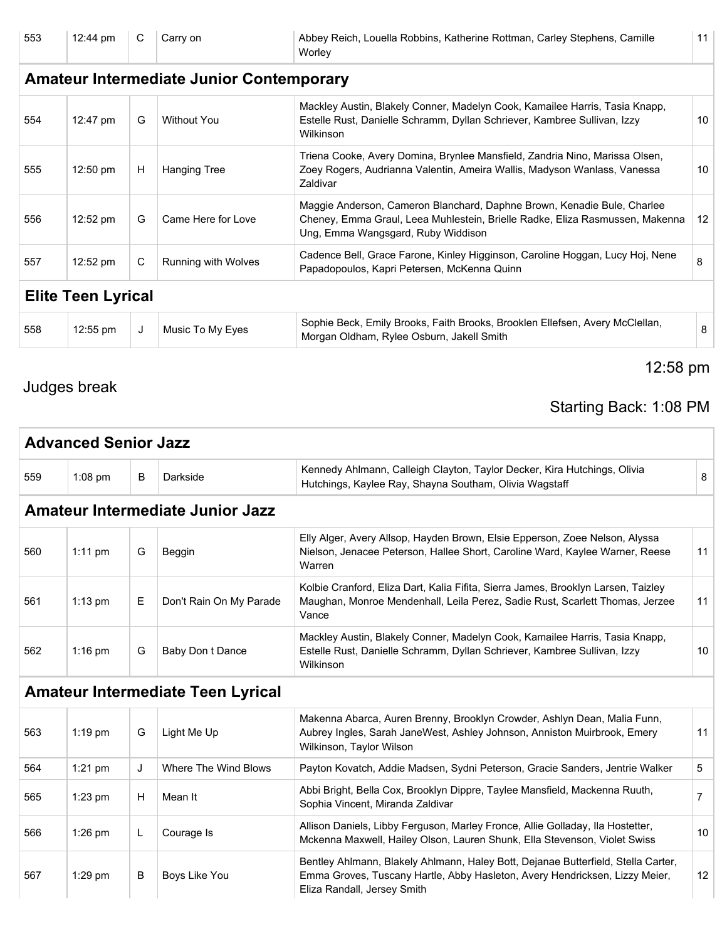553 12:44 pm C Carry on Abbey Reich, Louella Robbins, Katherine Rottman, Carley Stephens, Camille **Worley** 

#### **Amateur Intermediate Junior Contemporary** 554 12:47 pm G Without You Mackley Austin, Blakely Conner, Madelyn Cook, Kamailee Harris, Tasia Knapp, Estelle Rust, Danielle Schramm, Dyllan Schriever, Kambree Sullivan, Izzy Wilkinson 10 555 12:50 pm | H | Hanging Tree Triena Cooke, Avery Domina, Brynlee Mansfield, Zandria Nino, Marissa Olsen, Zoey Rogers, Audrianna Valentin, Ameira Wallis, Madyson Wanlass, Vanessa Zaldivar 10 556  $12:52 \text{ pm}$  G  $\text{Came Here for Love}$ Maggie Anderson, Cameron Blanchard, Daphne Brown, Kenadie Bule, Charlee Cheney, Emma Graul, Leea Muhlestein, Brielle Radke, Eliza Rasmussen, Makenna Ung, Emma Wangsgard, Ruby Widdison 12 557 12:52 pm C Running with Wolves Cadence Bell, Grace Farone, Kinley Higginson, Caroline Hoggan, Lucy Hoj, Nene Cadence Bell, Grace Parone, Kinley Higginson, Caroline Hoggari, Lucy Hoj, Nene<br>Papadopoulos, Kapri Petersen, McKenna Quinn **Elite Teen Lyrical** 558 12:55 pm J Music To My Eyes Sophie Beck, Emily Brooks, Faith Brooks, Brooklen Ellefsen, Avery McClellan, Sophie Beck, Linny Brooks, Faint Brooks, Brookien Lifersen, Avery McClenari, 8<br>Morgan Oldham, Rylee Osburn, Jakell Smith

#### Judges break

### Starting Back: 1:08 PM

12:58 pm

11

|     | <b>Advanced Senior Jazz</b> |   |                                          |                                                                                                                                                                                                 |                   |
|-----|-----------------------------|---|------------------------------------------|-------------------------------------------------------------------------------------------------------------------------------------------------------------------------------------------------|-------------------|
| 559 | $1:08$ pm                   | B | Darkside                                 | Kennedy Ahlmann, Calleigh Clayton, Taylor Decker, Kira Hutchings, Olivia<br>Hutchings, Kaylee Ray, Shayna Southam, Olivia Wagstaff                                                              | 8                 |
|     |                             |   | <b>Amateur Intermediate Junior Jazz</b>  |                                                                                                                                                                                                 |                   |
| 560 | $1:11$ pm                   | G | Beggin                                   | Elly Alger, Avery Allsop, Hayden Brown, Elsie Epperson, Zoee Nelson, Alyssa<br>Nielson, Jenacee Peterson, Hallee Short, Caroline Ward, Kaylee Warner, Reese<br>Warren                           | 11                |
| 561 | $1:13$ pm                   | E | Don't Rain On My Parade                  | Kolbie Cranford, Eliza Dart, Kalia Fifita, Sierra James, Brooklyn Larsen, Taizley<br>Maughan, Monroe Mendenhall, Leila Perez, Sadie Rust, Scarlett Thomas, Jerzee<br>Vance                      | 11                |
| 562 | $1:16$ pm                   | G | Baby Don t Dance                         | Mackley Austin, Blakely Conner, Madelyn Cook, Kamailee Harris, Tasia Knapp,<br>Estelle Rust, Danielle Schramm, Dyllan Schriever, Kambree Sullivan, Izzy<br>Wilkinson                            | 10                |
|     |                             |   | <b>Amateur Intermediate Teen Lyrical</b> |                                                                                                                                                                                                 |                   |
| 563 | $1:19$ pm                   | G | Light Me Up                              | Makenna Abarca, Auren Brenny, Brooklyn Crowder, Ashlyn Dean, Malia Funn,<br>Aubrey Ingles, Sarah JaneWest, Ashley Johnson, Anniston Muirbrook, Emery<br>Wilkinson, Taylor Wilson                | 11                |
| 564 | $1:21$ pm                   | J | Where The Wind Blows                     | Payton Kovatch, Addie Madsen, Sydni Peterson, Gracie Sanders, Jentrie Walker                                                                                                                    | 5                 |
| 565 | $1:23$ pm                   | H | Mean It                                  | Abbi Bright, Bella Cox, Brooklyn Dippre, Taylee Mansfield, Mackenna Ruuth,<br>Sophia Vincent, Miranda Zaldivar                                                                                  | $\overline{7}$    |
| 566 | 1:26 pm                     | L | Courage Is                               | Allison Daniels, Libby Ferguson, Marley Fronce, Allie Golladay, Ila Hostetter,<br>Mckenna Maxwell, Hailey Olson, Lauren Shunk, Ella Stevenson, Violet Swiss                                     | 10                |
| 567 | $1:29$ pm                   | B | Boys Like You                            | Bentley Ahlmann, Blakely Ahlmann, Haley Bott, Dejanae Butterfield, Stella Carter,<br>Emma Groves, Tuscany Hartle, Abby Hasleton, Avery Hendricksen, Lizzy Meier,<br>Eliza Randall, Jersey Smith | $12 \overline{ }$ |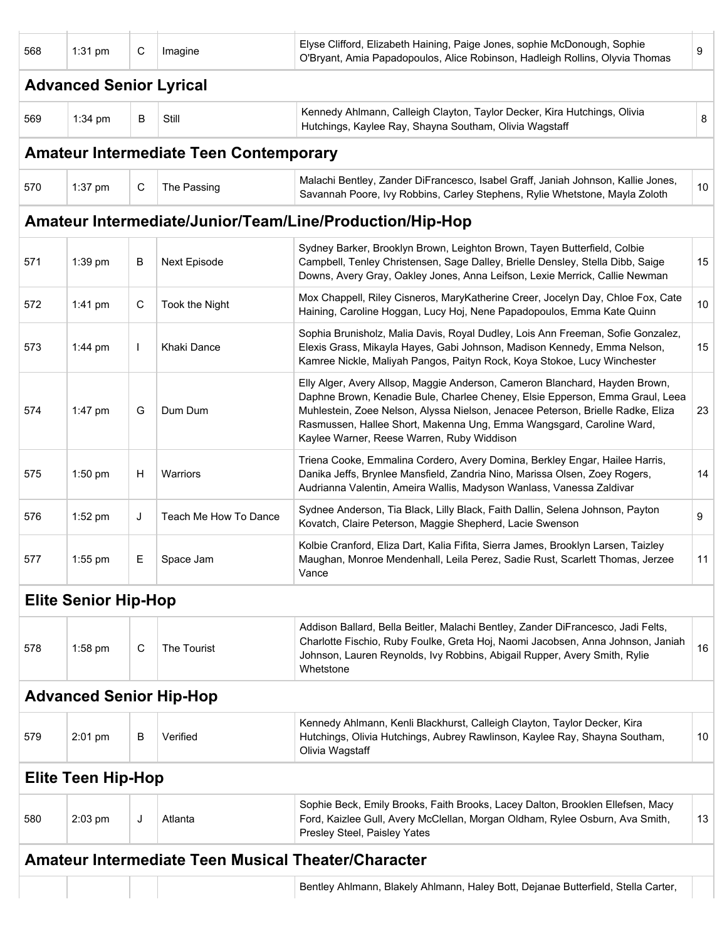| 568 | $1:31$ pm                      | С            | Imagine                                       | Elyse Clifford, Elizabeth Haining, Paige Jones, sophie McDonough, Sophie<br>O'Bryant, Amia Papadopoulos, Alice Robinson, Hadleigh Rollins, Olyvia Thomas                                                                                                                                                                                                             | 9  |
|-----|--------------------------------|--------------|-----------------------------------------------|----------------------------------------------------------------------------------------------------------------------------------------------------------------------------------------------------------------------------------------------------------------------------------------------------------------------------------------------------------------------|----|
|     | <b>Advanced Senior Lyrical</b> |              |                                               |                                                                                                                                                                                                                                                                                                                                                                      |    |
| 569 | 1:34 pm                        | В            | Still                                         | Kennedy Ahlmann, Calleigh Clayton, Taylor Decker, Kira Hutchings, Olivia<br>Hutchings, Kaylee Ray, Shayna Southam, Olivia Wagstaff                                                                                                                                                                                                                                   | 8  |
|     |                                |              | <b>Amateur Intermediate Teen Contemporary</b> |                                                                                                                                                                                                                                                                                                                                                                      |    |
| 570 | $1:37$ pm                      | C            | The Passing                                   | Malachi Bentley, Zander DiFrancesco, Isabel Graff, Janiah Johnson, Kallie Jones,<br>Savannah Poore, Ivy Robbins, Carley Stephens, Rylie Whetstone, Mayla Zoloth                                                                                                                                                                                                      | 10 |
|     |                                |              |                                               | Amateur Intermediate/Junior/Team/Line/Production/Hip-Hop                                                                                                                                                                                                                                                                                                             |    |
| 571 | 1:39 pm                        | B            | Next Episode                                  | Sydney Barker, Brooklyn Brown, Leighton Brown, Tayen Butterfield, Colbie<br>Campbell, Tenley Christensen, Sage Dalley, Brielle Densley, Stella Dibb, Saige<br>Downs, Avery Gray, Oakley Jones, Anna Leifson, Lexie Merrick, Callie Newman                                                                                                                            | 15 |
| 572 | 1:41 pm                        | C            | Took the Night                                | Mox Chappell, Riley Cisneros, MaryKatherine Creer, Jocelyn Day, Chloe Fox, Cate<br>Haining, Caroline Hoggan, Lucy Hoj, Nene Papadopoulos, Emma Kate Quinn                                                                                                                                                                                                            | 10 |
| 573 | $1:44$ pm                      | $\mathbf{I}$ | <b>Khaki Dance</b>                            | Sophia Brunisholz, Malia Davis, Royal Dudley, Lois Ann Freeman, Sofie Gonzalez,<br>Elexis Grass, Mikayla Hayes, Gabi Johnson, Madison Kennedy, Emma Nelson,<br>Kamree Nickle, Maliyah Pangos, Paityn Rock, Koya Stokoe, Lucy Winchester                                                                                                                              | 15 |
| 574 | 1:47 pm                        | G            | Dum Dum                                       | Elly Alger, Avery Allsop, Maggie Anderson, Cameron Blanchard, Hayden Brown,<br>Daphne Brown, Kenadie Bule, Charlee Cheney, Elsie Epperson, Emma Graul, Leea<br>Muhlestein, Zoee Nelson, Alyssa Nielson, Jenacee Peterson, Brielle Radke, Eliza<br>Rasmussen, Hallee Short, Makenna Ung, Emma Wangsgard, Caroline Ward,<br>Kaylee Warner, Reese Warren, Ruby Widdison | 23 |
| 575 | $1:50$ pm                      | H            | Warriors                                      | Triena Cooke, Emmalina Cordero, Avery Domina, Berkley Engar, Hailee Harris,<br>Danika Jeffs, Brynlee Mansfield, Zandria Nino, Marissa Olsen, Zoey Rogers,<br>Audrianna Valentin, Ameira Wallis, Madyson Wanlass, Vanessa Zaldivar                                                                                                                                    | 14 |
| 576 | $1:52$ pm                      | J            | Teach Me How To Dance                         | Sydnee Anderson, Tia Black, Lilly Black, Faith Dallin, Selena Johnson, Payton<br>Kovatch, Claire Peterson, Maggie Shepherd, Lacie Swenson                                                                                                                                                                                                                            | 9  |
| 577 | $1:55$ pm                      | Е            | Space Jam                                     | Kolbie Cranford, Eliza Dart, Kalia Fifita, Sierra James, Brooklyn Larsen, Taizley<br>Maughan, Monroe Mendenhall, Leila Perez, Sadie Rust, Scarlett Thomas, Jerzee<br>Vance                                                                                                                                                                                           | 11 |
|     | <b>Elite Senior Hip-Hop</b>    |              |                                               |                                                                                                                                                                                                                                                                                                                                                                      |    |
| 578 | 1:58 pm                        | С            | The Tourist                                   | Addison Ballard, Bella Beitler, Malachi Bentley, Zander DiFrancesco, Jadi Felts,<br>Charlotte Fischio, Ruby Foulke, Greta Hoj, Naomi Jacobsen, Anna Johnson, Janiah<br>Johnson, Lauren Reynolds, Ivy Robbins, Abigail Rupper, Avery Smith, Rylie<br>Whetstone                                                                                                        | 16 |
|     | <b>Advanced Senior Hip-Hop</b> |              |                                               |                                                                                                                                                                                                                                                                                                                                                                      |    |
| 579 | $2:01$ pm                      | В            | Verified                                      | Kennedy Ahlmann, Kenli Blackhurst, Calleigh Clayton, Taylor Decker, Kira<br>Hutchings, Olivia Hutchings, Aubrey Rawlinson, Kaylee Ray, Shayna Southam,<br>Olivia Wagstaff                                                                                                                                                                                            | 10 |
|     | <b>Elite Teen Hip-Hop</b>      |              |                                               |                                                                                                                                                                                                                                                                                                                                                                      |    |
| 580 | $2:03$ pm                      | J            | Atlanta                                       | Sophie Beck, Emily Brooks, Faith Brooks, Lacey Dalton, Brooklen Ellefsen, Macy<br>Ford, Kaizlee Gull, Avery McClellan, Morgan Oldham, Rylee Osburn, Ava Smith,<br>Presley Steel, Paisley Yates                                                                                                                                                                       | 13 |
|     |                                |              |                                               | <b>Amateur Intermediate Teen Musical Theater/Character</b>                                                                                                                                                                                                                                                                                                           |    |
|     |                                |              |                                               | Bentley Ahlmann, Blakely Ahlmann, Haley Bott, Dejanae Butterfield, Stella Carter,                                                                                                                                                                                                                                                                                    |    |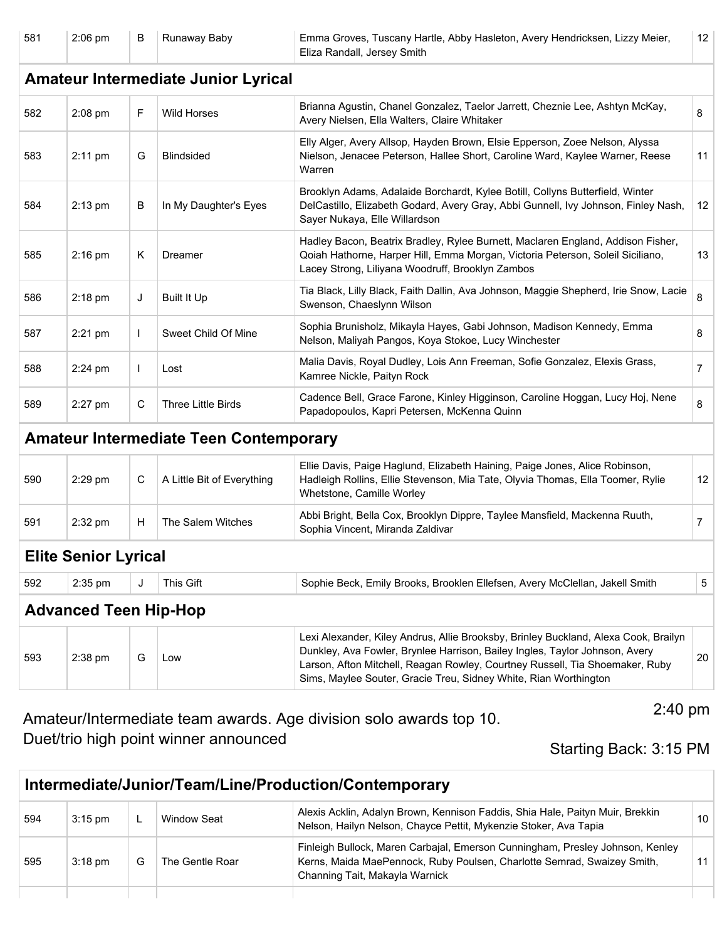| 581                                        | 2:06 pm                      | В  | Runaway Baby                                  | Emma Groves, Tuscany Hartle, Abby Hasleton, Avery Hendricksen, Lizzy Meier,<br>Eliza Randall, Jersey Smith                                                                                                                                                                                                             | 12 <sup>°</sup>   |  |  |  |
|--------------------------------------------|------------------------------|----|-----------------------------------------------|------------------------------------------------------------------------------------------------------------------------------------------------------------------------------------------------------------------------------------------------------------------------------------------------------------------------|-------------------|--|--|--|
| <b>Amateur Intermediate Junior Lyrical</b> |                              |    |                                               |                                                                                                                                                                                                                                                                                                                        |                   |  |  |  |
| 582                                        | $2:08$ pm                    | F  | <b>Wild Horses</b>                            | Brianna Agustin, Chanel Gonzalez, Taelor Jarrett, Cheznie Lee, Ashtyn McKay,<br>Avery Nielsen, Ella Walters, Claire Whitaker                                                                                                                                                                                           | 8                 |  |  |  |
| 583                                        | $2:11$ pm                    | G  | <b>Blindsided</b>                             | Elly Alger, Avery Allsop, Hayden Brown, Elsie Epperson, Zoee Nelson, Alyssa<br>Nielson, Jenacee Peterson, Hallee Short, Caroline Ward, Kaylee Warner, Reese<br>Warren                                                                                                                                                  | 11                |  |  |  |
| 584                                        | $2:13$ pm                    | B  | In My Daughter's Eyes                         | Brooklyn Adams, Adalaide Borchardt, Kylee Botill, Collyns Butterfield, Winter<br>DelCastillo, Elizabeth Godard, Avery Gray, Abbi Gunnell, Ivy Johnson, Finley Nash,<br>Sayer Nukaya, Elle Willardson                                                                                                                   | 12                |  |  |  |
| 585                                        | $2:16$ pm                    | Κ  | Dreamer                                       | Hadley Bacon, Beatrix Bradley, Rylee Burnett, Maclaren England, Addison Fisher,<br>Qoiah Hathorne, Harper Hill, Emma Morgan, Victoria Peterson, Soleil Siciliano,<br>Lacey Strong, Liliyana Woodruff, Brooklyn Zambos                                                                                                  | 13                |  |  |  |
| 586                                        | $2:18$ pm                    | J  | <b>Built It Up</b>                            | Tia Black, Lilly Black, Faith Dallin, Ava Johnson, Maggie Shepherd, Irie Snow, Lacie<br>Swenson, Chaeslynn Wilson                                                                                                                                                                                                      | 8                 |  |  |  |
| 587                                        | $2:21$ pm                    |    | Sweet Child Of Mine                           | Sophia Brunisholz, Mikayla Hayes, Gabi Johnson, Madison Kennedy, Emma<br>Nelson, Maliyah Pangos, Koya Stokoe, Lucy Winchester                                                                                                                                                                                          | 8                 |  |  |  |
| 588                                        | $2:24$ pm                    | -1 | Lost                                          | Malia Davis, Royal Dudley, Lois Ann Freeman, Sofie Gonzalez, Elexis Grass,<br>Kamree Nickle, Paityn Rock                                                                                                                                                                                                               | $\overline{7}$    |  |  |  |
| 589                                        | 2:27 pm                      | C  | Three Little Birds                            | Cadence Bell, Grace Farone, Kinley Higginson, Caroline Hoggan, Lucy Hoj, Nene<br>Papadopoulos, Kapri Petersen, McKenna Quinn                                                                                                                                                                                           | 8                 |  |  |  |
|                                            |                              |    | <b>Amateur Intermediate Teen Contemporary</b> |                                                                                                                                                                                                                                                                                                                        |                   |  |  |  |
| 590                                        | 2:29 pm                      | C  | A Little Bit of Everything                    | Ellie Davis, Paige Haglund, Elizabeth Haining, Paige Jones, Alice Robinson,<br>Hadleigh Rollins, Ellie Stevenson, Mia Tate, Olyvia Thomas, Ella Toomer, Rylie<br>Whetstone, Camille Worley                                                                                                                             | $12 \overline{ }$ |  |  |  |
| 591                                        | 2:32 pm                      | н  | The Salem Witches                             | Abbi Bright, Bella Cox, Brooklyn Dippre, Taylee Mansfield, Mackenna Ruuth,<br>Sophia Vincent, Miranda Zaldivar                                                                                                                                                                                                         | $\overline{7}$    |  |  |  |
|                                            | <b>Elite Senior Lyrical</b>  |    |                                               |                                                                                                                                                                                                                                                                                                                        |                   |  |  |  |
| 592                                        | 2:35 pm                      | J  | This Gift                                     | Sophie Beck, Emily Brooks, Brooklen Ellefsen, Avery McClellan, Jakell Smith                                                                                                                                                                                                                                            | 5                 |  |  |  |
|                                            | <b>Advanced Teen Hip-Hop</b> |    |                                               |                                                                                                                                                                                                                                                                                                                        |                   |  |  |  |
| 593                                        | 2:38 pm                      | G  | Low                                           | Lexi Alexander, Kiley Andrus, Allie Brooksby, Brinley Buckland, Alexa Cook, Brailyn<br>Dunkley, Ava Fowler, Brynlee Harrison, Bailey Ingles, Taylor Johnson, Avery<br>Larson, Afton Mitchell, Reagan Rowley, Courtney Russell, Tia Shoemaker, Ruby<br>Sims, Maylee Souter, Gracie Treu, Sidney White, Rian Worthington | 20                |  |  |  |

| Amateur/Intermediate team awards. Age division solo awards top 10. |             |
|--------------------------------------------------------------------|-------------|
| Duet/trio high point winner announced                              | $0.4 - 0.4$ |

2:40 pm

Starting Back: 3:15 PM

| Intermediate/Junior/Team/Line/Production/Contemporary |           |   |                 |                                                                                                                                                                                            |    |
|-------------------------------------------------------|-----------|---|-----------------|--------------------------------------------------------------------------------------------------------------------------------------------------------------------------------------------|----|
| 594                                                   | $3:15$ pm |   | Window Seat     | Alexis Acklin, Adalyn Brown, Kennison Faddis, Shia Hale, Paityn Muir, Brekkin<br>Nelson, Hailyn Nelson, Chayce Pettit, Mykenzie Stoker, Ava Tapia                                          | 10 |
| 595                                                   | $3:18$ pm | G | The Gentle Roar | Finleigh Bullock, Maren Carbajal, Emerson Cunningham, Presley Johnson, Kenley<br>Kerns, Maida MaePennock, Ruby Poulsen, Charlotte Semrad, Swaizey Smith,<br>Channing Tait, Makayla Warnick |    |
|                                                       |           |   |                 |                                                                                                                                                                                            |    |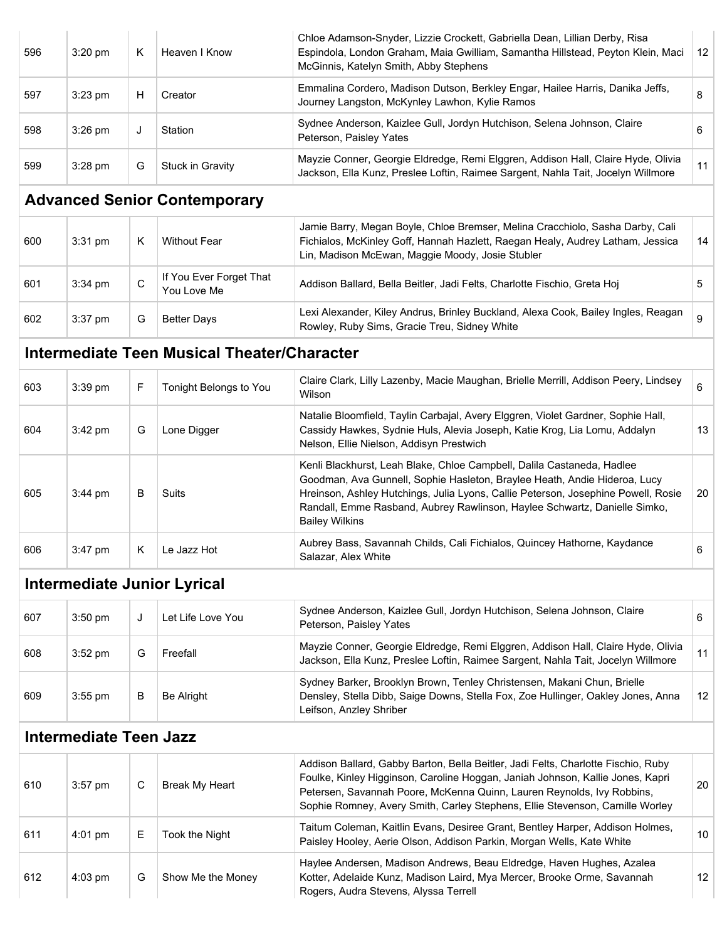| 596 | $3:20$ pm                     | Κ           | Heaven I Know                                      | Chloe Adamson-Snyder, Lizzie Crockett, Gabriella Dean, Lillian Derby, Risa<br>Espindola, London Graham, Maia Gwilliam, Samantha Hillstead, Peyton Klein, Maci<br>McGinnis, Katelyn Smith, Abby Stephens                                                                                                                                        | 12 |
|-----|-------------------------------|-------------|----------------------------------------------------|------------------------------------------------------------------------------------------------------------------------------------------------------------------------------------------------------------------------------------------------------------------------------------------------------------------------------------------------|----|
| 597 | $3:23$ pm                     | H           | Creator                                            | Emmalina Cordero, Madison Dutson, Berkley Engar, Hailee Harris, Danika Jeffs,<br>Journey Langston, McKynley Lawhon, Kylie Ramos                                                                                                                                                                                                                | 8  |
| 598 | $3:26$ pm                     | J           | Station                                            | Sydnee Anderson, Kaizlee Gull, Jordyn Hutchison, Selena Johnson, Claire<br>Peterson, Paisley Yates                                                                                                                                                                                                                                             | 6  |
| 599 | 3:28 pm                       | G           | Stuck in Gravity                                   | Mayzie Conner, Georgie Eldredge, Remi Elggren, Addison Hall, Claire Hyde, Olivia<br>Jackson, Ella Kunz, Preslee Loftin, Raimee Sargent, Nahla Tait, Jocelyn Willmore                                                                                                                                                                           | 11 |
|     |                               |             | <b>Advanced Senior Contemporary</b>                |                                                                                                                                                                                                                                                                                                                                                |    |
| 600 | 3:31 pm                       | Κ           | <b>Without Fear</b>                                | Jamie Barry, Megan Boyle, Chloe Bremser, Melina Cracchiolo, Sasha Darby, Cali<br>Fichialos, McKinley Goff, Hannah Hazlett, Raegan Healy, Audrey Latham, Jessica<br>Lin, Madison McEwan, Maggie Moody, Josie Stubler                                                                                                                            | 14 |
| 601 | 3:34 pm                       | $\mathbf C$ | If You Ever Forget That<br>You Love Me             | Addison Ballard, Bella Beitler, Jadi Felts, Charlotte Fischio, Greta Hoj                                                                                                                                                                                                                                                                       | 5  |
| 602 | 3:37 pm                       | G           | <b>Better Days</b>                                 | Lexi Alexander, Kiley Andrus, Brinley Buckland, Alexa Cook, Bailey Ingles, Reagan<br>Rowley, Ruby Sims, Gracie Treu, Sidney White                                                                                                                                                                                                              | 9  |
|     |                               |             | <b>Intermediate Teen Musical Theater/Character</b> |                                                                                                                                                                                                                                                                                                                                                |    |
| 603 | 3:39 pm                       | F           | Tonight Belongs to You                             | Claire Clark, Lilly Lazenby, Macie Maughan, Brielle Merrill, Addison Peery, Lindsey<br>Wilson                                                                                                                                                                                                                                                  | 6  |
| 604 | 3:42 pm                       | G           | Lone Digger                                        | Natalie Bloomfield, Taylin Carbajal, Avery Elggren, Violet Gardner, Sophie Hall,<br>Cassidy Hawkes, Sydnie Huls, Alevia Joseph, Katie Krog, Lia Lomu, Addalyn<br>Nelson, Ellie Nielson, Addisyn Prestwich                                                                                                                                      | 13 |
| 605 | $3:44$ pm                     | B           | <b>Suits</b>                                       | Kenli Blackhurst, Leah Blake, Chloe Campbell, Dalila Castaneda, Hadlee<br>Goodman, Ava Gunnell, Sophie Hasleton, Braylee Heath, Andie Hideroa, Lucy<br>Hreinson, Ashley Hutchings, Julia Lyons, Callie Peterson, Josephine Powell, Rosie<br>Randall, Emme Rasband, Aubrey Rawlinson, Haylee Schwartz, Danielle Simko,<br><b>Bailey Wilkins</b> | 20 |
| 606 | 3:47 pm                       | K.          | Le Jazz Hot                                        | Aubrey Bass, Savannah Childs, Cali Fichialos, Quincey Hathorne, Kaydance<br>Salazar, Alex White                                                                                                                                                                                                                                                | 6  |
|     |                               |             | <b>Intermediate Junior Lyrical</b>                 |                                                                                                                                                                                                                                                                                                                                                |    |
| 607 | $3:50$ pm                     | J           | Let Life Love You                                  | Sydnee Anderson, Kaizlee Gull, Jordyn Hutchison, Selena Johnson, Claire<br>Peterson, Paisley Yates                                                                                                                                                                                                                                             | 6  |
| 608 | $3:52$ pm                     | G           | Freefall                                           | Mayzie Conner, Georgie Eldredge, Remi Elggren, Addison Hall, Claire Hyde, Olivia<br>Jackson, Ella Kunz, Preslee Loftin, Raimee Sargent, Nahla Tait, Jocelyn Willmore                                                                                                                                                                           | 11 |
| 609 | 3:55 pm                       | В           | Be Alright                                         | Sydney Barker, Brooklyn Brown, Tenley Christensen, Makani Chun, Brielle<br>Densley, Stella Dibb, Saige Downs, Stella Fox, Zoe Hullinger, Oakley Jones, Anna<br>Leifson, Anzley Shriber                                                                                                                                                         | 12 |
|     | <b>Intermediate Teen Jazz</b> |             |                                                    |                                                                                                                                                                                                                                                                                                                                                |    |
| 610 | $3:57$ pm                     | $\mathsf C$ | <b>Break My Heart</b>                              | Addison Ballard, Gabby Barton, Bella Beitler, Jadi Felts, Charlotte Fischio, Ruby<br>Foulke, Kinley Higginson, Caroline Hoggan, Janiah Johnson, Kallie Jones, Kapri<br>Petersen, Savannah Poore, McKenna Quinn, Lauren Reynolds, Ivy Robbins,<br>Sophie Romney, Avery Smith, Carley Stephens, Ellie Stevenson, Camille Worley                  | 20 |
| 611 | 4:01 pm                       | E           | Took the Night                                     | Taitum Coleman, Kaitlin Evans, Desiree Grant, Bentley Harper, Addison Holmes,<br>Paisley Hooley, Aerie Olson, Addison Parkin, Morgan Wells, Kate White                                                                                                                                                                                         | 10 |
| 612 | 4:03 pm                       | G           | Show Me the Money                                  | Haylee Andersen, Madison Andrews, Beau Eldredge, Haven Hughes, Azalea<br>Kotter, Adelaide Kunz, Madison Laird, Mya Mercer, Brooke Orme, Savannah<br>Rogers, Audra Stevens, Alyssa Terrell                                                                                                                                                      | 12 |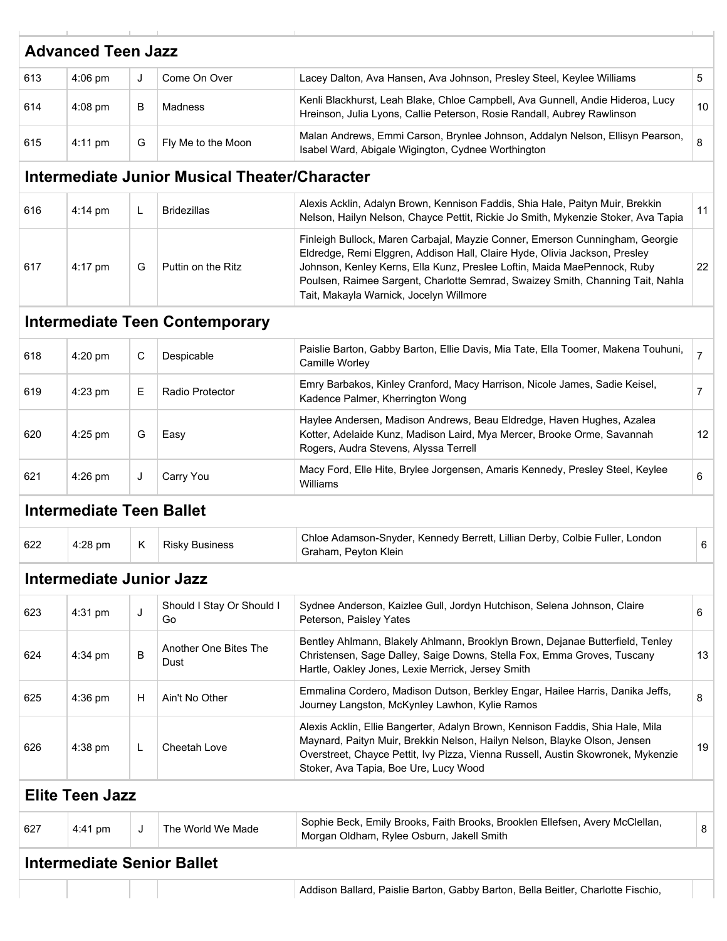|     | <b>Advanced Teen Jazz</b>         |              |                                               |                                                                                                                                                                                                                                                                                                                                                                     |                |
|-----|-----------------------------------|--------------|-----------------------------------------------|---------------------------------------------------------------------------------------------------------------------------------------------------------------------------------------------------------------------------------------------------------------------------------------------------------------------------------------------------------------------|----------------|
| 613 | $4:06$ pm                         | J            | Come On Over                                  | Lacey Dalton, Ava Hansen, Ava Johnson, Presley Steel, Keylee Williams                                                                                                                                                                                                                                                                                               | 5              |
| 614 | $4:08$ pm                         | B            | <b>Madness</b>                                | Kenli Blackhurst, Leah Blake, Chloe Campbell, Ava Gunnell, Andie Hideroa, Lucy<br>Hreinson, Julia Lyons, Callie Peterson, Rosie Randall, Aubrey Rawlinson                                                                                                                                                                                                           | 10             |
| 615 | 4:11 pm                           | G            | Fly Me to the Moon                            | Malan Andrews, Emmi Carson, Brynlee Johnson, Addalyn Nelson, Ellisyn Pearson,<br>Isabel Ward, Abigale Wigington, Cydnee Worthington                                                                                                                                                                                                                                 | 8              |
|     |                                   |              | Intermediate Junior Musical Theater/Character |                                                                                                                                                                                                                                                                                                                                                                     |                |
| 616 | $4:14 \text{ pm}$                 | L            | <b>Bridezillas</b>                            | Alexis Acklin, Adalyn Brown, Kennison Faddis, Shia Hale, Paityn Muir, Brekkin<br>Nelson, Hailyn Nelson, Chayce Pettit, Rickie Jo Smith, Mykenzie Stoker, Ava Tapia                                                                                                                                                                                                  | 11             |
| 617 | 4:17 pm                           | G            | Puttin on the Ritz                            | Finleigh Bullock, Maren Carbajal, Mayzie Conner, Emerson Cunningham, Georgie<br>Eldredge, Remi Elggren, Addison Hall, Claire Hyde, Olivia Jackson, Presley<br>Johnson, Kenley Kerns, Ella Kunz, Preslee Loftin, Maida MaePennock, Ruby<br>Poulsen, Raimee Sargent, Charlotte Semrad, Swaizey Smith, Channing Tait, Nahla<br>Tait, Makayla Warnick, Jocelyn Willmore | 22             |
|     |                                   |              | <b>Intermediate Teen Contemporary</b>         |                                                                                                                                                                                                                                                                                                                                                                     |                |
| 618 | 4:20 pm                           | C            | Despicable                                    | Paislie Barton, Gabby Barton, Ellie Davis, Mia Tate, Ella Toomer, Makena Touhuni,<br>Camille Worley                                                                                                                                                                                                                                                                 | $\overline{7}$ |
| 619 | 4:23 pm                           | E.           | Radio Protector                               | Emry Barbakos, Kinley Cranford, Macy Harrison, Nicole James, Sadie Keisel,<br>Kadence Palmer, Kherrington Wong                                                                                                                                                                                                                                                      | $\overline{7}$ |
| 620 | $4:25$ pm                         | G            | Easy                                          | Haylee Andersen, Madison Andrews, Beau Eldredge, Haven Hughes, Azalea<br>Kotter, Adelaide Kunz, Madison Laird, Mya Mercer, Brooke Orme, Savannah<br>Rogers, Audra Stevens, Alyssa Terrell                                                                                                                                                                           | 12             |
| 621 | $4:26$ pm                         | J            | Carry You                                     | Macy Ford, Elle Hite, Brylee Jorgensen, Amaris Kennedy, Presley Steel, Keylee<br>Williams                                                                                                                                                                                                                                                                           | 6              |
|     | <b>Intermediate Teen Ballet</b>   |              |                                               |                                                                                                                                                                                                                                                                                                                                                                     |                |
| 622 | 4:28 pm                           | K            | <b>Risky Business</b>                         | Chloe Adamson-Snyder, Kennedy Berrett, Lillian Derby, Colbie Fuller, London<br>Graham, Peyton Klein                                                                                                                                                                                                                                                                 | 6              |
|     | <b>Intermediate Junior Jazz</b>   |              |                                               |                                                                                                                                                                                                                                                                                                                                                                     |                |
| 623 | 4:31 pm                           | J            | Should I Stay Or Should I<br>Go               | Sydnee Anderson, Kaizlee Gull, Jordyn Hutchison, Selena Johnson, Claire<br>Peterson, Paisley Yates                                                                                                                                                                                                                                                                  | 6              |
| 624 | 4:34 pm                           | В            | Another One Bites The<br>Dust                 | Bentley Ahlmann, Blakely Ahlmann, Brooklyn Brown, Dejanae Butterfield, Tenley<br>Christensen, Sage Dalley, Saige Downs, Stella Fox, Emma Groves, Tuscany<br>Hartle, Oakley Jones, Lexie Merrick, Jersey Smith                                                                                                                                                       | 13             |
| 625 | 4:36 pm                           | H            | Ain't No Other                                | Emmalina Cordero, Madison Dutson, Berkley Engar, Hailee Harris, Danika Jeffs,<br>Journey Langston, McKynley Lawhon, Kylie Ramos                                                                                                                                                                                                                                     | 8              |
| 626 | 4:38 pm                           | $\mathsf{L}$ | Cheetah Love                                  | Alexis Acklin, Ellie Bangerter, Adalyn Brown, Kennison Faddis, Shia Hale, Mila<br>Maynard, Paityn Muir, Brekkin Nelson, Hailyn Nelson, Blayke Olson, Jensen<br>Overstreet, Chayce Pettit, Ivy Pizza, Vienna Russell, Austin Skowronek, Mykenzie<br>Stoker, Ava Tapia, Boe Ure, Lucy Wood                                                                            | 19             |
|     | <b>Elite Teen Jazz</b>            |              |                                               |                                                                                                                                                                                                                                                                                                                                                                     |                |
| 627 | 4:41 pm                           | J            | The World We Made                             | Sophie Beck, Emily Brooks, Faith Brooks, Brooklen Ellefsen, Avery McClellan,<br>Morgan Oldham, Rylee Osburn, Jakell Smith                                                                                                                                                                                                                                           | 8              |
|     | <b>Intermediate Senior Ballet</b> |              |                                               |                                                                                                                                                                                                                                                                                                                                                                     |                |
|     |                                   |              |                                               | Addison Ballard, Paislie Barton, Gabby Barton, Bella Beitler, Charlotte Fischio,                                                                                                                                                                                                                                                                                    |                |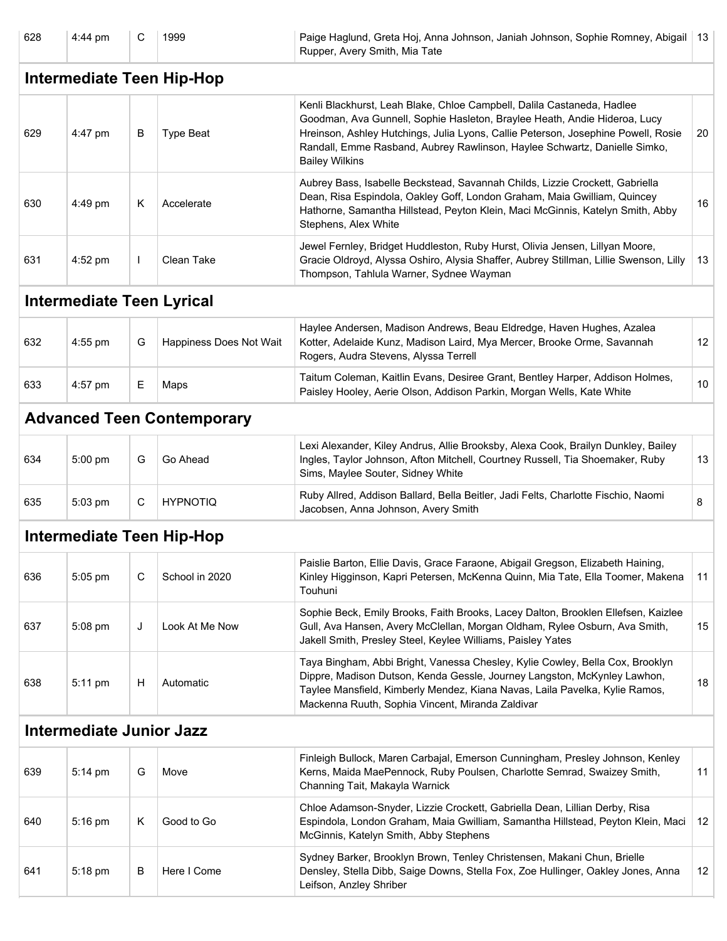| 628 | 4:44 pm                          | С | 1999                              | Paige Haglund, Greta Hoj, Anna Johnson, Janiah Johnson, Sophie Romney, Abigail   13<br>Rupper, Avery Smith, Mia Tate                                                                                                                                                                                                                           |    |
|-----|----------------------------------|---|-----------------------------------|------------------------------------------------------------------------------------------------------------------------------------------------------------------------------------------------------------------------------------------------------------------------------------------------------------------------------------------------|----|
|     |                                  |   | <b>Intermediate Teen Hip-Hop</b>  |                                                                                                                                                                                                                                                                                                                                                |    |
| 629 | 4:47 pm                          | В | <b>Type Beat</b>                  | Kenli Blackhurst, Leah Blake, Chloe Campbell, Dalila Castaneda, Hadlee<br>Goodman, Ava Gunnell, Sophie Hasleton, Braylee Heath, Andie Hideroa, Lucy<br>Hreinson, Ashley Hutchings, Julia Lyons, Callie Peterson, Josephine Powell, Rosie<br>Randall, Emme Rasband, Aubrey Rawlinson, Haylee Schwartz, Danielle Simko,<br><b>Bailey Wilkins</b> | 20 |
| 630 | $4:49$ pm                        | Κ | Accelerate                        | Aubrey Bass, Isabelle Beckstead, Savannah Childs, Lizzie Crockett, Gabriella<br>Dean, Risa Espindola, Oakley Goff, London Graham, Maia Gwilliam, Quincey<br>Hathorne, Samantha Hillstead, Peyton Klein, Maci McGinnis, Katelyn Smith, Abby<br>Stephens, Alex White                                                                             | 16 |
| 631 | 4:52 pm                          | L | Clean Take                        | Jewel Fernley, Bridget Huddleston, Ruby Hurst, Olivia Jensen, Lillyan Moore,<br>Gracie Oldroyd, Alyssa Oshiro, Alysia Shaffer, Aubrey Stillman, Lillie Swenson, Lilly<br>Thompson, Tahlula Warner, Sydnee Wayman                                                                                                                               | 13 |
|     | <b>Intermediate Teen Lyrical</b> |   |                                   |                                                                                                                                                                                                                                                                                                                                                |    |
| 632 | 4:55 pm                          | G | Happiness Does Not Wait           | Haylee Andersen, Madison Andrews, Beau Eldredge, Haven Hughes, Azalea<br>Kotter, Adelaide Kunz, Madison Laird, Mya Mercer, Brooke Orme, Savannah<br>Rogers, Audra Stevens, Alyssa Terrell                                                                                                                                                      | 12 |
| 633 | 4:57 pm                          | Е | Maps                              | Taitum Coleman, Kaitlin Evans, Desiree Grant, Bentley Harper, Addison Holmes,<br>Paisley Hooley, Aerie Olson, Addison Parkin, Morgan Wells, Kate White                                                                                                                                                                                         | 10 |
|     |                                  |   | <b>Advanced Teen Contemporary</b> |                                                                                                                                                                                                                                                                                                                                                |    |
| 634 | 5:00 pm                          | G | Go Ahead                          | Lexi Alexander, Kiley Andrus, Allie Brooksby, Alexa Cook, Brailyn Dunkley, Bailey<br>Ingles, Taylor Johnson, Afton Mitchell, Courtney Russell, Tia Shoemaker, Ruby<br>Sims, Maylee Souter, Sidney White                                                                                                                                        | 13 |
| 635 | 5:03 pm                          | C | <b>HYPNOTIQ</b>                   | Ruby Allred, Addison Ballard, Bella Beitler, Jadi Felts, Charlotte Fischio, Naomi<br>Jacobsen, Anna Johnson, Avery Smith                                                                                                                                                                                                                       | 8  |
|     |                                  |   | <b>Intermediate Teen Hip-Hop</b>  |                                                                                                                                                                                                                                                                                                                                                |    |
| 636 | 5:05 pm                          | C | School in 2020                    | Paislie Barton, Ellie Davis, Grace Faraone, Abigail Gregson, Elizabeth Haining,<br>Kinley Higginson, Kapri Petersen, McKenna Quinn, Mia Tate, Ella Toomer, Makena<br>Touhuni                                                                                                                                                                   | 11 |
| 637 | 5:08 pm                          | J | Look At Me Now                    | Sophie Beck, Emily Brooks, Faith Brooks, Lacey Dalton, Brooklen Ellefsen, Kaizlee<br>Gull, Ava Hansen, Avery McClellan, Morgan Oldham, Rylee Osburn, Ava Smith,<br>Jakell Smith, Presley Steel, Keylee Williams, Paisley Yates                                                                                                                 | 15 |
| 638 | 5:11 pm                          | н | Automatic                         | Taya Bingham, Abbi Bright, Vanessa Chesley, Kylie Cowley, Bella Cox, Brooklyn<br>Dippre, Madison Dutson, Kenda Gessle, Journey Langston, McKynley Lawhon,<br>Taylee Mansfield, Kimberly Mendez, Kiana Navas, Laila Pavelka, Kylie Ramos,<br>Mackenna Ruuth, Sophia Vincent, Miranda Zaldivar                                                   | 18 |
|     | <b>Intermediate Junior Jazz</b>  |   |                                   |                                                                                                                                                                                                                                                                                                                                                |    |
| 639 | 5:14 pm                          | G | Move                              | Finleigh Bullock, Maren Carbajal, Emerson Cunningham, Presley Johnson, Kenley<br>Kerns, Maida MaePennock, Ruby Poulsen, Charlotte Semrad, Swaizey Smith,<br>Channing Tait, Makayla Warnick                                                                                                                                                     | 11 |
| 640 | 5:16 pm                          | Κ | Good to Go                        | Chloe Adamson-Snyder, Lizzie Crockett, Gabriella Dean, Lillian Derby, Risa<br>Espindola, London Graham, Maia Gwilliam, Samantha Hillstead, Peyton Klein, Maci<br>McGinnis, Katelyn Smith, Abby Stephens                                                                                                                                        | 12 |
| 641 | 5:18 pm                          | В | Here I Come                       | Sydney Barker, Brooklyn Brown, Tenley Christensen, Makani Chun, Brielle<br>Densley, Stella Dibb, Saige Downs, Stella Fox, Zoe Hullinger, Oakley Jones, Anna<br>Leifson, Anzley Shriber                                                                                                                                                         | 12 |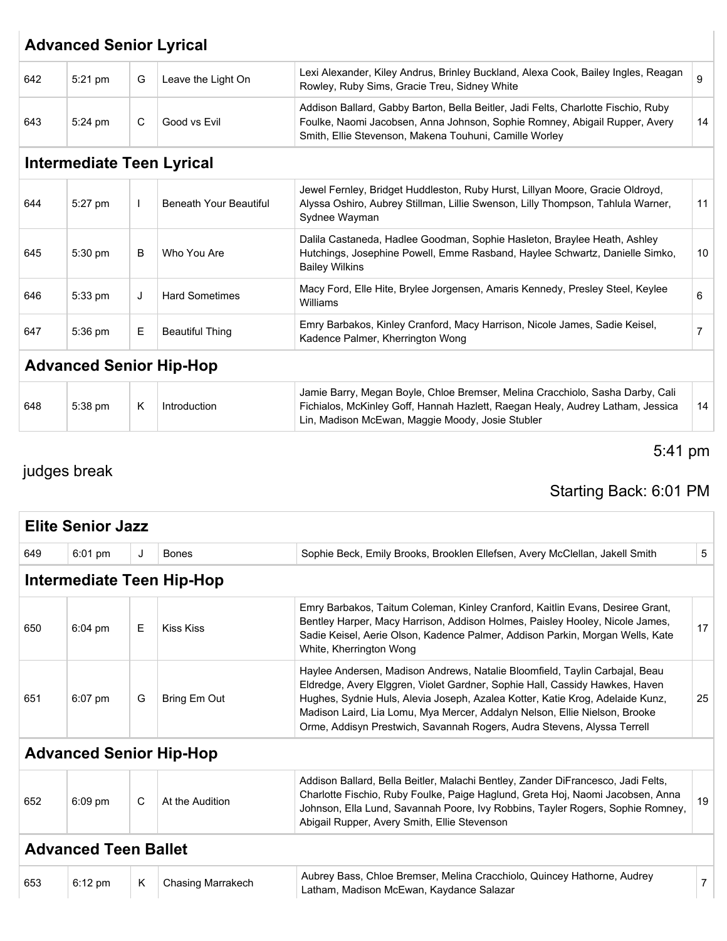|     | <b>Advanced Senior Lyrical</b>   |              |                               |                                                                                                                                                                                                                           |                 |  |  |  |
|-----|----------------------------------|--------------|-------------------------------|---------------------------------------------------------------------------------------------------------------------------------------------------------------------------------------------------------------------------|-----------------|--|--|--|
| 642 | 5:21 pm                          | G            | Leave the Light On            | Lexi Alexander, Kiley Andrus, Brinley Buckland, Alexa Cook, Bailey Ingles, Reagan<br>Rowley, Ruby Sims, Gracie Treu, Sidney White                                                                                         | 9               |  |  |  |
| 643 | 5:24 pm                          | C            | Good vs Evil                  | Addison Ballard, Gabby Barton, Bella Beitler, Jadi Felts, Charlotte Fischio, Ruby<br>Foulke, Naomi Jacobsen, Anna Johnson, Sophie Romney, Abigail Rupper, Avery<br>Smith, Ellie Stevenson, Makena Touhuni, Camille Worley | 14              |  |  |  |
|     | <b>Intermediate Teen Lyrical</b> |              |                               |                                                                                                                                                                                                                           |                 |  |  |  |
| 644 | 5:27 pm                          | $\mathbf{I}$ | <b>Beneath Your Beautiful</b> | Jewel Fernley, Bridget Huddleston, Ruby Hurst, Lillyan Moore, Gracie Oldroyd,<br>Alyssa Oshiro, Aubrey Stillman, Lillie Swenson, Lilly Thompson, Tahlula Warner,<br>Sydnee Wayman                                         | 11              |  |  |  |
| 645 | 5:30 pm                          | B            | Who You Are                   | Dalila Castaneda, Hadlee Goodman, Sophie Hasleton, Braylee Heath, Ashley<br>Hutchings, Josephine Powell, Emme Rasband, Haylee Schwartz, Danielle Simko,<br><b>Bailey Wilkins</b>                                          | 10 <sup>°</sup> |  |  |  |
| 646 | 5:33 pm                          | J            | <b>Hard Sometimes</b>         | Macy Ford, Elle Hite, Brylee Jorgensen, Amaris Kennedy, Presley Steel, Keylee<br>Williams                                                                                                                                 | 6               |  |  |  |
| 647 | 5:36 pm                          | E            | <b>Beautiful Thing</b>        | Emry Barbakos, Kinley Cranford, Macy Harrison, Nicole James, Sadie Keisel,<br>Kadence Palmer, Kherrington Wong                                                                                                            | 7               |  |  |  |
|     | <b>Advanced Senior Hip-Hop</b>   |              |                               |                                                                                                                                                                                                                           |                 |  |  |  |
| 648 | 5:38 pm                          | K            | Introduction                  | Jamie Barry, Megan Boyle, Chloe Bremser, Melina Cracchiolo, Sasha Darby, Cali<br>Fichialos, McKinley Goff, Hannah Hazlett, Raegan Healy, Audrey Latham, Jessica<br>Lin, Madison McEwan, Maggie Moody, Josie Stubler       | 14              |  |  |  |

### 5:41 pm

## judges break

## Starting Back: 6:01 PM

| <b>Elite Senior Jazz</b>       |                           |   |                          |                                                                                                                                                                                                                                                                                                                                                                                                      |                |  |
|--------------------------------|---------------------------|---|--------------------------|------------------------------------------------------------------------------------------------------------------------------------------------------------------------------------------------------------------------------------------------------------------------------------------------------------------------------------------------------------------------------------------------------|----------------|--|
| 649                            | $6:01$ pm                 | J | <b>Bones</b>             | Sophie Beck, Emily Brooks, Brooklen Ellefsen, Avery McClellan, Jakell Smith                                                                                                                                                                                                                                                                                                                          | 5              |  |
|                                | Intermediate Teen Hip-Hop |   |                          |                                                                                                                                                                                                                                                                                                                                                                                                      |                |  |
| 650                            | $6:04$ pm                 | Е | <b>Kiss Kiss</b>         | Emry Barbakos, Taitum Coleman, Kinley Cranford, Kaitlin Evans, Desiree Grant,<br>Bentley Harper, Macy Harrison, Addison Holmes, Paisley Hooley, Nicole James,<br>Sadie Keisel, Aerie Olson, Kadence Palmer, Addison Parkin, Morgan Wells, Kate<br>White, Kherrington Wong                                                                                                                            | 17             |  |
| 651                            | $6:07$ pm                 | G | Bring Em Out             | Haylee Andersen, Madison Andrews, Natalie Bloomfield, Taylin Carbajal, Beau<br>Eldredge, Avery Elggren, Violet Gardner, Sophie Hall, Cassidy Hawkes, Haven<br>Hughes, Sydnie Huls, Alevia Joseph, Azalea Kotter, Katie Krog, Adelaide Kunz,<br>Madison Laird, Lia Lomu, Mya Mercer, Addalyn Nelson, Ellie Nielson, Brooke<br>Orme, Addisyn Prestwich, Savannah Rogers, Audra Stevens, Alyssa Terrell | 25             |  |
| <b>Advanced Senior Hip-Hop</b> |                           |   |                          |                                                                                                                                                                                                                                                                                                                                                                                                      |                |  |
| 652                            | $6:09$ pm                 | C | At the Audition          | Addison Ballard, Bella Beitler, Malachi Bentley, Zander DiFrancesco, Jadi Felts,<br>Charlotte Fischio, Ruby Foulke, Paige Haglund, Greta Hoj, Naomi Jacobsen, Anna<br>Johnson, Ella Lund, Savannah Poore, Ivy Robbins, Tayler Rogers, Sophie Romney,<br>Abigail Rupper, Avery Smith, Ellie Stevenson                                                                                                 | 19             |  |
| <b>Advanced Teen Ballet</b>    |                           |   |                          |                                                                                                                                                                                                                                                                                                                                                                                                      |                |  |
| 653                            | $6:12$ pm                 | K | <b>Chasing Marrakech</b> | Aubrey Bass, Chloe Bremser, Melina Cracchiolo, Quincey Hathorne, Audrey<br>Latham, Madison McEwan, Kaydance Salazar                                                                                                                                                                                                                                                                                  | $\overline{7}$ |  |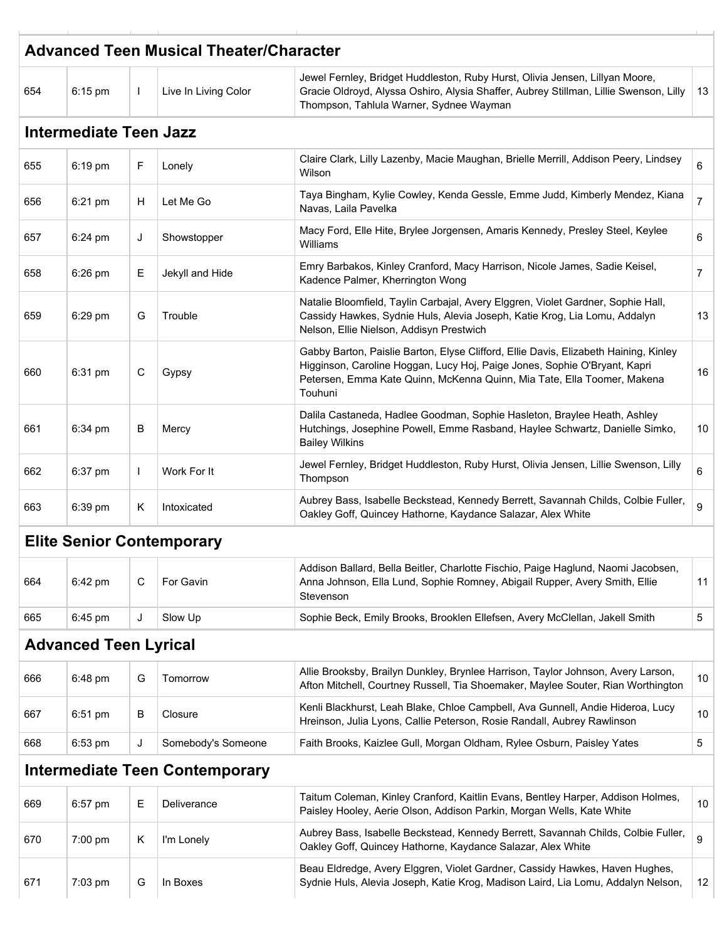|     | <b>Advanced Teen Musical Theater/Character</b> |              |                                       |                                                                                                                                                                                                                                                         |                |  |  |  |
|-----|------------------------------------------------|--------------|---------------------------------------|---------------------------------------------------------------------------------------------------------------------------------------------------------------------------------------------------------------------------------------------------------|----------------|--|--|--|
| 654 | $6:15$ pm                                      | $\mathbf{I}$ | Live In Living Color                  | Jewel Fernley, Bridget Huddleston, Ruby Hurst, Olivia Jensen, Lillyan Moore,<br>Gracie Oldroyd, Alyssa Oshiro, Alysia Shaffer, Aubrey Stillman, Lillie Swenson, Lilly<br>Thompson, Tahlula Warner, Sydnee Wayman                                        | 13             |  |  |  |
|     | <b>Intermediate Teen Jazz</b>                  |              |                                       |                                                                                                                                                                                                                                                         |                |  |  |  |
| 655 | $6:19$ pm                                      | F            | Lonely                                | Claire Clark, Lilly Lazenby, Macie Maughan, Brielle Merrill, Addison Peery, Lindsey<br>Wilson                                                                                                                                                           | 6              |  |  |  |
| 656 | 6:21 pm                                        | H            | Let Me Go                             | Taya Bingham, Kylie Cowley, Kenda Gessle, Emme Judd, Kimberly Mendez, Kiana<br>Navas, Laila Pavelka                                                                                                                                                     | $\overline{7}$ |  |  |  |
| 657 | 6:24 pm                                        | J            | Showstopper                           | Macy Ford, Elle Hite, Brylee Jorgensen, Amaris Kennedy, Presley Steel, Keylee<br>Williams                                                                                                                                                               | 6              |  |  |  |
| 658 | $6:26$ pm                                      | Е            | Jekyll and Hide                       | Emry Barbakos, Kinley Cranford, Macy Harrison, Nicole James, Sadie Keisel,<br>Kadence Palmer, Kherrington Wong                                                                                                                                          | $\overline{7}$ |  |  |  |
| 659 | 6:29 pm                                        | G            | Trouble                               | Natalie Bloomfield, Taylin Carbajal, Avery Elggren, Violet Gardner, Sophie Hall,<br>Cassidy Hawkes, Sydnie Huls, Alevia Joseph, Katie Krog, Lia Lomu, Addalyn<br>Nelson, Ellie Nielson, Addisyn Prestwich                                               | 13             |  |  |  |
| 660 | 6:31 pm                                        | С            | Gypsy                                 | Gabby Barton, Paislie Barton, Elyse Clifford, Ellie Davis, Elizabeth Haining, Kinley<br>Higginson, Caroline Hoggan, Lucy Hoj, Paige Jones, Sophie O'Bryant, Kapri<br>Petersen, Emma Kate Quinn, McKenna Quinn, Mia Tate, Ella Toomer, Makena<br>Touhuni | 16             |  |  |  |
| 661 | 6:34 pm                                        | B            | Mercy                                 | Dalila Castaneda, Hadlee Goodman, Sophie Hasleton, Braylee Heath, Ashley<br>Hutchings, Josephine Powell, Emme Rasband, Haylee Schwartz, Danielle Simko,<br><b>Bailey Wilkins</b>                                                                        | 10             |  |  |  |
| 662 | 6:37 pm                                        | $\mathbf{I}$ | Work For It                           | Jewel Fernley, Bridget Huddleston, Ruby Hurst, Olivia Jensen, Lillie Swenson, Lilly<br>Thompson                                                                                                                                                         | 6              |  |  |  |
| 663 | 6:39 pm                                        | Κ            | Intoxicated                           | Aubrey Bass, Isabelle Beckstead, Kennedy Berrett, Savannah Childs, Colbie Fuller,<br>Oakley Goff, Quincey Hathorne, Kaydance Salazar, Alex White                                                                                                        | 9              |  |  |  |
|     | <b>Elite Senior Contemporary</b>               |              |                                       |                                                                                                                                                                                                                                                         |                |  |  |  |
| 664 | 6:42 pm                                        | С            | For Gavin                             | Addison Ballard, Bella Beitler, Charlotte Fischio, Paige Haglund, Naomi Jacobsen,<br>Anna Johnson, Ella Lund, Sophie Romney, Abigail Rupper, Avery Smith, Ellie<br>Stevenson                                                                            | 11             |  |  |  |
| 665 | 6:45 pm                                        | J            | Slow Up                               | Sophie Beck, Emily Brooks, Brooklen Ellefsen, Avery McClellan, Jakell Smith                                                                                                                                                                             | 5              |  |  |  |
|     | <b>Advanced Teen Lyrical</b>                   |              |                                       |                                                                                                                                                                                                                                                         |                |  |  |  |
| 666 | 6:48 pm                                        | G            | Tomorrow                              | Allie Brooksby, Brailyn Dunkley, Brynlee Harrison, Taylor Johnson, Avery Larson,<br>Afton Mitchell, Courtney Russell, Tia Shoemaker, Maylee Souter, Rian Worthington                                                                                    | 10             |  |  |  |
| 667 | 6:51 pm                                        | B            | Closure                               | Kenli Blackhurst, Leah Blake, Chloe Campbell, Ava Gunnell, Andie Hideroa, Lucy<br>Hreinson, Julia Lyons, Callie Peterson, Rosie Randall, Aubrey Rawlinson                                                                                               | 10             |  |  |  |
| 668 | $6:53$ pm                                      | J            | Somebody's Someone                    | Faith Brooks, Kaizlee Gull, Morgan Oldham, Rylee Osburn, Paisley Yates                                                                                                                                                                                  | 5              |  |  |  |
|     |                                                |              | <b>Intermediate Teen Contemporary</b> |                                                                                                                                                                                                                                                         |                |  |  |  |
| 669 | $6:57$ pm                                      | Е            | Deliverance                           | Taitum Coleman, Kinley Cranford, Kaitlin Evans, Bentley Harper, Addison Holmes,<br>Paisley Hooley, Aerie Olson, Addison Parkin, Morgan Wells, Kate White                                                                                                | 10             |  |  |  |
| 670 | $7:00$ pm                                      | Κ            | I'm Lonely                            | Aubrey Bass, Isabelle Beckstead, Kennedy Berrett, Savannah Childs, Colbie Fuller,<br>Oakley Goff, Quincey Hathorne, Kaydance Salazar, Alex White                                                                                                        | 9              |  |  |  |
| 671 | 7:03 pm                                        | G            | In Boxes                              | Beau Eldredge, Avery Elggren, Violet Gardner, Cassidy Hawkes, Haven Hughes,<br>Sydnie Huls, Alevia Joseph, Katie Krog, Madison Laird, Lia Lomu, Addalyn Nelson,                                                                                         | 12             |  |  |  |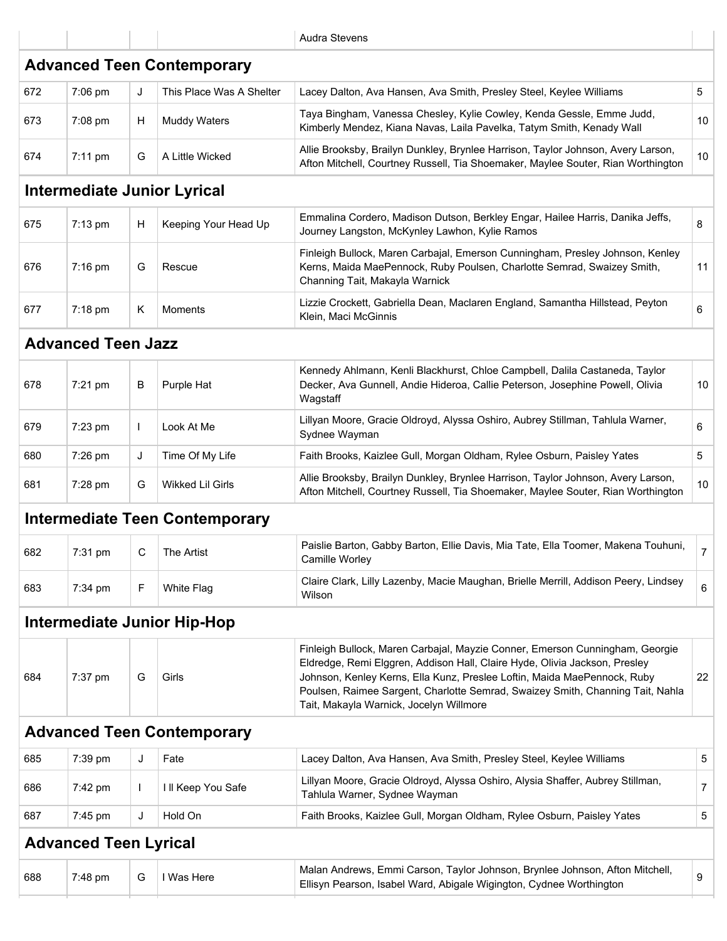|     |                              |              |                                       | <b>Audra Stevens</b>                                                                                                                                                                                                                                                                                                                                                |                |
|-----|------------------------------|--------------|---------------------------------------|---------------------------------------------------------------------------------------------------------------------------------------------------------------------------------------------------------------------------------------------------------------------------------------------------------------------------------------------------------------------|----------------|
|     |                              |              | <b>Advanced Teen Contemporary</b>     |                                                                                                                                                                                                                                                                                                                                                                     |                |
| 672 | 7:06 pm                      | J            | This Place Was A Shelter              | Lacey Dalton, Ava Hansen, Ava Smith, Presley Steel, Keylee Williams                                                                                                                                                                                                                                                                                                 | 5              |
| 673 | 7:08 pm                      | Н            | <b>Muddy Waters</b>                   | Taya Bingham, Vanessa Chesley, Kylie Cowley, Kenda Gessle, Emme Judd,<br>Kimberly Mendez, Kiana Navas, Laila Pavelka, Tatym Smith, Kenady Wall                                                                                                                                                                                                                      | 10             |
| 674 | $7:11$ pm                    | G            | A Little Wicked                       | Allie Brooksby, Brailyn Dunkley, Brynlee Harrison, Taylor Johnson, Avery Larson,<br>Afton Mitchell, Courtney Russell, Tia Shoemaker, Maylee Souter, Rian Worthington                                                                                                                                                                                                | 10             |
|     |                              |              | <b>Intermediate Junior Lyrical</b>    |                                                                                                                                                                                                                                                                                                                                                                     |                |
| 675 | $7:13$ pm                    | н            | Keeping Your Head Up                  | Emmalina Cordero, Madison Dutson, Berkley Engar, Hailee Harris, Danika Jeffs,<br>Journey Langston, McKynley Lawhon, Kylie Ramos                                                                                                                                                                                                                                     | 8              |
| 676 | $7:16$ pm                    | G            | Rescue                                | Finleigh Bullock, Maren Carbajal, Emerson Cunningham, Presley Johnson, Kenley<br>Kerns, Maida MaePennock, Ruby Poulsen, Charlotte Semrad, Swaizey Smith,<br>Channing Tait, Makayla Warnick                                                                                                                                                                          | 11             |
| 677 | 7:18 pm                      | Κ            | Moments                               | Lizzie Crockett, Gabriella Dean, Maclaren England, Samantha Hillstead, Peyton<br>Klein, Maci McGinnis                                                                                                                                                                                                                                                               | 6              |
|     | <b>Advanced Teen Jazz</b>    |              |                                       |                                                                                                                                                                                                                                                                                                                                                                     |                |
| 678 | 7:21 pm                      | В            | Purple Hat                            | Kennedy Ahlmann, Kenli Blackhurst, Chloe Campbell, Dalila Castaneda, Taylor<br>Decker, Ava Gunnell, Andie Hideroa, Callie Peterson, Josephine Powell, Olivia<br>Wagstaff                                                                                                                                                                                            | 10             |
| 679 | 7:23 pm                      | $\mathbf{L}$ | Look At Me                            | Lillyan Moore, Gracie Oldroyd, Alyssa Oshiro, Aubrey Stillman, Tahlula Warner,<br>Sydnee Wayman                                                                                                                                                                                                                                                                     | 6              |
| 680 | 7:26 pm                      | J            | Time Of My Life                       | Faith Brooks, Kaizlee Gull, Morgan Oldham, Rylee Osburn, Paisley Yates                                                                                                                                                                                                                                                                                              | 5              |
| 681 | 7:28 pm                      | G            | Wikked Lil Girls                      | Allie Brooksby, Brailyn Dunkley, Brynlee Harrison, Taylor Johnson, Avery Larson,<br>Afton Mitchell, Courtney Russell, Tia Shoemaker, Maylee Souter, Rian Worthington                                                                                                                                                                                                | 10             |
|     |                              |              | <b>Intermediate Teen Contemporary</b> |                                                                                                                                                                                                                                                                                                                                                                     |                |
| 682 | 7:31 pm                      | С            | The Artist                            | Paislie Barton, Gabby Barton, Ellie Davis, Mia Tate, Ella Toomer, Makena Touhuni,<br>Camille Worley                                                                                                                                                                                                                                                                 | $\overline{7}$ |
| 683 | 7:34 pm                      | F            | <b>White Flag</b>                     | Claire Clark, Lilly Lazenby, Macie Maughan, Brielle Merrill, Addison Peery, Lindsey<br>Wilson                                                                                                                                                                                                                                                                       | 6              |
|     |                              |              | <b>Intermediate Junior Hip-Hop</b>    |                                                                                                                                                                                                                                                                                                                                                                     |                |
| 684 | 7:37 pm                      | G            | Girls                                 | Finleigh Bullock, Maren Carbajal, Mayzie Conner, Emerson Cunningham, Georgie<br>Eldredge, Remi Elggren, Addison Hall, Claire Hyde, Olivia Jackson, Presley<br>Johnson, Kenley Kerns, Ella Kunz, Preslee Loftin, Maida MaePennock, Ruby<br>Poulsen, Raimee Sargent, Charlotte Semrad, Swaizey Smith, Channing Tait, Nahla<br>Tait, Makayla Warnick, Jocelyn Willmore | 22             |
|     |                              |              | <b>Advanced Teen Contemporary</b>     |                                                                                                                                                                                                                                                                                                                                                                     |                |
| 685 | 7:39 pm                      | J            | Fate                                  | Lacey Dalton, Ava Hansen, Ava Smith, Presley Steel, Keylee Williams                                                                                                                                                                                                                                                                                                 | 5              |
| 686 | 7:42 pm                      | $\mathbf{I}$ | I II Keep You Safe                    | Lillyan Moore, Gracie Oldroyd, Alyssa Oshiro, Alysia Shaffer, Aubrey Stillman,<br>Tahlula Warner, Sydnee Wayman                                                                                                                                                                                                                                                     | $\overline{7}$ |
| 687 | 7:45 pm                      | J            | Hold On                               | Faith Brooks, Kaizlee Gull, Morgan Oldham, Rylee Osburn, Paisley Yates                                                                                                                                                                                                                                                                                              | 5              |
|     | <b>Advanced Teen Lyrical</b> |              |                                       |                                                                                                                                                                                                                                                                                                                                                                     |                |
| 688 | 7:48 pm                      | G            | I Was Here                            | Malan Andrews, Emmi Carson, Taylor Johnson, Brynlee Johnson, Afton Mitchell,<br>Ellisyn Pearson, Isabel Ward, Abigale Wigington, Cydnee Worthington                                                                                                                                                                                                                 | 9              |